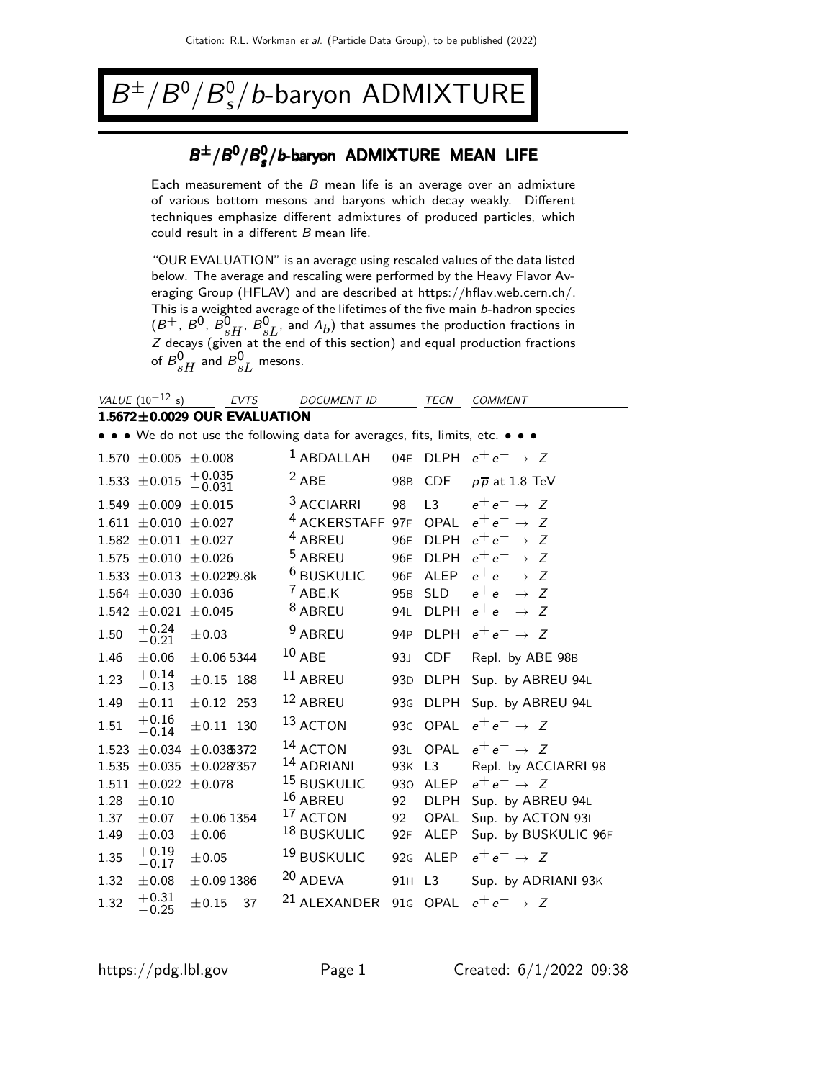### B  $^{\pm}/B^0/B^0_s/b$ -baryon ADMIXTURE

### $B^{\pm}/B^0/B_s^0$  $B^{\pm}/B^0/B_s^0/b$ -baryon ADMIXTURE MEAN LIFE

Each measurement of the  $B$  mean life is an average over an admixture of various bottom mesons and baryons which decay weakly. Different techniques emphasize different admixtures of produced particles, which could result in a different B mean life.

"OUR EVALUATION" is an average using rescaled values of the data listed below. The average and rescaling were performed by the Heavy Flavor Averaging Group (HFLAV) and are described at https://hflav.web.cern.ch/. This is a weighted average of the lifetimes of the five main b-hadron species  $(B^+, B^0, B^0_{sH}, B^0_{sL}$ , and  $\Lambda_b$ ) that assumes the production fractions in Z decays (given at the end of this section) and equal production fractions of  ${\cal B}^0_{sH}$  and  ${\cal B}^0_{sL}$  mesons.

|       | VALUE $(10^{-12} s)$                                                          |                      | <b>EVTS</b> |  | DOCUMENT ID             |                 | TECN           | <b>COMMENT</b>              |  |
|-------|-------------------------------------------------------------------------------|----------------------|-------------|--|-------------------------|-----------------|----------------|-----------------------------|--|
|       | $1.5672 \pm 0.0029$ OUR EVALUATION                                            |                      |             |  |                         |                 |                |                             |  |
|       | • • • We do not use the following data for averages, fits, limits, etc. • • • |                      |             |  |                         |                 |                |                             |  |
|       | $1.570 \pm 0.005 \pm 0.008$                                                   |                      |             |  | $1$ ABDALLAH            | 04E             | <b>DLPH</b>    | $e^+e^- \rightarrow Z$      |  |
|       | $1.533 \pm 0.015$                                                             | $^{+0.035}_{-0.031}$ |             |  | $2$ ABE                 | 98 <sub>B</sub> | <b>CDF</b>     | $p\overline{p}$ at 1.8 TeV  |  |
|       | $1.549 \pm 0.009$                                                             | $\pm 0.015$          |             |  | <sup>3</sup> ACCIARRI   | 98              | L3             | $e^+e^- \rightarrow Z$      |  |
| 1.611 | $\pm 0.010 \pm 0.027$                                                         |                      |             |  | <sup>4</sup> ACKERSTAFF | 97F             | <b>OPAL</b>    | $e^+e^- \rightarrow Z$      |  |
| 1.582 | $\pm 0.011$                                                                   | $\pm 0.027$          |             |  | <sup>4</sup> ABREU      | 96E             | <b>DLPH</b>    | $e^+e^- \rightarrow$<br>- 7 |  |
| 1.575 | $\pm 0.010$                                                                   | $\pm 0.026$          |             |  | <sup>5</sup> ABREU      | 96E             | <b>DLPH</b>    | $e^+e^- \rightarrow Z$      |  |
| 1.533 | $\pm 0.013$                                                                   | $\pm$ 0.0229.8k      |             |  | <sup>6</sup> BUSKULIC   | 96F             | <b>ALEP</b>    | $e^+e^- \rightarrow Z$      |  |
| 1.564 | $\pm 0.030$                                                                   | $\pm 0.036$          |             |  | $7$ ABE, K              | 95 <sub>B</sub> | <b>SLD</b>     | $e^+e^- \rightarrow Z$      |  |
| 1.542 | $\pm 0.021$                                                                   | ±0.045               |             |  | <sup>8</sup> ABREU      | 94L             | <b>DLPH</b>    | $e^+e^- \rightarrow Z$      |  |
| 1.50  | $+0.24$<br>$-0.21$                                                            | $\pm 0.03$           |             |  | <sup>9</sup> ABREU      | 94 <sub>P</sub> | <b>DLPH</b>    | $e^+e^- \rightarrow Z$      |  |
| 1.46  | ±0.06                                                                         | $\pm 0.06$ 5344      |             |  | $10$ ABE                | 93J             | <b>CDF</b>     | Repl. by ABE 98B            |  |
| 1.23  | $+0.14$<br>$-0.13$                                                            | $\pm\,0.15$ 188      |             |  | $11$ ABREU              | 93 <sub>D</sub> | <b>DLPH</b>    | Sup. by ABREU 94L           |  |
| 1.49  | $\pm 0.11$                                                                    | $± 0.12$ 253         |             |  | $12$ ABREU              | 93 <sub>G</sub> | <b>DLPH</b>    | Sup. by ABREU 94L           |  |
| 1.51  | $+0.16$<br>$-0.14$                                                            | $\pm 0.11$ 130       |             |  | $13$ ACTON              | 93C             | <b>OPAL</b>    | $e^+e^- \rightarrow Z$      |  |
| 1.523 | ±0.034                                                                        | ±0.03\$372           |             |  | <sup>14</sup> ACTON     | 93L             | <b>OPAL</b>    | $e^+e^- \rightarrow Z$      |  |
| 1.535 | $\pm 0.035$                                                                   | ±0.0287357           |             |  | <sup>14</sup> ADRIANI   | 93K             | L <sub>3</sub> | Repl. by ACCIARRI 98        |  |
| 1.511 | $\pm 0.022$                                                                   | ±0.078               |             |  | 15 BUSKULIC             | 930             | <b>ALEP</b>    | $e^+e^- \rightarrow Z$      |  |
| 1.28  | $\pm 0.10$                                                                    |                      |             |  | $16$ ABREU              | 92              | <b>DLPH</b>    | Sup. by ABREU 94L           |  |
| 1.37  | ±0.07                                                                         | $± 0.06$ 1354        |             |  | 17 ACTON                | 92              | OPAL           | Sup. by ACTON 93L           |  |
| 1.49  | $\pm 0.03$                                                                    | $\pm$ 0.06           |             |  | 18 BUSKULIC             | 92F             | <b>ALEP</b>    | Sup. by BUSKULIC 96F        |  |
| 1.35  | $+0.19$<br>$-0.17$                                                            | ±0.05                |             |  | <sup>19</sup> BUSKULIC  | 92G             | ALEP           | $e^+e^- \rightarrow Z$      |  |
| 1.32  | $\pm 0.08$                                                                    | $\pm 0.09$ 1386      |             |  | 20 ADEVA                | 91H L3          |                | Sup. by ADRIANI 93K         |  |
| 1.32  | $^{\rm +0.31}_{\rm -0.25}$                                                    | ± 0.15               | 37          |  | <sup>21</sup> ALEXANDER | 91 <sub>G</sub> | <b>OPAL</b>    | $e^+e^- \rightarrow Z$      |  |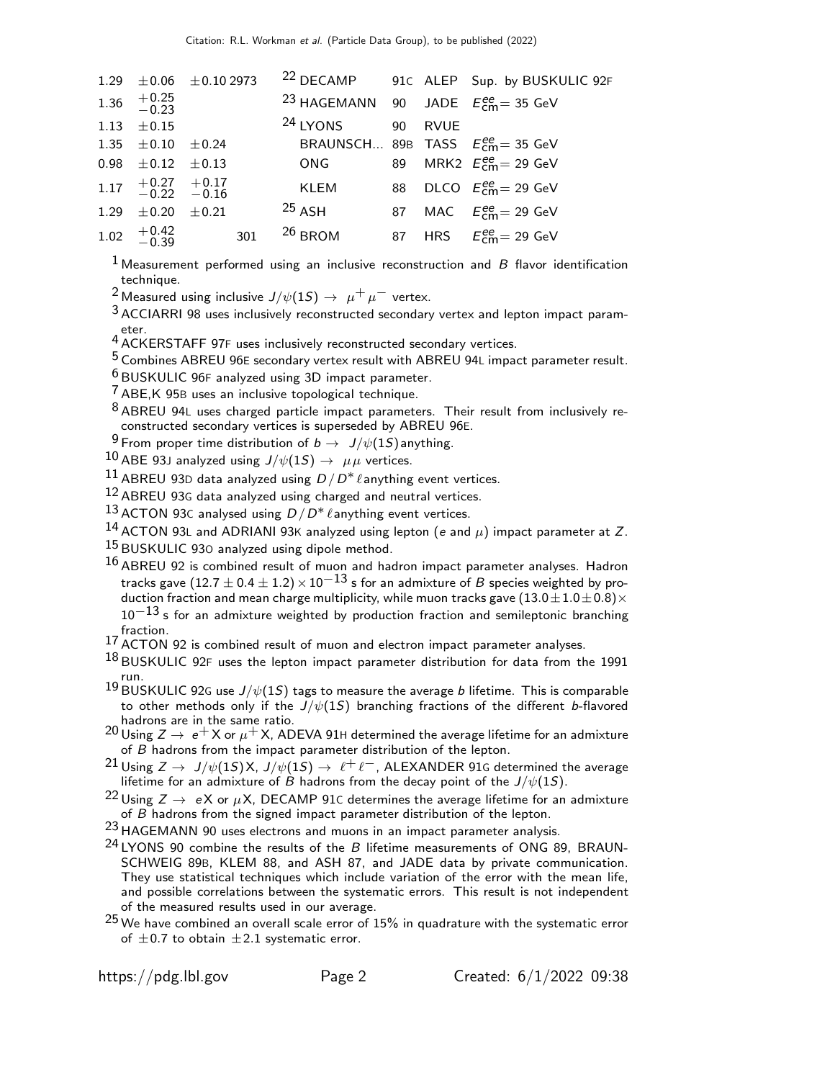| 1.29 $\pm$ 0.06 $\pm$ 0.10 2973           |  |                                                              |  | <sup>22</sup> DECAMP 91C ALEP Sup. by BUSKULIC 92F |
|-------------------------------------------|--|--------------------------------------------------------------|--|----------------------------------------------------|
| 1.36 $+0.25$<br>-0.23                     |  | <sup>23</sup> HAGEMANN 90 JADE $E_{\text{cm}}^{ee}$ = 35 GeV |  |                                                    |
| 1.13 $\pm 0.15$                           |  | <sup>24</sup> LYONS 90 RVUE                                  |  |                                                    |
| 1.35 $\pm$ 0.10 $\pm$ 0.24                |  | BRAUNSCH 89B TASS $E_{\text{cm}}^{\text{ee}}$ = 35 GeV       |  |                                                    |
| $0.98 \pm 0.12 \pm 0.13$                  |  | ONG 89 MRK2 $E_{\text{cm}}^{\text{ee}} = 29 \text{ GeV}$     |  |                                                    |
| $1.17$ $+0.27$ $+0.17$<br>$-0.22$ $-0.16$ |  | KLEM                                                         |  | 88 DLCO $E_{cm}^{ee}$ = 29 GeV                     |
| 1.29 $\pm$ 0.20 $\pm$ 0.21                |  | $^{25}$ ASH                                                  |  | 87 MAC $E_{\text{cm}}^{ee} = 29 \text{ GeV}$       |
| 1.02 $+0.42$ 301                          |  | $26$ BROM                                                    |  | 87 HRS $E_{cm}^{ee} = 29$ GeV                      |
|                                           |  |                                                              |  |                                                    |

 $1$  Measurement performed using an inclusive reconstruction and  $B$  flavor identification technique.

<sup>2</sup> Measured using inclusive  $J/\psi(1S) \rightarrow \mu^+ \mu^-$  vertex.

 $3$  ACCIARRI 98 uses inclusively reconstructed secondary vertex and lepton impact parameter.

4 ACKERSTAFF 97F uses inclusively reconstructed secondary vertices.

5 Combines ABREU 96<sup>E</sup> secondary vertex result with ABREU 94<sup>L</sup> impact parameter result.

6 BUSKULIC 96<sup>F</sup> analyzed using 3D impact parameter.

7 ABE,K 95<sup>B</sup> uses an inclusive topological technique.

8 ABREU 94<sup>L</sup> uses charged particle impact parameters. Their result from inclusively reconstructed secondary vertices is superseded by ABREU 96E.

<sup>9</sup> From proper time distribution of  $b \to J/\psi(1S)$  anything.

10 ABE 93J analyzed using  $J/\psi(1S) \rightarrow \mu\mu$  vertices.

11 ABREU 93D data analyzed using  $D/D^* \ell$  anything event vertices.

 $12$  ABREU 93G data analyzed using charged and neutral vertices.

13 ACTON 93C analysed using  $D/D^* \ell$  anything event vertices.

<sup>14</sup> ACTON 93L and ADRIANI 93K analyzed using lepton (e and  $\mu$ ) impact parameter at Z.

15 BUSKULIC 930 analyzed using dipole method.

16 ABREU 92 is combined result of muon and hadron impact parameter analyses. Hadron tracks gave (12.7  $\pm$  0.4  $\pm$  1.2)  $\times$  10<sup>-13</sup> s for an admixture of B species weighted by production fraction and mean charge multiplicity, while muon tracks gave  $(13.0\pm1.0\pm0.8)\times$  $10^{-13}$  s for an admixture weighted by production fraction and semileptonic branching fraction.

17 ACTON 92 is combined result of muon and electron impact parameter analyses.

 $^{18}$ BUSKULIC 92F uses the lepton impact parameter distribution for data from the 1991 run.

 $19$  BUSKULIC 92G use  $J/\psi(1S)$  tags to measure the average b lifetime. This is comparable to other methods only if the  $J/\psi(1S)$  branching fractions of the different b-flavored

hadrons are in the same ratio.<br><sup>20</sup> Using  $Z \to e^+ X$  or  $\mu^+ X$ , ADEVA 91H determined the average lifetime for an admixture of B hadrons from the impact parameter distribution of the lepton.

<sup>21</sup> Using *Z* → *J*/ $\psi$ (1*S*) X, *J*/ $\psi$ (1*S*) →  $\ell^+ \ell^-$ , ALEXANDER 91G determined the average lifetime for an admixture of *B* hadrons from the decay point of the *J*/ $\psi$ (1*S*).

<sup>22</sup> Using  $Z \to eX$  or  $\mu X$ , DECAMP 91C determines the average lifetime for an admixture of *B* hadrons from the signed impact parameter distribution of the lepton.

 $^{23}$  HAGEMANN 90 uses electrons and muons in an impact parameter analysis.

 $24$  LYONS 90 combine the results of the B lifetime measurements of ONG 89, BRAUN-SCHWEIG 89B, KLEM 88, and ASH 87, and JADE data by private communication. They use statistical techniques which include variation of the error with the mean life, and possible correlations between the systematic errors. This result is not independent of the measured results used in our average.

 $25$  We have combined an overall scale error of 15% in quadrature with the systematic error of  $\pm$ 0.7 to obtain  $\pm$ 2.1 systematic error.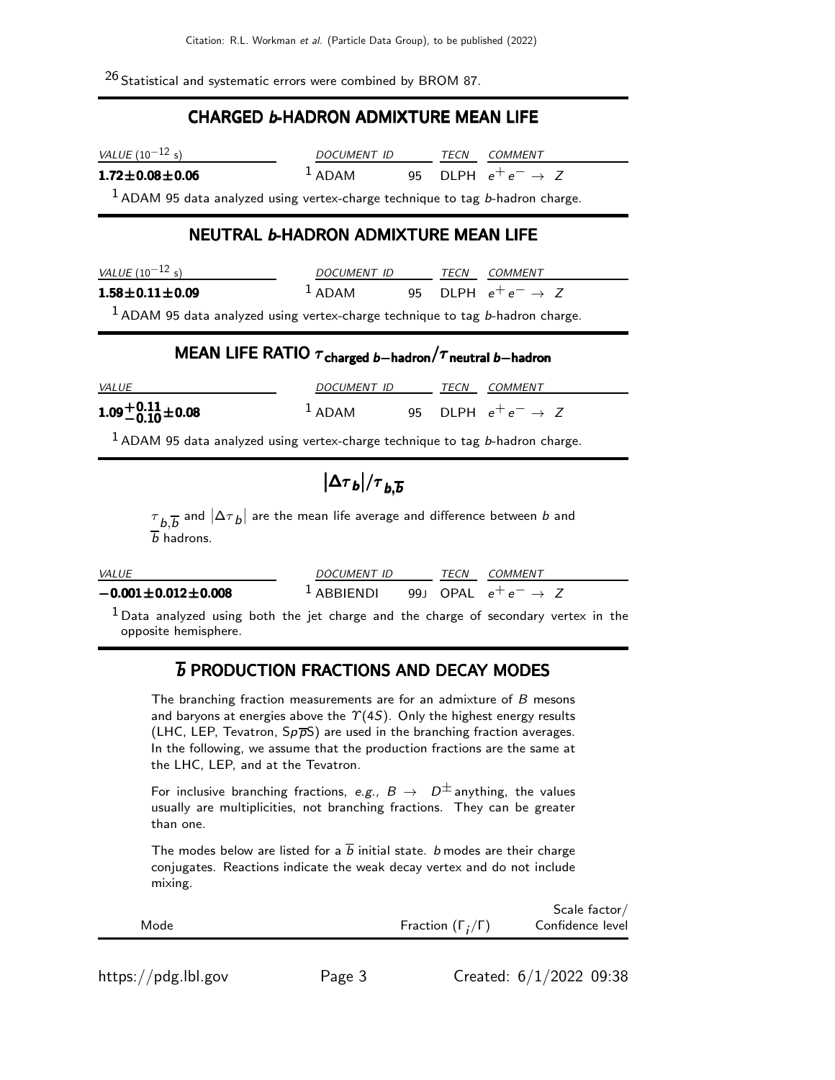$26$  Statistical and systematic errors were combined by BROM 87.

### CHARGED b-HADRON ADMIXTURE MEAN LIFE

| <i>VALUE</i> (10 $^{-12}$ s) | DOCUMENT ID        | TFCN | <i>COMMENT</i>                 |  |
|------------------------------|--------------------|------|--------------------------------|--|
| $1.72 \pm 0.08 \pm 0.06$     | $\frac{1}{2}$ ADAM |      | 95 DLPH $e^+e^- \rightarrow Z$ |  |

 $1$  ADAM 95 data analyzed using vertex-charge technique to tag b-hadron charge.

### NEUTRAL b-HADRON ADMIXTURE MEAN LIFE

| <i>VALUE</i> (10 $^{-12}$ s)                                                                                    | DOCUMENT ID         | <b>TFCN</b> | COMMENT                        |
|-----------------------------------------------------------------------------------------------------------------|---------------------|-------------|--------------------------------|
| $1.58 \pm 0.11 \pm 0.09$                                                                                        | $\overline{1}$ ADAM |             | 95 DLPH $e^+e^- \rightarrow Z$ |
| The contract of the contract of the contract of the contract of the contract of the contract of the contract of |                     |             |                                |

 $<sup>1</sup>$  ADAM 95 data analyzed using vertex-charge technique to tag b-hadron charge.</sup>

## MEAN LIFE RATIO  $\tau_{\text{charged }b-\text{hadron}}/\tau_{\text{neutral }b-\text{hadron}}$

| <i>VALUE</i>         | DOCUMENT ID         | TECN | <i>COMMENT</i>                 |
|----------------------|---------------------|------|--------------------------------|
| $1.09 + 0.11 + 0.08$ | $\overline{1}$ ADAM |      | 95 DLPH $e^+e^- \rightarrow Z$ |

 $1$  ADAM 95 data analyzed using vertex-charge technique to tag b-hadron charge.

# $\big|\Delta{\tau}_b\big|/\tau_{b,\overline{b}}$

 $\tau_{~b,\overline{b}}$  and  $|\Delta\tau_{~b}|$  are the mean life average and difference between  $b$  and  $\overline{b}$  hadrons.

| <b>VALUE</b>                 | <i>DOCUMENT ID</i>                                    | TECN | <i>COMMENT</i> |
|------------------------------|-------------------------------------------------------|------|----------------|
| $-0.001 \pm 0.012 \pm 0.008$ | <sup>1</sup> ABBIENDI 99J OPAL $e^+e^- \rightarrow Z$ |      |                |

 $<sup>1</sup>$  Data analyzed using both the jet charge and the charge of secondary vertex in the</sup> opposite hemisphere.

## *b* PRODUCTION FRACTIONS AND DECAY MODES

The branching fraction measurements are for an admixture of B mesons and baryons at energies above the  $\gamma$ (4S). Only the highest energy results (LHC, LEP, Tevatron,  $Sp\overline{p}S$ ) are used in the branching fraction averages. In the following, we assume that the production fractions are the same at the LHC, LEP, and at the Tevatron.

For inclusive branching fractions, e.g.,  $B \to D^{\pm}$  anything, the values usually are multiplicities, not branching fractions. They can be greater than one.

The modes below are listed for a  $\overline{b}$  initial state. *b* modes are their charge conjugates. Reactions indicate the weak decay vertex and do not include mixing.

|      |                              | Scale factor/    |
|------|------------------------------|------------------|
| Mode | Fraction $(\Gamma_i/\Gamma)$ | Confidence level |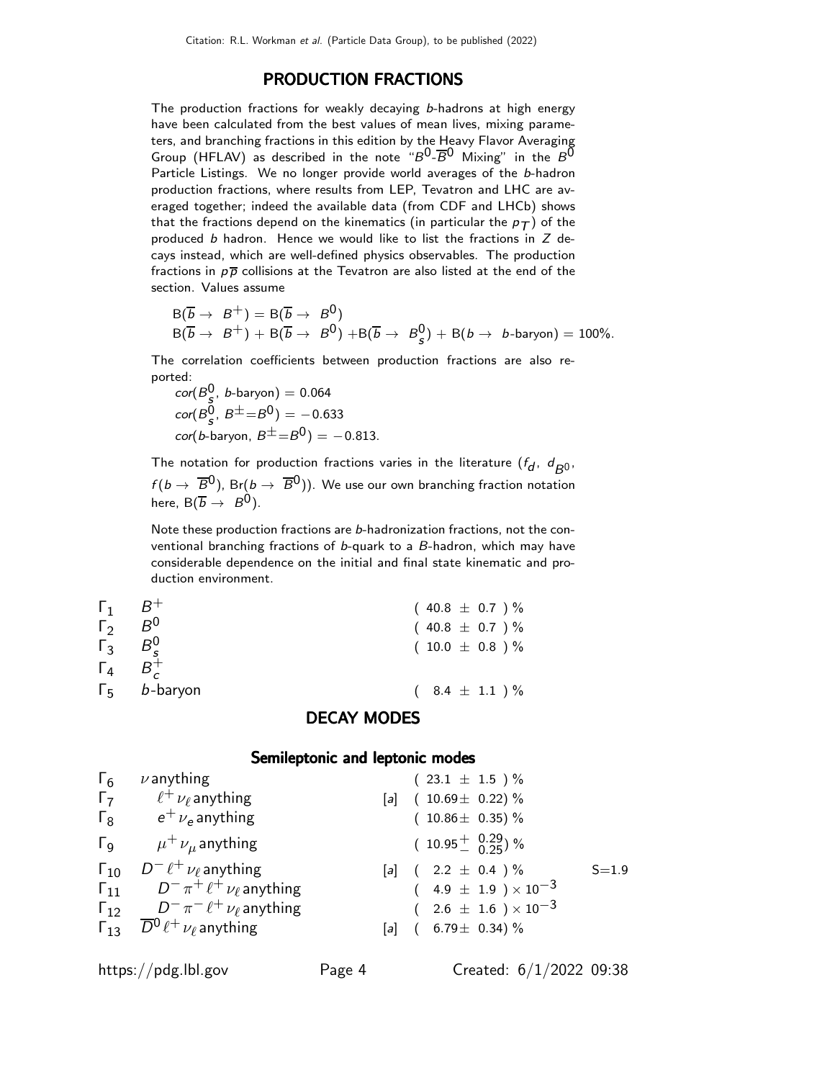### PRODUCTION FRACTIONS

The production fractions for weakly decaying b-hadrons at high energy have been calculated from the best values of mean lives, mixing parameters, and branching fractions in this edition by the Heavy Flavor Averaging Group (HFLAV) as described in the note " $B^0$ - $\overline{B}^0$  Mixing" in the  $B^0$ Particle Listings. We no longer provide world averages of the b-hadron production fractions, where results from LEP, Tevatron and LHC are averaged together; indeed the available data (from CDF and LHCb) shows that the fractions depend on the kinematics (in particular the  $p_T$ ) of the produced  $b$  hadron. Hence we would like to list the fractions in  $Z$  decays instead, which are well-defined physics observables. The production fractions in  $p\bar{p}$  collisions at the Tevatron are also listed at the end of the section. Values assume

$$
B(\overline{b} \to B^+) = B(\overline{b} \to B^0)
$$
  
 
$$
B(\overline{b} \to B^+) + B(\overline{b} \to B^0) + B(\overline{b} \to B^0_s) + B(b \to b\text{-baryon}) = 100\%.
$$

The correlation coefficients between production fractions are also reported:

 $\textit{cor}(B_{\frac{5}{2}}^0, \textit{ b}$ -baryon) = 0.064  $\text{cor}(B^0_{\bf s}, B^{\pm} = B^0) = -0.633$  $\cot(b$ -baryon,  $B^{\pm} = B^0$ ) =  $-0.813$ .

The notation for production fractions varies in the literature  $(f_d, d_{B^0},$  $f(b \to \overline{B}0)$ , Br $(b \to \overline{B}0)$ ). We use our own branching fraction notation here,  $B(\overline{b} \rightarrow B^0)$ .

Note these production fractions are b-hadronization fractions, not the conventional branching fractions of b-quark to a B-hadron, which may have considerable dependence on the initial and final state kinematic and production environment.

| $\mathsf{L}^{\mathsf{I}}$<br>$\lceil$ 3<br>$\Gamma_{\rm 4}$ | $B^0$<br>$B^0$<br>$B^+$     | $(40.8 \pm 0.7) \%$<br>$(10.0 \pm 0.8) \%$ |
|-------------------------------------------------------------|-----------------------------|--------------------------------------------|
|                                                             | $\Gamma_5$ <i>b</i> -baryon | $(8.4 \pm 1.1) \%$<br>DECAVILIADEC         |

### DECAY MODES

### Semileptonic and leptonic modes

| $\Gamma_6$            | $\nu$ anything                                          | $(23.1 \pm 1.5) \%$                       |           |
|-----------------------|---------------------------------------------------------|-------------------------------------------|-----------|
| $\Gamma$              | $\ell^+ \nu_\ell$ anything                              | $(10.69 \pm 0.22)\%$<br>$\lceil a \rceil$ |           |
| $\Gamma_8$            | $e^+$ $\nu_e$ anything                                  | $(10.86 \pm 0.35)\%$                      |           |
| $\Gamma_{\mathsf{Q}}$ | $\mu^+ \nu_\mu$ anything                                | $(10.95 \frac{+}{0} 0.29)$ %              |           |
| $\Gamma_{10}$         | $D^- \ell^+ \nu_\ell$ anything                          | [a] $(2.2 \pm 0.4) \%$                    | $S = 1.9$ |
| $\Gamma_{11}$         | $D^- \pi^+ \ell^+ \nu_\ell$ anything                    | $(4.9 \pm 1.9) \times 10^{-3}$            |           |
|                       | $\Gamma_{12}$ $D^-\pi^- \ell^+ \nu_\ell$ anything       | $(2.6 \pm 1.6) \times 10^{-3}$            |           |
|                       | $\Gamma_{13}$ $\overline{D}^0 \ell^+ \nu_\ell$ anything | $(6.79 \pm 0.34)\%$<br>$\lceil a \rceil$  |           |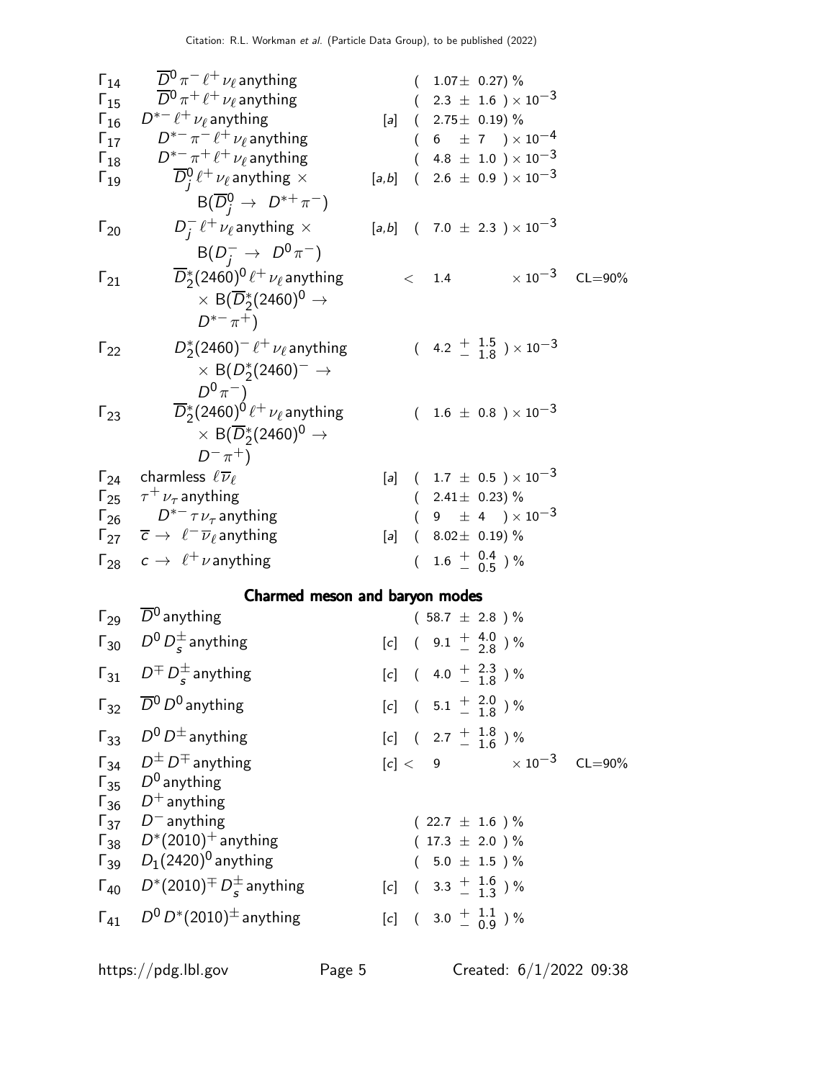| $\Gamma_{14}$ | $\overline{D}{}^0 \pi^- \ell^+ \nu_\ell$ anything                                                                                         |       |          | $(1.07 \pm 0.27)\%$     |                                                        |                            |
|---------------|-------------------------------------------------------------------------------------------------------------------------------------------|-------|----------|-------------------------|--------------------------------------------------------|----------------------------|
| $\Gamma_{15}$ | $\overline{D}{}^0\pi^+\ell^+\nu_\ell$ anything                                                                                            |       |          |                         | $(2.3 \pm 1.6) \times 10^{-3}$                         |                            |
| $\Gamma_{16}$ | $D^{*-} \ell^+ \nu_\ell$ anything                                                                                                         |       |          |                         | $[a]$ ( 2.75 $\pm$ 0.19) %                             |                            |
| $\Gamma_{17}$ | $D^{*-}\pi^-\ell^+\nu_\ell$ anything                                                                                                      |       |          |                         | $(6 \pm 7) \times 10^{-4}$                             |                            |
| $\Gamma_{18}$ | $D^{*-}\pi^+\ell^+\nu_\ell$ anything                                                                                                      |       |          |                         | $(4.8 \pm 1.0) \times 10^{-3}$                         |                            |
| $\Gamma_{19}$ | $\overline{D}_i^0 \ell^+ \nu_\ell$ anything $\times$                                                                                      | [a,b] | $\left($ |                         | $2.6 \pm 0.9$ ) $\times 10^{-3}$                       |                            |
|               | $B(\overline{D}_{i}^{0} \rightarrow D^{*+}\pi^{-})$                                                                                       |       |          |                         | $[a,b]$ ( 7.0 $\pm$ 2.3 ) $\times$ 10 <sup>-3</sup>    |                            |
| $\Gamma_{20}$ | $D_i^- \ell^+ \nu_\ell$ anything $\times$<br>$B(D^-_i \rightarrow D^0 \pi^-)$                                                             |       |          |                         |                                                        |                            |
| $\Gamma_{21}$ | $\overline{D}_2^*(2460)^0 \ell^+ \nu_\ell$ anything<br>$\times$ B( $\overline{D}_2^*(2460)^0 \rightarrow$<br>$D^{*-}\pi^+$                |       |          | $<$ 1.4                 |                                                        | $\times$ 10 $^{-3}$ CL=90% |
| $\Gamma_{22}$ | $D_2^*(2460)^- \ell^+ \nu_\ell$ anything<br>$\times$ B( $D_{2}^{*}(2460)^{-}$ $\rightarrow$<br>$D^0\pi^-$ )                               |       |          |                         | $(4.2 \frac{+}{-} \frac{1.5}{1.8}) \times 10^{-3}$     |                            |
| $\Gamma_{23}$ | $\overline{D}{}^*_2(2460)^{\dot 0}\, \ell^+\, \nu_\ell$ anything<br>$\times$ B( $\overline{D}_2^*(2460)^0 \rightarrow$<br>$D^{-} \pi^{+}$ |       |          |                         | $(1.6 \pm 0.8) \times 10^{-3}$                         |                            |
|               | $\Gamma_{24}$ charmless $\ell \overline{\nu}_{\ell}$                                                                                      |       |          |                         | [a] $(1.7 \pm 0.5) \times 10^{-3}$                     |                            |
|               | $\Gamma_{25}$ $\tau^+ \nu_{\tau}$ anything                                                                                                |       |          | $(2.41 \pm 0.23)\%$     |                                                        |                            |
|               | $\Gamma_{26}$ $D^{*-} \tau \nu_{\tau}$ anything                                                                                           |       |          |                         | $(9 \pm 4) \times 10^{-3}$                             |                            |
|               | $\Gamma_{27}$ $\overline{c}$ $\rightarrow$ $\ell^- \overline{\nu}_\ell$ anything                                                          |       |          | [a] $(8.02 \pm 0.19)\%$ |                                                        |                            |
|               | $\Gamma_{28}$ $c \rightarrow \ell^+ \nu$ anything                                                                                         |       |          |                         | $(1.6 \pm \begin{array}{c} 0.4 \\ -0.5 \end{array})$ % |                            |
|               | Charmed meson and baryon modes                                                                                                            |       |          |                         |                                                        |                            |
|               | $\Gamma_{29}$ $\overline{D}^0$ anything                                                                                                   |       |          | $(58.7 \pm 2.8)$ %      |                                                        |                            |
|               | $\Gamma_{30}$ $D^0 D_s^{\pm}$ anything                                                                                                    |       |          |                         | $[c]$ ( 9.1 $\frac{+}{2}$ 4.0 ) %                      |                            |
|               | $\Gamma_{31}$ $D^{\pm} D^{\pm}$ anything                                                                                                  |       |          |                         | $[c]$ ( 4.0 $+$ 2.3 ) %                                |                            |
|               | $\Gamma_{32}$ $\overline{D}{}^0 D^0$ anything                                                                                             |       |          |                         | [c] $(5.1 \frac{+}{-} \frac{2.0}{1.8})\%$              |                            |
|               | $\Gamma_{33}$ $D^0 D^{\pm}$ anything                                                                                                      |       |          |                         | [c] $(2.7 \frac{+}{-} \frac{1.8}{1.6})\%$              |                            |
|               | $\Gamma_{34}$ $D^{\pm}$ $D^{\mp}$ anything<br>$\Gamma_{35}$ $D^0$ anything<br>$\Gamma_{36}$ $D^+$ anything                                |       |          |                         | $[c] < 9$ $\times 10^{-3}$ CL=90%                      |                            |
|               | $\Gamma_{37}$ $D^-$ anything                                                                                                              |       |          | $(22.7 \pm 1.6) \%$     |                                                        |                            |
|               | $\Gamma_{38}$ $D^*(2010)^+$ anything                                                                                                      |       |          | $(17.3 \pm 2.0) \%$     |                                                        |                            |
|               | $\Gamma_{39}$ $D_1(2420)^0$ anything                                                                                                      |       |          | $(5.0 \pm 1.5)$ %       |                                                        |                            |
|               | $\Gamma_{40}$ $D^*(2010)^{\pm} D^{\pm}_{s}$ anything                                                                                      |       |          |                         | [c] $(3.3 \frac{+}{-} 1.6 \frac{+}{13})\%$             |                            |
| $\Gamma_{41}$ | $D^0 D^*(2010)^{\pm}$ anything                                                                                                            |       |          |                         | $[c]$ ( 3.0 $\frac{+}{-}$ $\frac{1.1}{0.9}$ ) %        |                            |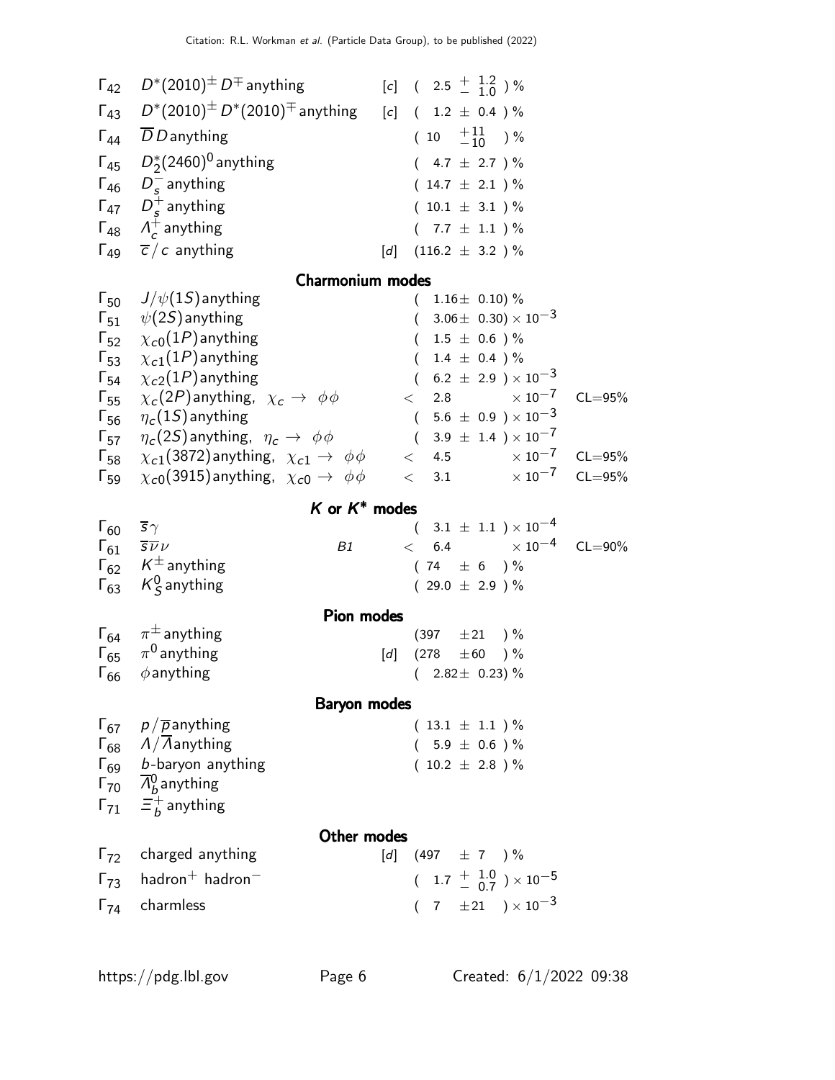|                               | $\Gamma_{42}$ $D^*(2010)^{\pm}$ $D^{\mp}$ anything                                                 | $[c]$ ( 2.5 $\frac{+}{-}$ 1.2 ) %                                                                                                                                                                                                       |
|-------------------------------|----------------------------------------------------------------------------------------------------|-----------------------------------------------------------------------------------------------------------------------------------------------------------------------------------------------------------------------------------------|
|                               | $\Gamma_{43}$ $D^*(2010)^{\pm} D^*(2010)^{\mp}$ anything                                           | [c] $(1.2 \pm 0.4) \%$                                                                                                                                                                                                                  |
|                               | $\Gamma_{44}$ <i>DD</i> anything                                                                   | $(10 \tfrac{+11}{-10})\%$                                                                                                                                                                                                               |
|                               | $\Gamma_{45}$ $D_{2}^{*}(2460)^{0}$ anything                                                       | $(4.7 \pm 2.7)$ %                                                                                                                                                                                                                       |
|                               | $\Gamma_{46}$ $D_s^-$ anything                                                                     | $(14.7 \pm 2.1) \%$                                                                                                                                                                                                                     |
|                               | $\Gamma_{47}$ $D_s^+$ anything                                                                     | $(10.1 \pm 3.1)$ %                                                                                                                                                                                                                      |
|                               | $\Gamma_{48}$ $\Lambda_c^+$ anything                                                               | $(7.7 \pm 1.1) \%$                                                                                                                                                                                                                      |
|                               | $\Gamma_{49}$ $\overline{c}/c$ anything                                                            | $(116.2 \pm 3.2)$ %<br>[d]                                                                                                                                                                                                              |
|                               | <b>Charmonium modes</b>                                                                            |                                                                                                                                                                                                                                         |
|                               | $\Gamma_{50}$ $J/\psi(1S)$ anything                                                                | $(1.16 \pm 0.10)\%$                                                                                                                                                                                                                     |
|                               | $\Gamma_{51}$ $\psi(2S)$ anything                                                                  | $(3.06 \pm 0.30) \times 10^{-3}$                                                                                                                                                                                                        |
|                               | $\Gamma_{52}$ $\chi_{c0}(1P)$ anything                                                             | $1.5 \pm 0.6$ )%<br>$\left($                                                                                                                                                                                                            |
|                               | $\Gamma_{53}$ $\chi_{c1}(1P)$ anything                                                             | $1.4 \pm 0.4$ )%<br>$\left($                                                                                                                                                                                                            |
|                               | $\Gamma_{54}$ $\chi_{c2}(1P)$ anything                                                             | $(6.2 \pm 2.9) \times 10^{-3}$<br>2.8 $\times 10^{-7}$                                                                                                                                                                                  |
|                               | $\Gamma_{55}$ $\chi_c(2P)$ anything, $\chi_c \to \phi \phi$<br>$\Gamma_{56}$ $\eta_c(15)$ anything | $CL = 95%$<br>$\lt$<br>$(\phantom{-}5.6\,\pm\,0.9\,\phantom{0})\times10^{-3}$                                                                                                                                                           |
| $\Gamma_{57}$                 | $\eta_c(2S)$ anything, $\eta_c \to \phi \phi$                                                      | $(3.9 \pm 1.4) \times 10^{-7}$                                                                                                                                                                                                          |
| $\mathsf{\Gamma}_{58}$        | $\chi_{c1}(3872)$ anything, $\chi_{c1} \rightarrow \phi \phi$ < 4.5 $\times 10^{-7}$               | $CL = 95\%$                                                                                                                                                                                                                             |
| $\Gamma_{59}$                 | $\chi_{c0}$ (3915) anything, $\chi_{c0} \rightarrow \phi \phi$                                     | $< 3.1 \times 10^{-7}$<br>$CL = 95%$                                                                                                                                                                                                    |
|                               | $K$ or $K^*$ modes                                                                                 |                                                                                                                                                                                                                                         |
| $\Gamma_{60}$ $\bar{s}\gamma$ |                                                                                                    | $(3.1 \pm 1.1) \times 10^{-4}$                                                                                                                                                                                                          |
|                               | $\Gamma_{61}$ $\overline{s}$ <i>v</i><br>B1                                                        | $< 6.4$ $\times 10^{-4}$ CL=90%                                                                                                                                                                                                         |
|                               | $\Gamma_{62}$ $K^{\pm}$ anything                                                                   | $(74 \pm 6) \%$                                                                                                                                                                                                                         |
|                               | $\Gamma_{63}$ K <sub>S</sub> anything                                                              | 29.0 $\pm$ 2.9 ) %<br>$\left($                                                                                                                                                                                                          |
|                               | <b>Pion modes</b>                                                                                  |                                                                                                                                                                                                                                         |
|                               | $\Gamma_{64}$ $\pi^{\pm}$ anything                                                                 | $(397 \pm 21) \%$                                                                                                                                                                                                                       |
| $\Gamma_{66}$                 | $\Gamma_{65}$ $\pi^0$ anything<br>$\phi$ anything                                                  | $\left[ d\right] % \begin{pmatrix} \frac{1}{2} & \frac{1}{2} & \frac{1}{2} & \frac{1}{2} & \frac{1}{2} & \frac{1}{2} & \frac{1}{2} & \frac{1}{2} & \frac{1}{2} \end{pmatrix} \label{eqn:25}$<br>$(278 \pm 60)$ %<br>$(2.82 \pm 0.23)\%$ |
|                               |                                                                                                    |                                                                                                                                                                                                                                         |
|                               | <b>Baryon modes</b>                                                                                |                                                                                                                                                                                                                                         |
|                               | $\Gamma_{67}$ $p/\overline{p}$ anything                                                            | $(13.1 \pm 1.1) \%$                                                                                                                                                                                                                     |
|                               | $\Gamma_{68}$ $\Lambda/\bar{\Lambda}$ anything<br>$\Gamma_{69}$ b-baryon anything                  | $(5.9 \pm 0.6) \%$<br>$(10.2 \pm 2.8)$ %                                                                                                                                                                                                |
|                               | $\overline{r}_{70}$ $\overline{\Lambda}_{b}^{0}$ anything                                          |                                                                                                                                                                                                                                         |
|                               | $\Gamma_{71}$ $\Xi_b^+$ anything                                                                   |                                                                                                                                                                                                                                         |
|                               |                                                                                                    |                                                                                                                                                                                                                                         |
|                               | Other modes<br>$\Gamma_{72}$ charged anything                                                      | $[d]$ (497 $\pm$ 7 ) %                                                                                                                                                                                                                  |
|                               | $\Gamma_{73}$ hadron <sup>+</sup> hadron <sup>-</sup>                                              | $(1.7 \frac{+}{0.7}) \times 10^{-5}$                                                                                                                                                                                                    |
|                               |                                                                                                    |                                                                                                                                                                                                                                         |
|                               | $\Gamma_{74}$ charmless                                                                            | $(7 \pm 21) \times 10^{-3}$                                                                                                                                                                                                             |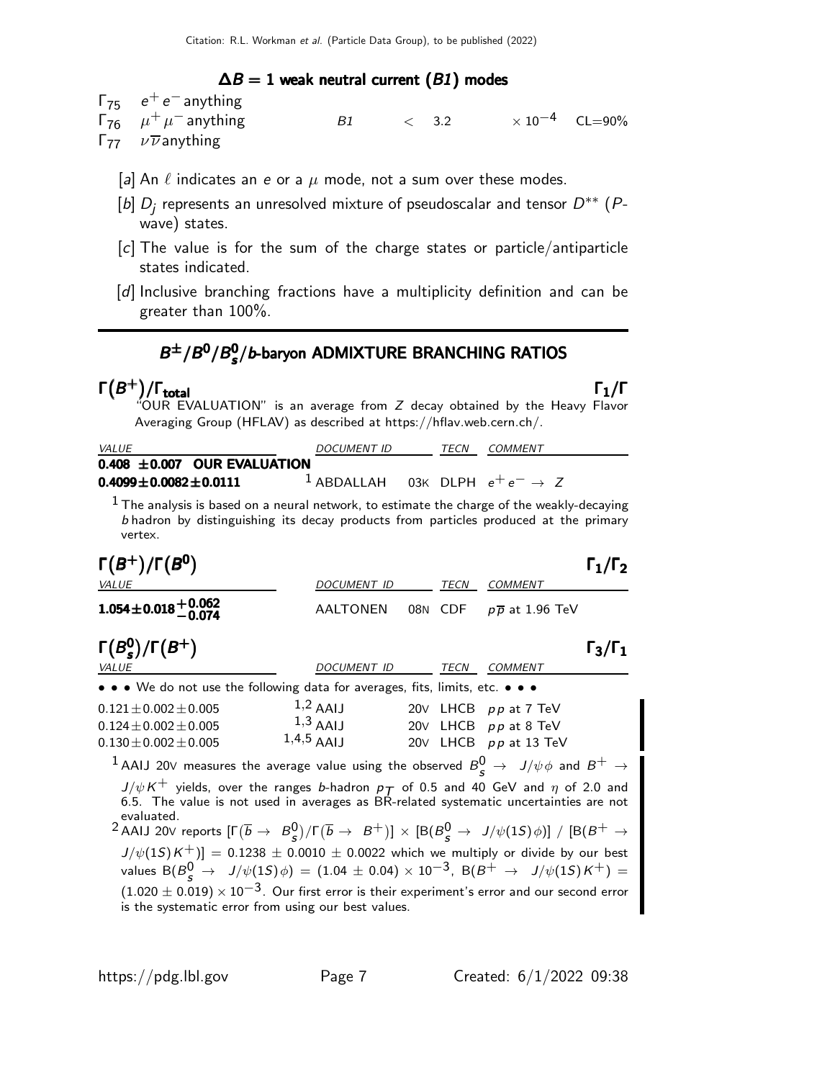### $\Delta B = 1$  weak neutral current (B1) modes

 $Γ_{75}$   $e^+e^-$  anything

| $\Gamma_{76}$ $\mu^+ \mu^-$ anything        | $\langle 3.2 \rangle$ | $\times$ 10 $^{-4}$ CL=90% |  |
|---------------------------------------------|-----------------------|----------------------------|--|
| $\Gamma_{77}$ $\nu \overline{\nu}$ anything |                       |                            |  |

- [a] An  $\ell$  indicates an e or a  $\mu$  mode, not a sum over these modes.
- [b]  $D_j$  represents an unresolved mixture of pseudoscalar and tensor  $D^{\ast\ast}$  (Pwave) states.
- [c] The value is for the sum of the charge states or particle/antiparticle states indicated.
- [d] Inclusive branching fractions have a multiplicity definition and can be greater than 100%.

### $B^{\pm}/B^0/B_s^0$  $B^{\pm}/B^0/B_s^0/b$ -baryon ADMIXTURE BRANCHING RATIOS

### $\Gamma(B^+)$ /Γ<sub>total</sub> Γ<sub>1</sub>/Γ Γ $(B^{+})$ /Γ<sub>total</sub> Γ $_{1}$ /Γ

"OUR EVALUATION" is an average from Z decay obtained by the Heavy Flavor Averaging Group (HFLAV) as described at https://hflav.web.cern.ch/.

| <b>VALUE</b>                                                          | <b>DOCUMENT ID</b>                                    | TECN | COMMENT |  |
|-----------------------------------------------------------------------|-------------------------------------------------------|------|---------|--|
| $0.408\ \pm0.007\ \textcolor{white}{\bullet} \textsf{OUR EVALUATION}$ |                                                       |      |         |  |
| $0.4099 \!\pm\! 0.0082 \!\pm\! 0.0111$                                | <sup>1</sup> ABDALLAH 03K DLPH $e^+e^- \rightarrow Z$ |      |         |  |

 $<sup>1</sup>$  The analysis is based on a neural network, to estimate the charge of the weakly-decaying</sup> b hadron by distinguishing its decay products from particles produced at the primary vertex.

| $\Gamma(B^+)/\Gamma(B^0)$                                                                                                                                                            |                                                                                                       |  |      |                                     | $\Gamma_1/\Gamma_2$ |  |
|--------------------------------------------------------------------------------------------------------------------------------------------------------------------------------------|-------------------------------------------------------------------------------------------------------|--|------|-------------------------------------|---------------------|--|
| VALUE                                                                                                                                                                                | DOCUMENT ID                                                                                           |  | TECN | <b>COMMENT</b>                      |                     |  |
| $1.054 \pm 0.018 \pm 0.062$<br>- 0.074                                                                                                                                               | <b>AALTONEN</b>                                                                                       |  |      | 08N CDF $p\overline{p}$ at 1.96 TeV |                     |  |
| $\Gamma(B_s^0)/\Gamma(B^+)$                                                                                                                                                          |                                                                                                       |  |      |                                     | $\Gamma_3/\Gamma_1$ |  |
| <b>VALUE</b>                                                                                                                                                                         | DOCUMENT ID                                                                                           |  | TECN | <b>COMMENT</b>                      |                     |  |
| • • • We do not use the following data for averages, fits, limits, etc. • • •                                                                                                        |                                                                                                       |  |      |                                     |                     |  |
| $0.121 \pm 0.002 \pm 0.005$                                                                                                                                                          | $1,2$ AAIJ                                                                                            |  |      | 20V LHCB pp at 7 TeV                |                     |  |
| $0.124 \pm 0.002 \pm 0.005$                                                                                                                                                          | $1,3$ AAIJ                                                                                            |  |      | 20V LHCB pp at 8 TeV                |                     |  |
| $0.130 \pm 0.002 \pm 0.005$                                                                                                                                                          | $1,4,5$ AAIJ                                                                                          |  |      | 20V LHCB pp at 13 TeV               |                     |  |
| <sup>1</sup> AAIJ 20V measures the average value using the observed $B^0_{\rm c} \rightarrow J/\psi \phi$ and $B^+ \rightarrow$                                                      |                                                                                                       |  |      |                                     |                     |  |
| $J/\psi K^+$ yields, over the ranges b-hadron $p_T$ of 0.5 and 40 GeV and $\eta$ of 2.0 and<br>6.5. The value is not used in averages as BR-related systematic uncertainties are not |                                                                                                       |  |      |                                     |                     |  |
| evaluated.<br><sup>2</sup> AAIJ 20V reports $[\Gamma(\overline{b} \to B^0_s)/\Gamma(\overline{b} \to B^+)] \times [B(B^0_s \to J/\psi(1S)\phi)] / [B(B^+ \to B^+)$                   |                                                                                                       |  |      |                                     |                     |  |
| $J/\psi(15)K^+$ ]] = 0.1238 ± 0.0010 ± 0.0022 which we multiply or divide by our best                                                                                                |                                                                                                       |  |      |                                     |                     |  |
| values B( $B^0_s \to J/\psi(15)\phi$ ) = (1.04 ± 0.04) × 10 <sup>-3</sup> , B( $B^+ \to J/\psi(15)K^+$ ) =                                                                           |                                                                                                       |  |      |                                     |                     |  |
|                                                                                                                                                                                      | $(1.020 \pm 0.019) \times 10^{-3}$ . Our first error is their experiment's error and our second error |  |      |                                     |                     |  |
|                                                                                                                                                                                      | is the systematic error from using our best values.                                                   |  |      |                                     |                     |  |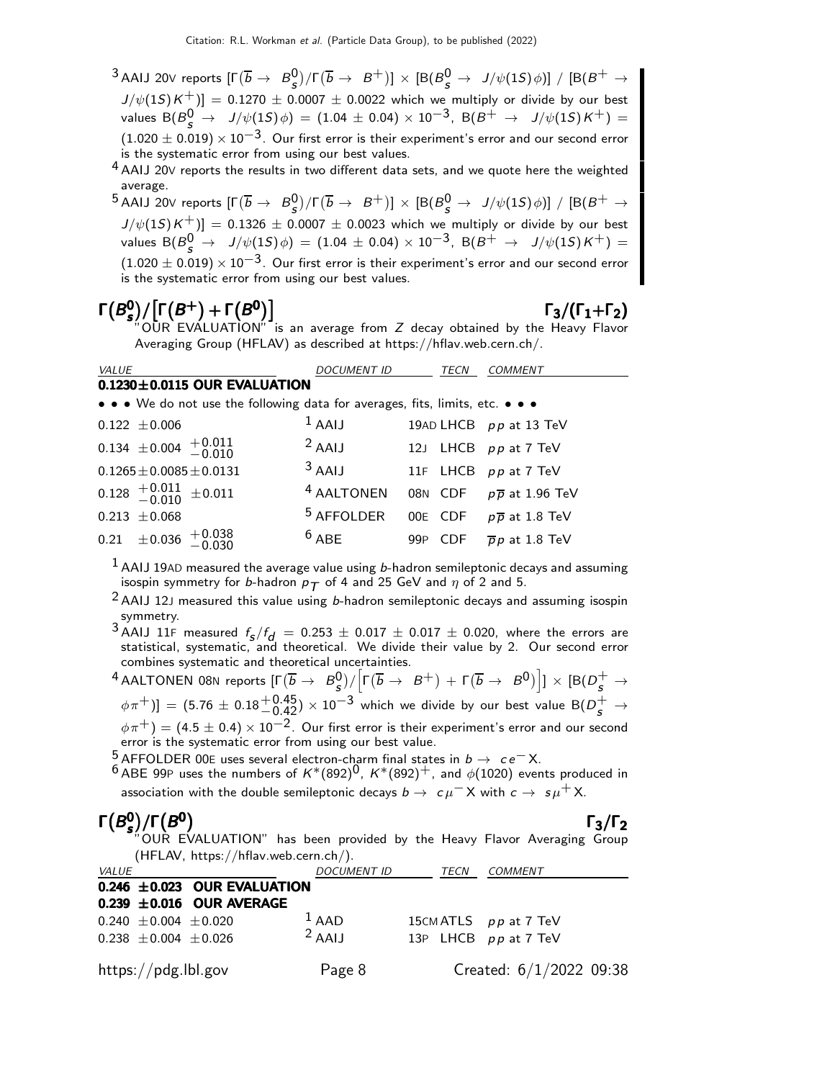$^3$ AAIJ 20V reports  $[\Gamma(\overline{b}\to~B_S^0)/\Gamma(\overline{b}\to~B^+)]\times[{\rm B}(B_S^0\to~J/\psi(1S)\phi)]~/~[{\rm B}(B^+\to0)$  $J/\psi(1S)K^+_{\phantom{0}})]=0.1270\pm0.0007\pm0.0022$  which we multiply or divide by our best values  ${\sf B}(\overline{\mathcal{B}}^0_S \to \overline{\phantom{x}}\, J/\psi(1S)\,\phi) \,=\, (1.04\, \pm \, 0.04) \times 10^{-3}, \,\,{\sf B}(\overline{\mathcal{B}}^+ \,\to \,\, \overline{\phantom{x}}\, J/\psi(1S)\, \mathcal{K}^+) \,=\,$  $(1.020 \pm 0.019) \times 10^{-3}$ . Our first error is their experiment's error and our second error is the systematic error from using our best values.

4 AAIJ 20V reports the results in two different data sets, and we quote here the weighted average.

 $^5$ AAIJ 20V reports  $[\Gamma(\overline{b}\to~B_S^0)/\Gamma(\overline{b}\to~B^+)]\times[{\rm B}(B_S^0\to~J/\psi(1S)\phi)]~/~[{\rm B}(B^+\to0)$  $J/\psi(1S)K^+_{\phantom{0}})]=0.1326\,\pm\,0.0007\,\pm\,0.0023$  which we multiply or divide by our best values  ${\sf B}(\overline{\mathcal{B}}^0_S \to \overline{\phantom{x}}\, J/\psi(1S)\, \phi) \,=\, (1.04\, \pm \, 0.04) \times 10^{-3}, \,\,{\sf B}(\overline{\mathcal{B}}^+ \,\to \,\, \overline{\phantom{x}}\, J/\psi(1S)\, \overline{\mathcal{K}}^+) \,=\,$  $(1.020 \pm 0.019) \times 10^{-3}$ . Our first error is their experiment's error and our second error<br>is the systematic error from using our best values.

### Γ $(B_{\mathsf{c}}^0$  $\Gamma(B^0_s)/[\Gamma(B^+)+\Gamma(B^0)]$   $\Gamma_3/(\Gamma_1+\Gamma_2)$

## $\Gamma_3/(\Gamma_1+\Gamma_2)$

OUR EVALUATION" is an average from Z decay obtained by the Heavy Flavor Averaging Group (HFLAV) as described at https://hflav.web.cern.ch/.

| <b>VALUE</b>                                                                  | <b>DOCUMENT ID</b>    | TECN                   | COMMENT                             |
|-------------------------------------------------------------------------------|-----------------------|------------------------|-------------------------------------|
| $0.1230 \pm 0.0115$ OUR EVALUATION                                            |                       |                        |                                     |
| • • • We do not use the following data for averages, fits, limits, etc. • • • |                       |                        |                                     |
| $0.122 \pm 0.006$                                                             | $1$ AAIJ              |                        | 19AD LHCB pp at 13 TeV              |
| $0.134 \pm 0.004 \pm 0.011$                                                   | $2$ AAIJ              |                        | 12J LHCB pp at 7 TeV                |
| $0.1265 \pm 0.0085 \pm 0.0131$                                                | $3$ AAIJ              |                        | 11F LHCB pp at 7 TeV                |
| $0.128 + 0.011 + 0.011$                                                       | <sup>4</sup> AALTONEN |                        | 08N CDF $p\overline{p}$ at 1.96 TeV |
| $0.213 \pm 0.068$                                                             | $5$ AFFOLDER          |                        | 00E CDF $p\overline{p}$ at 1.8 TeV  |
| $0.21 \pm 0.036 + 0.038$<br>-0.030                                            | $6$ ABE               | CDF<br>99 <sub>P</sub> | $\overline{p}p$ at 1.8 TeV          |

 $^1$  AAIJ 19AD measured the average value using b-hadron semileptonic decays and assuming isospin symmetry for b-hadron  $p_T$  of 4 and 25 GeV and  $\eta$  of 2 and 5.

- $2$  AAIJ 12J measured this value using b-hadron semileptonic decays and assuming isospin symmetry.
- <sup>3</sup> AAIJ 11F measured  $f_s/f_d = 0.253 \pm 0.017 \pm 0.017 \pm 0.020$ , where the errors are statistical, systematic, and theoretical. We divide their value by 2. Our second error combines systematic and theoretical uncertainties.
- $^4$ AALTONEN 08N reports  $[\Gamma(\overline{b}\rightarrow~B_S^0)/\Big[\Gamma(\overline{b}\rightarrow~B^+)+\Gamma(\overline{b}\rightarrow~B^0)\Big]]\times[{\rm B}(D_{\cal S}^+\rightarrow {\cal A})]$  $(\phi \pi^+)$ ] =  $(5.76 \pm 0.18^{+0.45}_{-0.42}) \times 10^{-3}$  which we divide by our best value B( $D_s^+ \to$  $\phi\pi^+)=(4.5\pm0.4)\times10^{-2}$ . Our first error is their experiment's error and our second error is the systematic error from using our best value.

<sup>5</sup> AFFOLDER 00E uses several electron-charm final states in *b* → ce<sup>−</sup> X.<br><sup>6</sup> ABE 99P uses the numbers of K\*(892)<sup>0</sup>, K\*(892)<sup>+</sup>, and  $\phi$ (1020) events produced in association with the double semileptonic decays  $b \to c \mu^- X$  with  $c \to s \mu^+ X$ .

## $Γ(B_s^0$

 $\Gamma(B_s^0)/\Gamma(B^0)$  Γ<sub>3</sub>/Γ<sub>2</sub> Γ $(B<sup>0</sup><sub>s</sub>)/\Gamma(B<sup>0</sup>)$  Γ<sub>3</sub>/Γ<sub>2</sub> Γ3/Γ"OUR EVALUATION" has been provided by the Heavy Flavor Averaging Group (HFLAV, https://hflav.web.cern.ch/).

| <i>VALUE</i>                     | <b>DOCUMENT ID</b> | TECN | <i>COMMENT</i>            |
|----------------------------------|--------------------|------|---------------------------|
| 0.246 $\pm$ 0.023 OUR EVALUATION |                    |      |                           |
| $0.239 \pm 0.016$ OUR AVERAGE    |                    |      |                           |
| $0.240 \pm 0.004 \pm 0.020$      | $1$ AAD            |      | 15 CM ATLS $pp$ at 7 TeV  |
| $0.238 \pm 0.004 \pm 0.026$      | $2$ AAIJ           |      | 13P LHCB pp at 7 TeV      |
| https://pdg.lbl.gov              | Page 8             |      | Created: $6/1/2022$ 09:38 |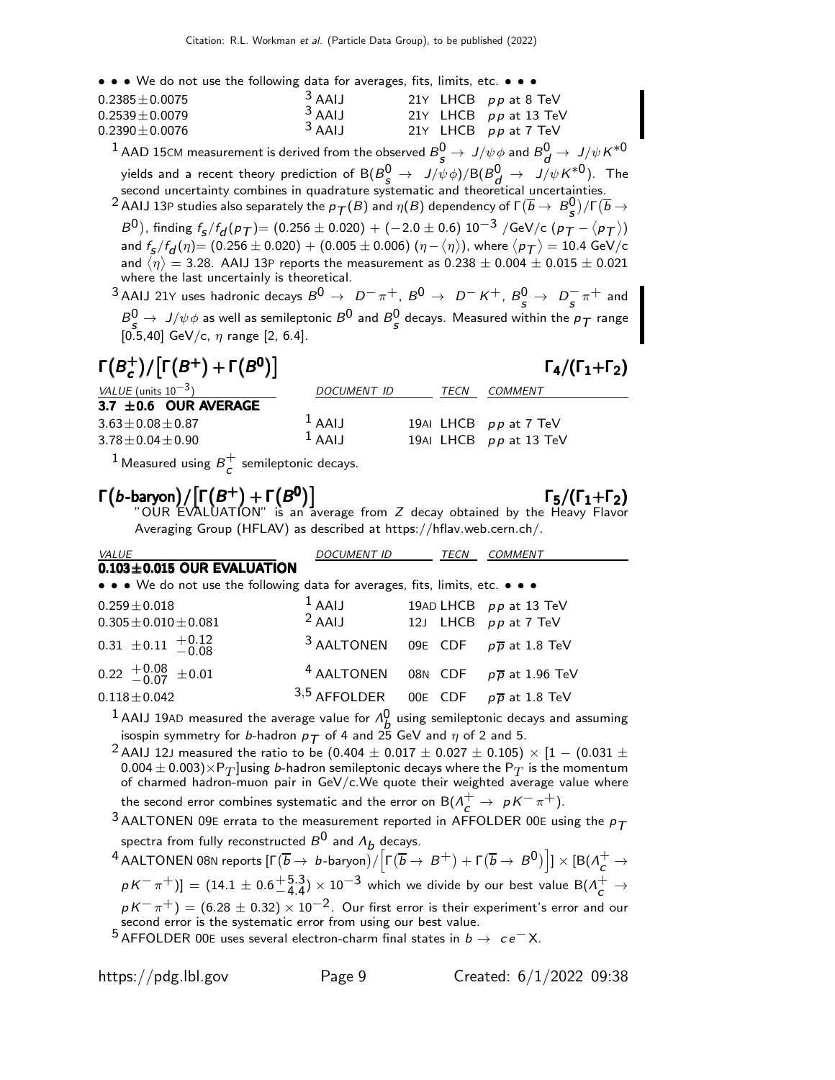• • • We do not use the following data for averages, fits, limits, etc. • • •

| $0.2385 \pm 0.0075$ | $3$ AAIJ |  | 21Y LHCB $pp$ at 8 TeV  |
|---------------------|----------|--|-------------------------|
| $0.2539 \pm 0.0079$ | $3$ AAIJ |  | 21Y LHCB $pp$ at 13 TeV |
| $0.2390 \pm 0.0076$ | $3$ AAIJ |  | 21Y LHCB $pp$ at 7 TeV  |

 $^1$  AAD 15CM measurement is derived from the observed  $B^0_S\to\ J/\psi\phi$  and  $B^0_d\to\ J/\psi\,K^{*0}$ yields and a recent theory prediction of  $\textsf{B}(B_{S}^{0}\to J/\psi \phi)/\textsf{B}(B_{d}^{0}\to J/\psi K^{*0}).$  The second uncertainty combines in quadrature systematic and theoretical uncertainties.

 $^2$  AAIJ 13P studies also separately the  $p_{\cal T}(B)$  and  $\eta(B)$  dependency of  $\Gamma(\overline{b} \to \overline{B^0_S})/\Gamma(\overline{b} \to \overline{B^0_S})$ 

 $B^{\rm O})$ , finding  $f_{\rm g}/f_{\rm d}^{}(\rho_{\rm T})$   $= (0.256 \pm 0.020) + (-2.0 \pm 0.6)~10^{-3}$  /GeV/c  $(\rho_{\rm T}^{} - \langle \rho_{\rm T}^{} \rangle)$ and  $f_5/f_d(\eta)$   $= (0.256 \pm 0.020) + (0.005 \pm 0.006)$   $(\eta-\langle \eta \rangle)$ , where  $\langle \rho_{\bm{\mathcal{T}}} \rangle = 10.4$  GeV/c and  $\langle \eta \rangle =$  3.28. AAIJ 13P reports the measurement as  $0.238 \pm 0.004 \pm 0.015 \pm 0.021$ where the last uncertainly is theoretical.

 $3$  AAIJ 21Y uses hadronic decays  $B^0 \to D^- \pi^+$ ,  $B^0 \to D^- K^+$ ,  $B^0_s \to D_s^- \pi^+$  and  $B^0 \rightarrow J/\psi \phi$  as well as semileptonic  $B^0$  and  $B^0_S$  decays. Measured within the  $p_{\mathcal{T}}$  range  $[0.5, 40]$  GeV/c,  $\eta$  range [2, 6.4].

| $\Gamma(B_c^+)/[\Gamma(B^+)+\Gamma(B^0)]$ |                    |      | $\Gamma_4/(\Gamma_1+\Gamma_2)$ |
|-------------------------------------------|--------------------|------|--------------------------------|
| VALUE (units $10^{-3}$ )                  | <b>DOCUMENT ID</b> | TECN | COMMENT                        |
| 3.7 $\pm$ 0.6 OUR AVERAGE                 |                    |      |                                |
| $3.63 \pm 0.08 \pm 0.87$                  | $1$ AAIJ           |      | 19AI LHCB pp at 7 TeV          |
| $3.78 \pm 0.04 \pm 0.90$                  | $1$ AAIJ           |      | 19AI LHCB $pp$ at 13 TeV       |
|                                           |                    |      |                                |

<sup>1</sup> Measured using  $B_{c}^{+}$  $\overline{c}$  semileptonic decays.

## $\Gamma(b$ -baryon $)/[\Gamma(B^+) + \Gamma(B^0)]$   $\Gamma_5/(\Gamma_1 + \Gamma_2)$

 $"$ OUR EVALUATION" is an average from  $Z$  decay obtained by the Heavy Flavor Averaging Group (HFLAV) as described at https://hflav.web.cern.ch/.

| <b>VALUE</b>                                                                  | <i>DOCUMENT ID</i>                                        | TECN | <b>COMMENT</b> |
|-------------------------------------------------------------------------------|-----------------------------------------------------------|------|----------------|
| $0.103 \pm 0.015$ OUR EVALUATION                                              |                                                           |      |                |
| • • • We do not use the following data for averages, fits, limits, etc. • • • |                                                           |      |                |
| $0.259 \pm 0.018$                                                             | $1$ AAIJ 19AD LHCB $pp$ at 13 TeV                         |      |                |
| $0.305 \pm 0.010 \pm 0.081$                                                   | $2$ AAIJ 12J LHCB $pp$ at 7 TeV                           |      |                |
| $0.31 \pm 0.11 + 0.12$<br>-0.08                                               | 3 AALTONEN 09E CDF $p\overline{p}$ at 1.8 TeV             |      |                |
| $0.22 \begin{array}{c} +0.08 \\ -0.07 \end{array} \pm 0.01$                   | <sup>4</sup> AALTONEN 08N CDF $p\overline{p}$ at 1.96 TeV |      |                |
| $0.118 \pm 0.042$                                                             | 3,5 AFFOLDER 00E CDF $p\overline{p}$ at 1.8 TeV           |      |                |
|                                                                               | $\sim$                                                    |      |                |

<sup>1</sup> AAIJ 19AD measured the average value for  $\Lambda^0$  using semileptonic decays and assuming isospin symmetry for b-hadron  $p_T$  of 4 and 25 GeV and  $\eta$  of 2 and 5.

<sup>2</sup> AAIJ 12J measured the ratio to be (0.404  $\pm$  0.017  $\pm$  0.027  $\pm$  0.105)  $\times$  [1 – (0.031  $\pm$  $(0.004 \pm 0.003) \times P_T$  using *b*-hadron semileptonic decays where the  $P_T$  is the momentum of charmed hadron-muon pair in  $GeV/c$ . We quote their weighted average value where the second error combines systematic and the error on  $\mathsf{B}(\Lambda_{\mathsf{C}}^+\to~pK^-\pi^+).$ 

<sup>3</sup> AALTONEN 09E errata to the measurement reported in AFFOLDER 00E using the  $p_T$ spectra from fully reconstructed  $B^0$  and  $\Lambda_b$  decays.

 $^4$  AALTONEN 08N reports  $[\Gamma(\overline{b}\to~b\text{-baryon})/\Big[\Gamma(\overline{b}\to~B^+)+\Gamma(\overline{b}\to~B^0)\Big]]\times[B(\overline{\Lambda}_c^+\to b\bar b)]$  $p\,$  $p\,$   $\pi^+)$   $] = (14.1 \pm 0.6^{+5.3}_{-4.4}) \times 10^{-3}$  which we divide by our best value B( $\Lambda_c^+ \rightarrow$ −4.4  $pK^-\pi^+)=(6.28\pm0.32)\times10^{-2}.$  Our first error is their experiment's error and our second error is the systematic error from using our best value.

5 AFFOLDER 00E uses several electron-charm final states in  $b \to c e^- X$ .

https://pdg.lbl.gov Page 9 Created: 6/1/2022 09:38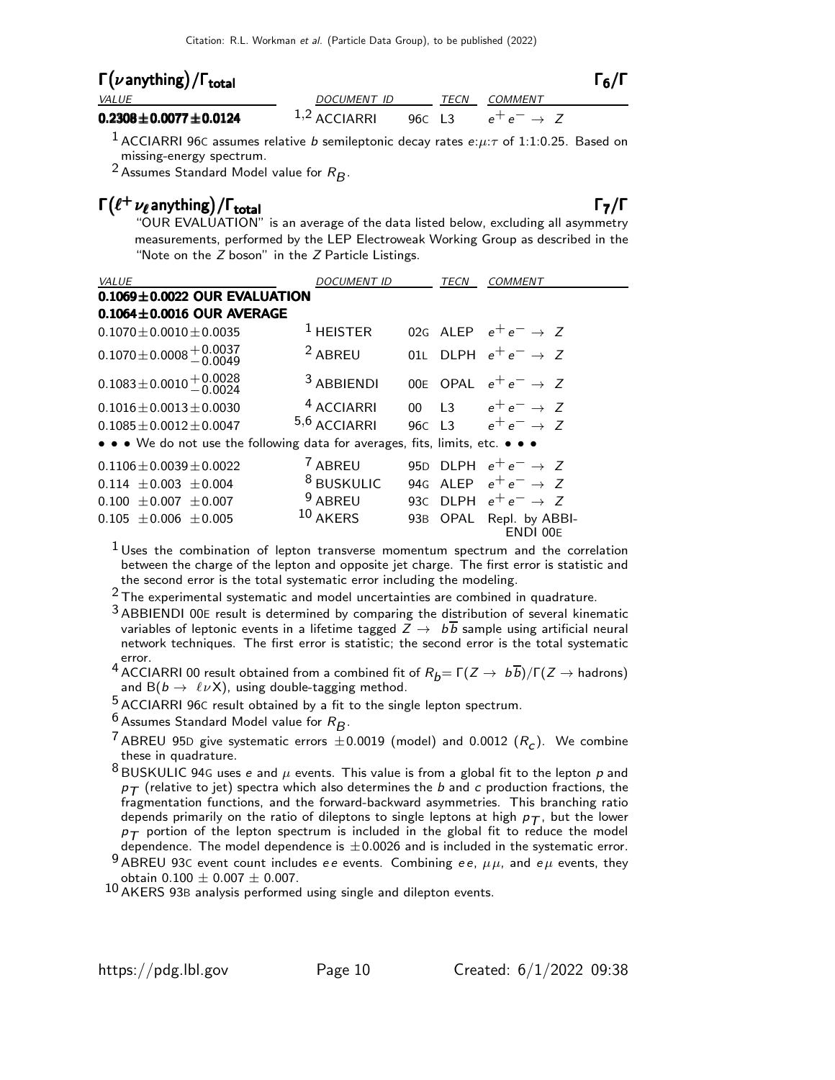## Γ $(\nu$  anything) / Γ<sub>total</sub> 6 (Γενικά) του Καντινό Γενικό Γενικό Γενικό Γενικό Γενικό Γενικό Γενικό Γενικό Γενικό

| <b>VALUE</b>                       | DOCUMENT ID    | TECN COMMENT                  |  |
|------------------------------------|----------------|-------------------------------|--|
| $0.2308\!\pm\!0.0077\!\pm\!0.0124$ | $1,2$ ACCIARRI | 960 L3 $e^+e^- \rightarrow Z$ |  |

<sup>1</sup> ACCIARRI 96C assumes relative *b* semileptonic decay rates  $e:\mu:\tau$  of 1:1:0.25. Based on missing-energy spectrum.

<sup>2</sup> Assumes Standard Model value for  $R_B$ .

## $\Gamma(\ell^+\nu_\ell$  anything) / Γ<sub>total</sub> Γ<sub>7</sub>/Γ

"OUR EVALUATION" is an average of the data listed below, excluding all asymmetry measurements, performed by the LEP Electroweak Working Group as described in the "Note on the Z boson" in the Z Particle Listings.

| VALUE                                                                         | <i>DOCUMENT ID</i>    |        | TECN | COMMENT                         |
|-------------------------------------------------------------------------------|-----------------------|--------|------|---------------------------------|
| $0.1069 \pm 0.0022$ OUR EVALUATION                                            |                       |        |      |                                 |
| $0.1064 \pm 0.0016$ OUR AVERAGE                                               |                       |        |      |                                 |
| $0.1070 \pm 0.0010 \pm 0.0035$                                                | $1$ HEISTER           |        |      | 02G ALEP $e^+e^- \rightarrow Z$ |
| $0.1070 \pm 0.0008 \pm 0.0037$                                                | <sup>2</sup> ABREU    |        |      | 01L DLPH $e^+e^- \rightarrow Z$ |
| $0.1083 \pm 0.0010 \pm 0.0028$                                                | <sup>3</sup> ABBIENDI |        |      | 00E OPAL $e^+e^- \rightarrow Z$ |
| $0.1016 \pm 0.0013 \pm 0.0030$                                                | <sup>4</sup> ACCIARRI |        |      | 00 L3 $e^+e^- \to Z$            |
| $0.1085 \pm 0.0012 \pm 0.0047$                                                | $5,6$ ACCIARRI        | 96C L3 |      | $e^+e^- \rightarrow Z$          |
| • • • We do not use the following data for averages, fits, limits, etc. • • • |                       |        |      |                                 |
| $0.1106 \pm 0.0039 \pm 0.0022$                                                | <sup>7</sup> ABREU    |        |      | 950 DLPH $e^+e^- \rightarrow Z$ |
| $0.114 \pm 0.003 \pm 0.004$                                                   | <sup>8</sup> BUSKULIC |        |      | 94G ALEP $e^+e^- \rightarrow Z$ |
| $0.100 \pm 0.007 \pm 0.007$                                                   | <sup>9</sup> ABREU    |        |      | 93C DLPH $e^+e^- \rightarrow Z$ |
| $0.105 \pm 0.006 \pm 0.005$                                                   | $10$ AKERS            | 93B    |      | OPAL Repl. by ABBI-<br>ENDI 00E |

 $<sup>1</sup>$  Uses the combination of lepton transverse momentum spectrum and the correlation</sup> between the charge of the lepton and opposite jet charge. The first error is statistic and the second error is the total systematic error including the modeling.

 $2$  The experimental systematic and model uncertainties are combined in quadrature.

<sup>3</sup> ABBIENDI 00E result is determined by comparing the distribution of several kinematic variables of leptonic events in a lifetime tagged  $Z \rightarrow b\overline{b}$  sample using artificial neural network techniques. The first error is statistic; the second error is the total systematic

error.<br><sup>4</sup> ACCIARRI 00 result obtained from a combined fit of  $R_b = \Gamma(Z \to b\overline{b})/\Gamma(Z \to \text{hadrons})$ and  $B(b \to \ell \nu X)$ , using double-tagging method.

5 ACCIARRI 96<sup>C</sup> result obtained by a fit to the single lepton spectrum.

 $^6$  Assumes Standard Model value for  $R_B$ .

<sup>7</sup> ABREU 95D give systematic errors  $\pm 0.0019$  (model) and 0.0012  $(R_c)$ . We combine these in quadrature.

 $8$  BUSKULIC 94G uses e and  $\mu$  events. This value is from a global fit to the lepton  $p$  and  $p_T$  (relative to jet) spectra which also determines the b and c production fractions, the fragmentation functions, and the forward-backward asymmetries. This branching ratio depends primarily on the ratio of dileptons to single leptons at high  $p_T$ , but the lower  $p_T$  portion of the lepton spectrum is included in the global fit to reduce the model dependence. The model dependence is  $\pm 0.0026$  and is included in the systematic error.

9 ABREU 93C event count includes ee events. Combining ee,  $\mu\mu$ , and e $\mu$  events, they obtain  $0.100 \pm 0.007 \pm 0.007$ .

10 AKERS 93B analysis performed using single and dilepton events.

 $\Gamma_6/\Gamma$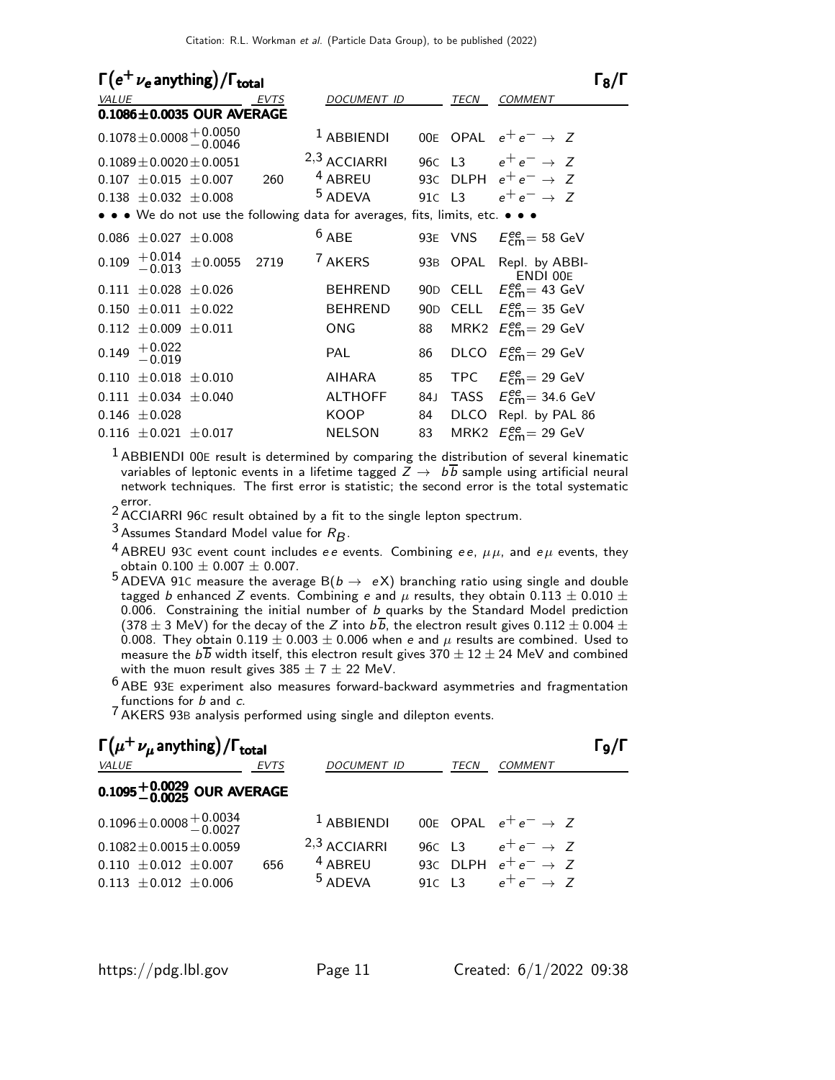| $\Gamma(e^+\nu_e)$ anything) / $\Gamma_{total}$                               |      |                    |                 |          |                                                  | $\mathsf{I}$ $\mathsf{R}/\mathsf{I}$ |
|-------------------------------------------------------------------------------|------|--------------------|-----------------|----------|--------------------------------------------------|--------------------------------------|
| <b>VALUE</b>                                                                  | EVTS | DOCUMENT ID        |                 | TECN     | <b>COMMENT</b>                                   |                                      |
| $0.1086 \pm 0.0035$ OUR AVERAGE                                               |      |                    |                 |          |                                                  |                                      |
| $0.1078 \pm 0.0008 \begin{array}{l} +0.0050 \\ -0.0046 \end{array}$           |      | $1$ ABBIENDI       |                 |          | 00E OPAL $e^+e^- \rightarrow Z$                  |                                      |
| $0.1089 \pm 0.0020 \pm 0.0051$                                                |      | $2,3$ ACCIARRI     |                 |          | 960 L3 $e^+e^- \to Z$                            |                                      |
| $0.107 \pm 0.015 \pm 0.007$                                                   | 260  | <sup>4</sup> ABREU |                 |          | 93C DLPH $e^+e^- \rightarrow Z$                  |                                      |
| $0.138 \pm 0.032 \pm 0.008$                                                   |      | <sup>5</sup> ADEVA | 91C L3          |          | $e^+e^- \rightarrow Z$                           |                                      |
| • • • We do not use the following data for averages, fits, limits, etc. • • • |      |                    |                 |          |                                                  |                                      |
| $0.086 \pm 0.027 \pm 0.008$                                                   |      | $6$ ABE            |                 |          | 93E VNS $E_{cm}^{ee}$ = 58 GeV                   |                                      |
| $0.109 + 0.014 + 0.0055$                                                      | 2719 | <sup>7</sup> AKERS |                 | 93B OPAL | Repl. by ABBI-<br>ENDI 00E                       |                                      |
| $0.111 \pm 0.028 \pm 0.026$                                                   |      | <b>BEHREND</b>     |                 |          | 90D CELL $E_{\text{cm}}^{ee}$ = 43 GeV           |                                      |
| $0.150 \pm 0.011 \pm 0.022$                                                   |      | <b>BEHREND</b>     | 90 <sub>D</sub> |          | CELL $E_{cm}^{ee} = 35$ GeV                      |                                      |
| $0.112 \pm 0.009 \pm 0.011$                                                   |      | ONG                | 88              |          | MRK2 $E_{cm}^{ee}$ = 29 GeV                      |                                      |
| $0.149$ $^{+0.022}_{-0.019}$                                                  |      | PAI                | 86              |          | DLCO $E_{cm}^{ee}$ = 29 GeV                      |                                      |
| $0.110 \pm 0.018 \pm 0.010$                                                   |      | AIHARA             | 85              |          | TPC $E_{\text{cm}}^{\text{ee}} = 29 \text{ GeV}$ |                                      |
| $0.111 \pm 0.034 \pm 0.040$                                                   |      | <b>ALTHOFF</b>     | 84 J            |          | TASS $E_{\text{cm}}^{\text{ee}}$ = 34.6 GeV      |                                      |
| $0.146 \pm 0.028$                                                             |      | <b>KOOP</b>        | 84              |          | DLCO Repl. by PAL 86                             |                                      |
| $0.116 \pm 0.021 \pm 0.017$                                                   |      | <b>NELSON</b>      | 83              |          | MRK2 $E_{\text{cm}}^{\text{ee}}$ = 29 GeV        |                                      |

 $<sup>1</sup>$  ABBIENDI 00E result is determined by comparing the distribution of several kinematic</sup> variables of leptonic events in a lifetime tagged  $\overline{Z} \rightarrow b\overline{b}$  sample using artificial neural network techniques. The first error is statistic; the second error is the total systematic

error.<br><sup>2</sup> ACCIARRI 96C result obtained by a fit to the single lepton spectrum.

<sup>3</sup> Assumes Standard Model value for  $R_B$ .

<sup>4</sup> ABREU 93C event count includes ee events. Combining ee,  $\mu\mu$ , and e $\mu$  events, they

obtain 0.100  $\pm$  0.007  $\pm$  0.007.<br><sup>5</sup> ADEVA 91C measure the average B(*b*  $\rightarrow$  eX) branching ratio using single and double tagged b enhanced Z events. Combining e and  $\mu$  results, they obtain 0.113  $\pm$  0.010  $\pm$  $0.006$ . Constraining the initial number of b quarks by the Standard Model prediction (378  $\pm$  3 MeV) for the decay of the Z into  $b\overline{b}$ , the electron result gives 0.112  $\pm$  0.004  $\pm$ 0.008. They obtain  $0.119 \pm 0.003 \pm 0.006$  when e and  $\mu$  results are combined. Used to measure the  $b\overline{b}$  width itself, this electron result gives 370  $\pm$  12  $\pm$  24 MeV and combined with the muon result gives  $385 \pm 7 \pm 22$  MeV.

 $6$  ABE 93E experiment also measures forward-backward asymmetries and fragmentation functions for b and c.

7 AKERS 93B analysis performed using single and dilepton events.

| $\Gamma(\mu^+ \nu_\mu$ anything) / $\Gamma_{total}$                                          |             |                                                   |                      |      |                                                                                     |  |  |
|----------------------------------------------------------------------------------------------|-------------|---------------------------------------------------|----------------------|------|-------------------------------------------------------------------------------------|--|--|
| <i>VALUE</i>                                                                                 | <b>EVTS</b> | <b>DOCUMENT ID</b>                                |                      | TECN | <b>COMMENT</b>                                                                      |  |  |
| $0.1095^{+0.0029}_{-0.0025}$ OUR AVERAGE                                                     |             |                                                   |                      |      |                                                                                     |  |  |
| $0.1096 \pm 0.0008 \pm 0.0034$                                                               |             | $1$ ABBIENDI                                      |                      |      | 00E OPAL $e^+e^- \rightarrow Z$                                                     |  |  |
| $0.1082 \pm 0.0015 \pm 0.0059$<br>$0.110 \pm 0.012 \pm 0.007$<br>$0.113 \pm 0.012 \pm 0.006$ | 656         | $2,3$ ACCIARRI<br>$4$ ABREU<br><sup>5</sup> ADEVA | 96C L3<br>$91C$ $13$ |      | $e^+e^- \rightarrow Z$<br>93C DLPH $e^+e^- \rightarrow Z$<br>$e^+e^- \rightarrow Z$ |  |  |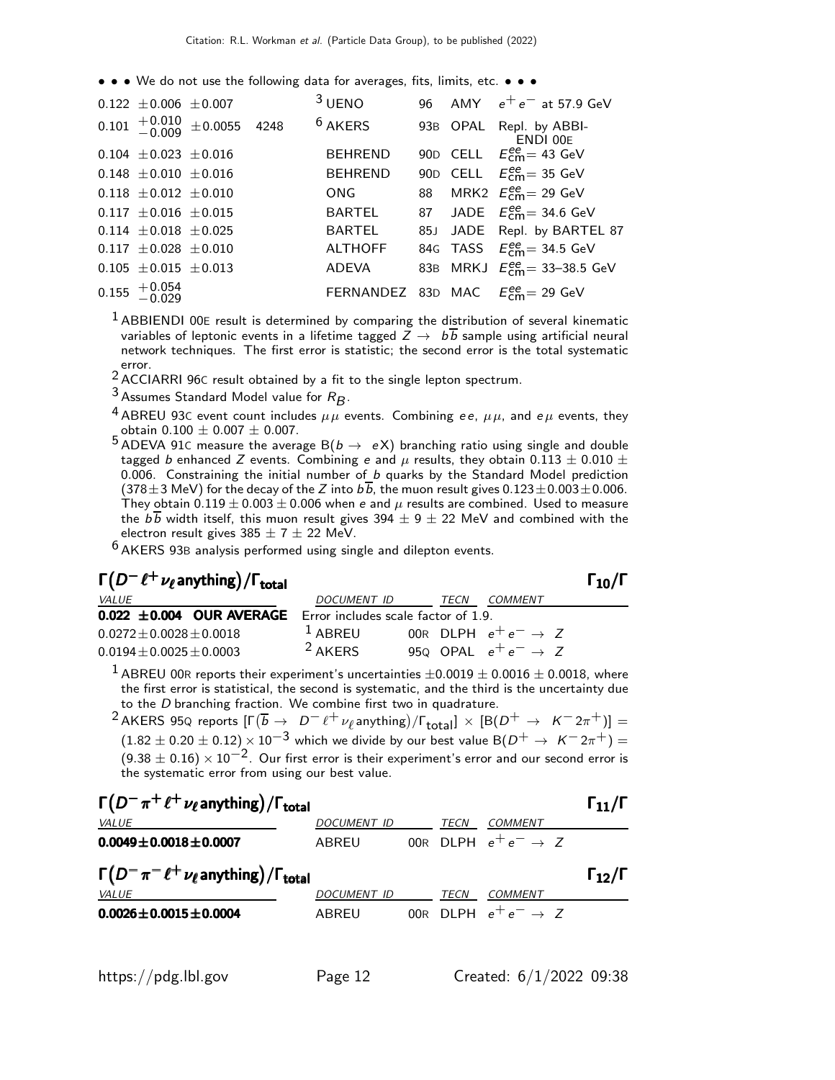• • • We do not use the following data for averages, fits, limits, etc. • • •

| $0.122 \pm 0.006 \pm 0.007$  |                                | $3$ UENO       |  | 96 AMY $e^+e^-$ at 57.9 GeV                                    |
|------------------------------|--------------------------------|----------------|--|----------------------------------------------------------------|
|                              | $0.101 + 0.010 + 0.00055$ 4248 | $6$ AKERS      |  | 93B OPAL Repl. by ABBI-<br>ENDI 00E                            |
| $0.104 \pm 0.023 \pm 0.016$  |                                | <b>BEHREND</b> |  | 90D CELL $E_{\text{cm}}^{ee}$ = 43 GeV                         |
| $0.148 \pm 0.010 \pm 0.016$  |                                | <b>BEHREND</b> |  | 90D CELL $E_{cm}^{ee}$ = 35 GeV                                |
| $0.118 \pm 0.012 \pm 0.010$  |                                | <b>ONG</b>     |  | 88 MRK2 $E_{\text{cm}}^{ee}$ = 29 GeV                          |
| $0.117 \pm 0.016 \pm 0.015$  |                                | BARTEL         |  | 87 JADE $E_{\text{cm}}^{ee}$ = 34.6 GeV                        |
| $0.114 \pm 0.018 \pm 0.025$  |                                | BARTEL         |  | 85J JADE Repl. by BARTEL 87                                    |
| $0.117 \pm 0.028 \pm 0.010$  |                                | <b>ALTHOFF</b> |  | 84G TASS $E_{\text{cm}}^{ee} = 34.5 \text{ GeV}$               |
| $0.105 \pm 0.015 \pm 0.013$  |                                | ADEVA          |  | 83B MRKJ $E_{cm}^{ee} = 33 - 38.5$ GeV                         |
| $0.155$ $^{+0.054}_{-0.029}$ |                                |                |  | FERNANDEZ 83D MAC $E_{\text{cm}}^{\text{ee}} = 29 \text{ GeV}$ |
|                              |                                |                |  |                                                                |

 $<sup>1</sup>$  ABBIENDI 00E result is determined by comparing the distribution of several kinematic</sup> variables of leptonic events in a lifetime tagged  $Z \to b\overline{b}$  sample using artificial neural network techniques. The first error is statistic; the second error is the total systematic error.<br><sup>2</sup> ACCIARRI 96C result obtained by a fit to the single lepton spectrum.

<sup>3</sup> Assumes Standard Model value for  $R_B$ .

<sup>4</sup> ABREU 93C event count includes  $\mu\mu$  events. Combining ee,  $\mu\mu$ , and e $\mu$  events, they obtain 0.100  $\pm$  0.007  $\pm$  0.007.

obtain 0.100  $\pm$  0.007  $\pm$  0.007.<br><sup>5</sup> ADEVA 91C measure the average B(*b*  $\rightarrow$  eX) branching ratio using single and double tagged b enhanced Z events. Combining e and  $\mu$  results, they obtain 0.113  $\pm$  0.010  $\pm$ 0.006. Constraining the initial number of  $b$  quarks by the Standard Model prediction  $(378\pm3 \text{ MeV})$  for the decay of the Z into  $b\overline{b}$ , the muon result gives  $0.123\pm0.003\pm0.006$ . They obtain  $0.119 \pm 0.003 \pm 0.006$  when  $e$  and  $\mu$  results are combined. Used to measure the  $b\overline{b}$  width itself, this muon result gives 394  $\pm$  9  $\pm$  22 MeV and combined with the electron result gives  $385 \pm 7 \pm 22$  MeV.

 $6$  AKERS 93B analysis performed using single and dilepton events.

### $\Gamma(D^-\ell^+\nu_\ell$  anything) /  $\Gamma_{\rm total}$  (π)  $\Gamma_{\rm 10}/\Gamma$ /Γ $_{\rm total}$ Γ $_{10}$ /Γ

| <i>VALUE</i>                                                                       | DOCUMENT ID         | <i>TECN</i> | COMMENT                         |
|------------------------------------------------------------------------------------|---------------------|-------------|---------------------------------|
| <b>0.022 <math>\pm</math>0.004 OUR AVERAGE</b> Error includes scale factor of 1.9. |                     |             |                                 |
| $0.0272 + 0.0028 + 0.0018$                                                         | $\frac{1}{2}$ ARRFU |             | 00R DLPH $e^+e^- \rightarrow Z$ |
| $0.0194 + 0.0025 + 0.0003$                                                         | <sup>2</sup> AKERS  |             | 950 OPAL $e^+e^- \rightarrow Z$ |

<sup>1</sup> ABREU 00R reports their experiment's uncertainties  $\pm 0.0019 \pm 0.0016 \pm 0.0018$ , where the first error is statistical, the second is systematic, and the third is the uncertainty due to the D branching fraction. We combine first two in quadrature.

 $^2$ AKERS 95Q reports  $[\Gamma(\overline{b}\rightarrow \overline{D}^- \ell^+\nu_{\ell}$ anything)/ $\Gamma_{\text{total}}]\times[{\rm B}(D^+\rightarrow \overline{K}^- 2\pi^+)] =$  $(1.82 \pm 0.20 \pm 0.12) \times 10^{-3}$  which we divide by our best value B $(D^+ \rightarrow K^- 2\pi^+) =$  $(9.38 \pm 0.16) \times 10^{-2}$ . Our first error is their experiment's error and our second error is the systematic error from using our best value.

| $\Gamma(D^-\pi^+\ell^+\nu_\ell)$ anything) / $\Gamma_{\rm total}$ |                    |  |             |                                 | $\Gamma_{11}/\Gamma$ |
|-------------------------------------------------------------------|--------------------|--|-------------|---------------------------------|----------------------|
| <i>VALUE</i>                                                      | <i>DOCUMENT ID</i> |  | <i>TECN</i> | <i>COMMENT</i>                  |                      |
| $0.0049 \pm 0.0018 \pm 0.0007$                                    | ABREU              |  |             | 00R DLPH $e^+e^- \rightarrow Z$ |                      |
| $\Gamma(D^-\pi^-\ell^+\nu_\ell)$ anything) / $\Gamma_{total}$     |                    |  |             |                                 |                      |
|                                                                   |                    |  |             |                                 | $\Gamma_{12}/\Gamma$ |
| <b>VALUE</b>                                                      | <b>DOCUMENT ID</b> |  | <i>TECN</i> | <i>COMMENT</i>                  |                      |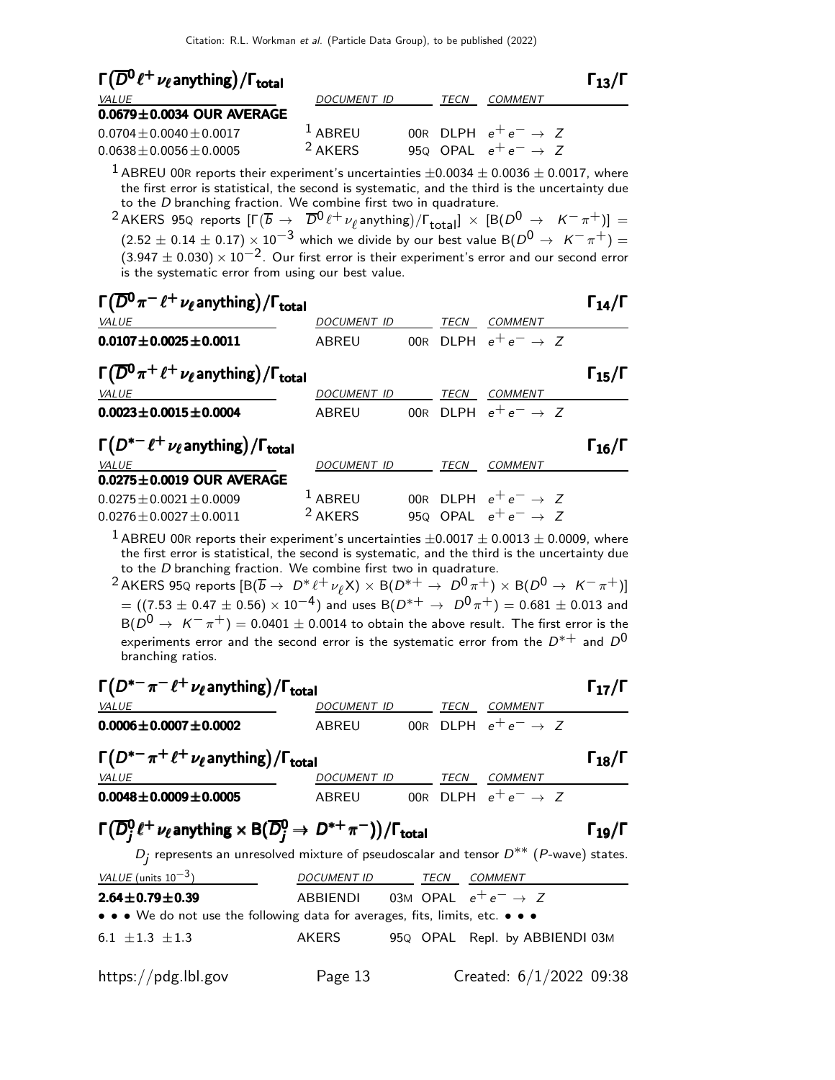| $\Gamma(\overline{D}^0\ell^+\nu_\ell)$ anything) / $\Gamma_{\rm total}$ |      |         | $\Gamma_{13}/\Gamma$                                               |
|-------------------------------------------------------------------------|------|---------|--------------------------------------------------------------------|
| <i>DOCUMENT ID</i>                                                      | TECN | COMMENT |                                                                    |
|                                                                         |      |         |                                                                    |
| $1$ ABREU                                                               |      |         |                                                                    |
| <sup>2</sup> AKERS                                                      |      |         |                                                                    |
|                                                                         |      |         | 00R DLPH $e^+e^- \rightarrow Z$<br>950 OPAL $e^+e^- \rightarrow Z$ |

 $1$  ABREU 00R reports their experiment's uncertainties  $\pm 0.0034 \pm 0.0036 \pm 0.0017$ , where the first error is statistical, the second is systematic, and the third is the uncertainty due to the D branching fraction. We combine first two in quadrature.

 $^2$ AKERS 95Q reports  $[\Gamma(\overline{b} \rightarrow \overline{D}0 \ell^+ \nu_\ell \text{anything})/\Gamma_{\text{total}}] \times [B(D^0 \rightarrow \overline{K^- \pi^+})] =$  $(2.52 \pm 0.14 \pm 0.17) \times 10^{-3}$  which we divide by our best value B $(D^0 \rightarrow K^-\pi^+) = 0$  $(3.947 \pm 0.030) \times 10^{-2}$ . Our first error is their experiment's error and our second error is the systematic error from using our best value.

| $\Gamma(\overline{D}^0\pi^-\ell^+\nu_\ell$ anything) / $\Gamma_{\rm total}$     |                    |     |      |                                 | $\Gamma_{14}/\Gamma$ |
|---------------------------------------------------------------------------------|--------------------|-----|------|---------------------------------|----------------------|
| <b>VALUE</b>                                                                    | <b>DOCUMENT ID</b> |     | TECN | <b>COMMENT</b>                  |                      |
| $0.0107 + 0.0025 + 0.0011$                                                      | ABREU              |     |      | 00R DIPH $e^+e^- \rightarrow Z$ |                      |
| $\Gamma(\overline{D}^0 \pi^+ \ell^+ \nu_\ell)$ anything) / $\Gamma_{\rm total}$ |                    |     |      |                                 | $\Gamma_{15}/\Gamma$ |
| VALUE                                                                           | DOCUMENT ID        |     | TECN | <b>COMMENT</b>                  |                      |
| $0.0023 \pm 0.0015 \pm 0.0004$                                                  | ABREU              |     |      | 00R DLPH $e^+e^- \rightarrow Z$ |                      |
| $\Gamma(D^{*-}\ell^+\nu_\ell$ anything) / $\Gamma_{\rm total}$                  |                    |     |      |                                 | $\Gamma_{16}/\Gamma$ |
| VALUE                                                                           | <b>DOCUMENT ID</b> |     | TECN | <b>COMMENT</b>                  |                      |
| $0.0275 \pm 0.0019$ OUR AVERAGE                                                 |                    |     |      |                                 |                      |
| $0.0275 + 0.0021 + 0.0009$                                                      | $1$ ABREU          | 00R |      | DLPH $e^+e^- \rightarrow Z$     |                      |
| $0.0276 + 0.0027 + 0.0011$                                                      | <sup>2</sup> AKERS |     |      | 950 OPAL $e^+e^- \rightarrow Z$ |                      |

<sup>1</sup> ABREU 00R reports their experiment's uncertainties  $\pm 0.0017 \pm 0.0013 \pm 0.0009$ , where the first error is statistical, the second is systematic, and the third is the uncertainty due to the D branching fraction. We combine first two in quadrature.

 $^2$  AKERS 95Q reports  $[\mathrm{B}(\overline{b}\to~D^*\ell^+\nu_\ell$ X)  $\times$   $\mathrm{B}(D^{*\,+}\to~D^0\pi^+)\times$   $\mathrm{B}(D^0\to~K^-\pi^+)$ ]  $= ((7.53 \pm 0.47 \pm 0.56) \times 10^{-4})$  and uses B $(D^{*+} \rightarrow D^0 \pi^+) = 0.681 \pm 0.013$  and  $B(D^0 \rightarrow K^-\pi^+) = 0.0401 \pm 0.0014$  to obtain the above result. The first error is the experiments error and the second error is the systematic error from the  $D^{*+}$  and  $D^0$ branching ratios.

| $\Gamma(D^{*-}\pi^-\ell^+\nu_\ell$ anything) / $\Gamma_{\rm total}$                                                                                        |                                          |  |      |                | $\Gamma_{17}/\Gamma$ |  |
|------------------------------------------------------------------------------------------------------------------------------------------------------------|------------------------------------------|--|------|----------------|----------------------|--|
| VALUE                                                                                                                                                      | DOCUMENT ID TECN                         |  |      | COMMENT        |                      |  |
| $0.0006 \pm 0.0007 \pm 0.0002$                                                                                                                             | ABREU 00R DLPH $e^+e^- \rightarrow Z$    |  |      |                |                      |  |
| $\Gamma(D^{*-}\pi^+\ell^+\nu_\ell$ anything) / $\Gamma_{\rm total}$                                                                                        |                                          |  |      |                | $\Gamma_{18}/\Gamma$ |  |
| VALUE                                                                                                                                                      | DOCUMENT ID TECN                         |  |      | <b>COMMENT</b> |                      |  |
| $0.0048 \pm 0.0009 \pm 0.0005$                                                                                                                             | ABREU 00R DLPH $e^+e^- \rightarrow Z$    |  |      |                |                      |  |
| $\Gamma(\overline{D}^0_i \ell^+ \nu_\ell)$ anything $\times$ B $(\overline{D}^0_i \rightarrow D^{*+} \pi^-)/\Gamma_{\text{total}}$<br>$\Gamma_{19}/\Gamma$ |                                          |  |      |                |                      |  |
| $D_i$ represents an unresolved mixture of pseudoscalar and tensor $D^{**}$ (P-wave) states.                                                                |                                          |  |      |                |                      |  |
| VALUE (units $10^{-3}$ )                                                                                                                                   | <i>DOCUMENT ID</i>                       |  | TECN | <b>COMMENT</b> |                      |  |
| $2.64 \pm 0.79 \pm 0.39$                                                                                                                                   | ABBIENDI 03M OPAL $e^+e^- \rightarrow Z$ |  |      |                |                      |  |

• • • We do not use the following data for averages, fits, limits, etc. • • •

 $6.1 \pm 1.3 \pm 1.3$  AKERS 95Q OPAL Repl. by ABBIENDI 03M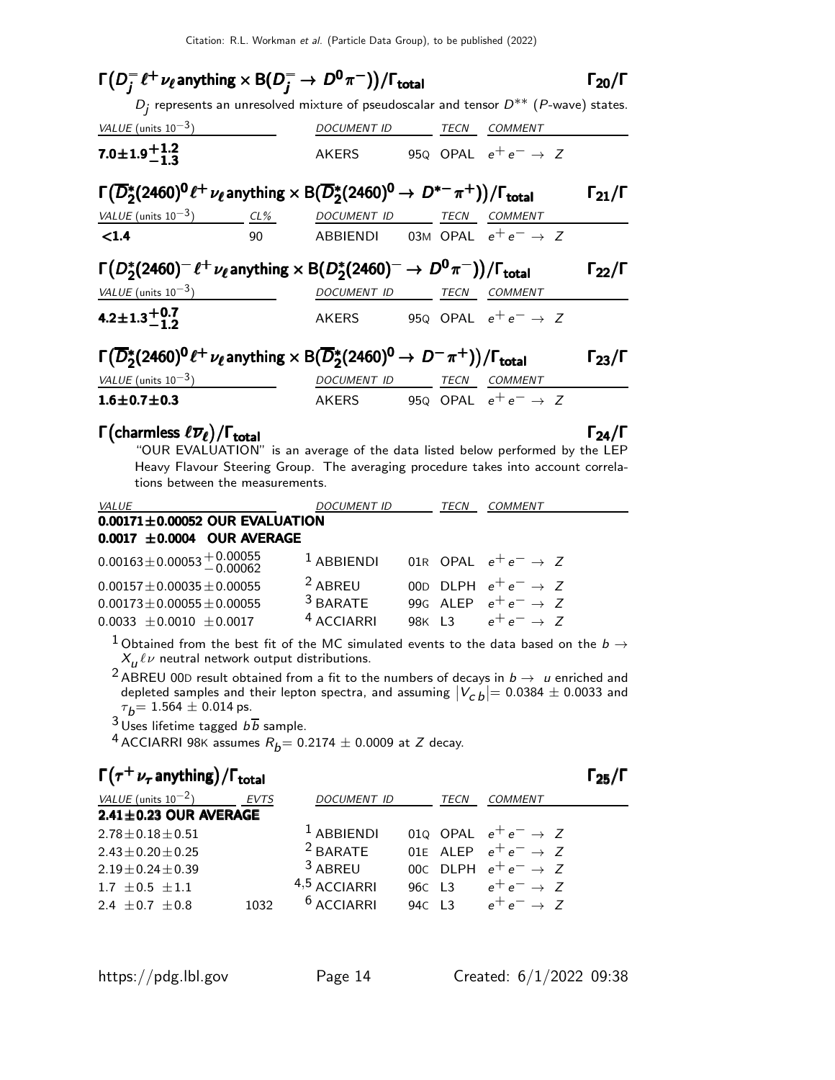| $\Gamma(D^-_i \ell^+ \nu_\ell)$ anything $\times$ B( $D^-_i \rightarrow D^0 \pi^-$ ))/ $\Gamma_{\text{total}}$                                      |    |                                                                                             |  |                                          | $\Gamma_{20}/\Gamma$ |
|-----------------------------------------------------------------------------------------------------------------------------------------------------|----|---------------------------------------------------------------------------------------------|--|------------------------------------------|----------------------|
|                                                                                                                                                     |    | $D_i$ represents an unresolved mixture of pseudoscalar and tensor $D^{**}$ (P-wave) states. |  |                                          |                      |
| VALUE (units $10^{-3}$ )                                                                                                                            |    | DOCUMENT ID TECN COMMENT                                                                    |  |                                          |                      |
| 7.0 ± 1.9 $^{+1.2}_{-1.3}$                                                                                                                          |    |                                                                                             |  | AKERS 950 OPAL $e^+e^- \rightarrow Z$    |                      |
| $\Gamma(\overline{D}_2^*(2460)^0 \ell^+ \nu_{\ell}$ anything $\times$ B $(\overline{D}_2^*(2460)^0 \rightarrow D^{*-}\pi^+))/\Gamma_{\text{total}}$ |    |                                                                                             |  |                                          | $\Gamma_{21}/\Gamma$ |
| VALUE (units $10^{-3}$ ) CL% DOCUMENT ID TECN                                                                                                       |    |                                                                                             |  | <i>COMMENT</i>                           |                      |
| $\leq 1.4$                                                                                                                                          | 90 |                                                                                             |  | ABBIENDI 03M OPAL $e^+e^- \rightarrow Z$ |                      |
| $\Gamma(D_2^*(2460)^-\ell^+\nu_\ell$ anything $\times$ B $(D_2^*(2460)^-\rightarrow D^0\pi^-))/\Gamma_{\rm total}$                                  |    |                                                                                             |  |                                          | Гээ/Г                |
| VALUE $(\text{units } 10^{-3})$                                                                                                                     |    | DOCUMENT ID TECN COMMENT                                                                    |  |                                          |                      |
| 4.2 $\pm$ 1.3 $^{+0.7}_{-1.2}$                                                                                                                      |    |                                                                                             |  | AKERS 950 OPAL $e^+e^- \rightarrow Z$    |                      |
| $\Gamma(\overline{D}_2^*(2460)^0 \ell^+ \nu_{\ell}$ anything $\times$ B $(\overline{D}_2^*(2460)^0 \rightarrow D^- \pi^+))/\Gamma_{\text{total}}$   |    |                                                                                             |  |                                          | $\Gamma_{23}/\Gamma$ |
| VALUE (units $10^{-3}$ )                                                                                                                            |    | DOCUMENT ID TECN                                                                            |  | COMMENT                                  |                      |
| $1.6 \pm 0.7 \pm 0.3$                                                                                                                               |    |                                                                                             |  | AKERS 950 OPAL $e^+e^- \rightarrow Z$    |                      |
| $\Gamma$ (charmless $\ell \overline{\nu}_{\ell}$ )/ $\Gamma_{\text{total}}$                                                                         |    |                                                                                             |  |                                          | $\Gamma_{24}/\Gamma$ |

"OUR EVALUATION" is an average of the data listed below performed by the LEP Heavy Flavour Steering Group. The averaging procedure takes into account correlations between the measurements.

| <b>VALUE</b>                         | <b>DOCUMENT ID</b>    | TECN | <i>COMMENT</i>                  |
|--------------------------------------|-----------------------|------|---------------------------------|
| $0.00171 \pm 0.00052$ OUR EVALUATION |                       |      |                                 |
| $0.0017 \pm 0.0004$ OUR AVERAGE      |                       |      |                                 |
| $0.00163 \pm 0.00053 \pm 0.00055$    | $1$ ABBIENDI          |      | 01R OPAL $e^+e^- \rightarrow Z$ |
| $0.00157 \pm 0.00035 \pm 0.00055$    | <sup>2</sup> ABREU    |      | 000 DLPH $e^+e^- \rightarrow Z$ |
| $0.00173 \pm 0.00055 \pm 0.00055$    | $3$ BARATE            |      | 99G ALEP $e^+e^- \rightarrow Z$ |
| $0.0033 + 0.0010 + 0.0017$           | <sup>4</sup> ACCIARRI |      | 98K L3 $e^+e^- \to Z$           |

1 Obtained from the best fit of the MC simulated events to the data based on the  $b \to$  $X^{\phantom{\dagger}}_{{\bm u}}$   $\ell\nu$  neutral network output distributions.

<sup>2</sup> ABREU 00D result obtained from a fit to the numbers of decays in  $b \to u$  enriched and depleted samples and their lepton spectra, and assuming  $|V_{c\,b}| = 0.0384 \pm 0.0033$  and  $\tau_b$ = 1.564  $\pm$  0.014 ps.

 $3 \text{U}$ ses lifetime tagged  $b\overline{b}$  sample.

<sup>4</sup> ACCIARRI 98K assumes  $R_b$  = 0.2174  $\pm$  0.0009 at Z decay.

## $\Gamma(\tau^+ \nu_{\tau}$  anything) / Γ<sub>total</sub> Γ<sub>25</sub>/Γ

| VALUE (units $10^{-2}$ )    | <b>EVTS</b> | <b>DOCUMENT ID</b> | <b>TECN</b> | <b>COMMENT</b>                  |  |
|-----------------------------|-------------|--------------------|-------------|---------------------------------|--|
| $2.41 \pm 0.23$ OUR AVERAGE |             |                    |             |                                 |  |
| $2.78 \pm 0.18 \pm 0.51$    |             | $1$ ABBIENDI       |             | 010 OPAL $e^+e^- \rightarrow Z$ |  |
| $2.43 \pm 0.20 \pm 0.25$    |             | $2$ BARATE         |             | 01E ALEP $e^+e^- \rightarrow Z$ |  |
| $2.19 \pm 0.24 \pm 0.39$    |             | $3$ ABREU          |             | 00c DLPH $e^+e^- \rightarrow Z$ |  |
| $1.7 \pm 0.5 \pm 1.1$       |             | 4,5 ACCIARRI       |             | 960 L3 $e^+e^- \rightarrow Z$   |  |
| 2.4 $\pm$ 0.7 $\pm$ 0.8     | 1032        | $6$ ACCIARRI       |             | 940 L3 $e^+e^- \rightarrow Z$   |  |
|                             |             |                    |             |                                 |  |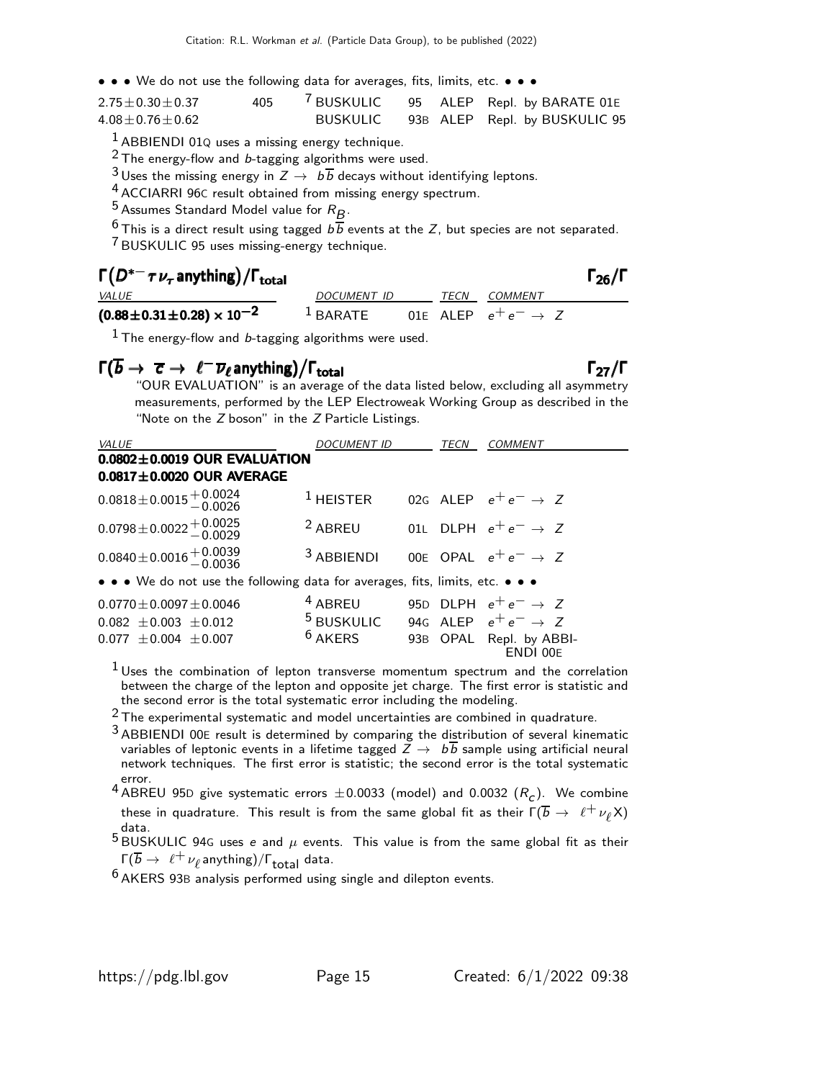• • • We do not use the following data for averages, fits, limits, etc. • • •

| $2.75 \pm 0.30 \pm 0.37$ | 405 |          |  | <sup>7</sup> BUSKULIC 95 ALEP Repl. by BARATE 01E |
|--------------------------|-----|----------|--|---------------------------------------------------|
| $4.08 \pm 0.76 \pm 0.62$ |     | BUSKULIC |  | 93B ALEP Repl. by BUSKULIC 95                     |

 $<sup>1</sup>$  ABBIENDI 01Q uses a missing energy technique.</sup>

2 The energy-flow and b-tagging algorithms were used.

<sup>3</sup> Uses the missing energy in  $Z \rightarrow b\overline{b}$  decays without identifying leptons.

4 ACCIARRI 96<sup>C</sup> result obtained from missing energy spectrum.

 $5$  Assumes Standard Model value for  $R_B$ .

 $6$  This is a direct result using tagged  $b\overline{b}$  events at the Z, but species are not separated.

7 BUSKULIC 95 uses missing-energy technique.

## $\Gamma(D^{*-} \tau \nu_{\tau}$  anything)/ $\Gamma_{\text{total}}$   $\Gamma_{\text{26}}$

|                                     |                                                     |  |                     | -- |
|-------------------------------------|-----------------------------------------------------|--|---------------------|----|
| <i>VALUE</i>                        | <i>DOCUMENT ID</i>                                  |  | <i>TECN COMMENT</i> |    |
| $(0.88\pm0.31\pm0.28)\times10^{-2}$ | <sup>1</sup> BARATE 01E ALEP $e^+e^- \rightarrow Z$ |  |                     |    |

 $<sup>1</sup>$  The energy-flow and b-tagging algorithms were used.</sup>

## $\Gamma(\overline{b} \to \overline{c} \to \ell^- \overline{\nu}_{\ell}$ anything)/ $\Gamma_{\text{total}}$  Γ<sub>27</sub>/Γ

"OUR EVALUATION" is an average of the data listed below, excluding all asymmetry measurements, performed by the LEP Electroweak Working Group as described in the "Note on the Z boson" in the Z Particle Listings.

| VALUE                                                                         | <b>DOCUMENT ID</b>                                    | TECN | <i>COMMENT</i>                      |
|-------------------------------------------------------------------------------|-------------------------------------------------------|------|-------------------------------------|
| $0.0802 \pm 0.0019$ OUR EVALUATION                                            |                                                       |      |                                     |
| $0.0817 \pm 0.0020$ OUR AVERAGE                                               |                                                       |      |                                     |
| $0.0818 \pm 0.0015 \begin{array}{l} +0.0024 \\ -0.0026 \end{array}$           | $^1$ HEISTER                                          |      | 02G ALEP $e^+e^- \rightarrow Z$     |
| $0.0798 \pm 0.0022 \pm 0.0025$                                                | $2$ ABREU                                             |      | 01L DLPH $e^+e^- \rightarrow Z$     |
| $0.0840 \pm 0.0016 \pm 0.0039$                                                | $3$ ABBIENDI                                          |      | 00E OPAL $e^+e^- \rightarrow Z$     |
| • • • We do not use the following data for averages, fits, limits, etc. • • • |                                                       |      |                                     |
| $0.0770 \pm 0.0097 \pm 0.0046$                                                | $4$ ABREU                                             |      | 95D DLPH $e^+e^- \rightarrow Z$     |
| $0.082 \pm 0.003 \pm 0.012$                                                   | <sup>5</sup> BUSKULIC 94G ALEP $e^+e^- \rightarrow Z$ |      |                                     |
| $0.077 \pm 0.004 \pm 0.007$                                                   | $6$ AKERS                                             |      | 93B OPAL Repl. by ABBI-<br>ENDI 00E |

 $1$  Uses the combination of lepton transverse momentum spectrum and the correlation between the charge of the lepton and opposite jet charge. The first error is statistic and the second error is the total systematic error including the modeling.

 $2$  The experimental systematic and model uncertainties are combined in quadrature.

3 ABBIENDI 00<sup>E</sup> result is determined by comparing the distribution of several kinematic variables of leptonic events in a lifetime tagged  $\overline{Z} \rightarrow b\overline{b}$  sample using artificial neural network techniques. The first error is statistic; the second error is the total systematic error.

 $^4$  ABREU 95D give systematic errors  $\pm$ 0.0033 (model) and 0.0032  $(R_{\cal C})$ . We combine these in quadrature. This result is from the same global fit as their  $\Gamma(\overline{b} \to \ell^+ \nu_\ell X)$ data.<br><sup>5</sup> BUSKULIC 94G uses *e* and  $\mu$  events. This value is from the same global fit as their

 $\Gamma(\overline{b}\rightarrow \ell^+\nu_{\ell}$ anything)/ $\Gamma_{\text{total}}$  data.

<sup>6</sup> AKERS 93B analysis performed using single and dilepton events.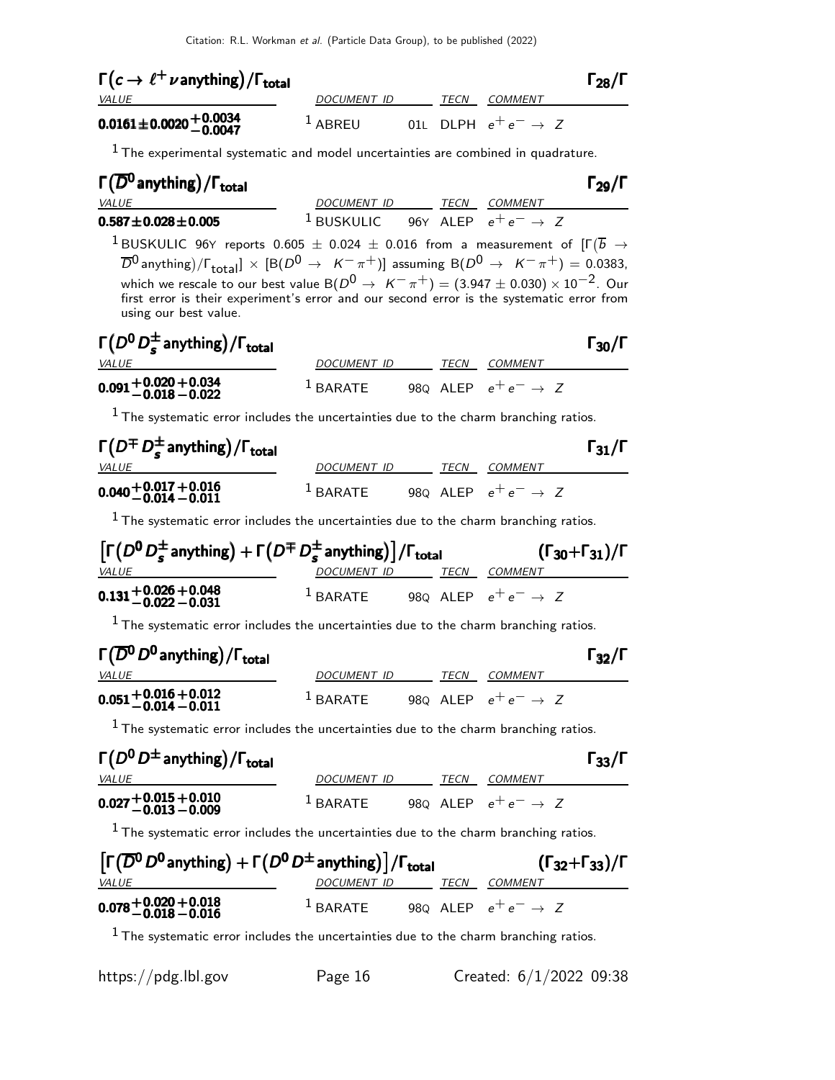| $\Gamma(c \to \ell^+ \nu \text{anything})/\Gamma_{\text{total}}$ |             |      |                                 | $\Gamma_{28}/\Gamma$ |
|------------------------------------------------------------------|-------------|------|---------------------------------|----------------------|
| <i>VALUE</i>                                                     | DOCUMENT ID | TECN | <i>COMMENT</i>                  |                      |
| $0.0161 \pm 0.0020 \pm 0.0034$<br>-0.0047                        | $1$ ABREU   |      | 01L DLPH $e^+e^- \rightarrow Z$ |                      |

 $<sup>1</sup>$  The experimental systematic and model uncertainties are combined in quadrature.</sup>

# Γ $(\overline{D}^0$  anything) / Γ<sub>total</sub> 2012 **Γ** 29/Γ

VALUE **DOCUMENT ID** TECN COMMENT 0.587 $\pm$ 0.028 $\pm$ 0.005 <sup>1</sup> Buskulic 96y alep  $e^+e^- \to Z$ 

 $^1$ BUSKULIC 96Y reports  $0.605 \pm 0.024 \pm 0.016$  from a measurement of  $[\Gamma(\overline{b} \rightarrow$  $\overline{D}{}^0$  anything)/ $\Gamma_{\rm total}$ ]  $\times$  [B( $D^0$   $\rightarrow$   $K^-\pi^+)$ ] assuming B( $D^0$   $\rightarrow$   $K^-\pi^+)$  = 0.0383, which we rescale to our best value B $(D^0 \rightarrow \ K^- \pi^+) = (3.947 \pm 0.030) \times 10^{-2}$ . Our<br>first error is their experiment's error and our second error is the systematic error from using our best value.

| $\Gamma(D^0 D_s^{\pm}$ anything)/ $\Gamma_{\text{total}}$ |                      |      |                                 | $\Gamma_{30}/\Gamma$ |
|-----------------------------------------------------------|----------------------|------|---------------------------------|----------------------|
| <i>VALUE</i>                                              | DOCUMENT ID          | TECN | <i>COMMENT</i>                  |                      |
| $0.091 + 0.020 + 0.034$<br>-0.018 -0.022                  | $\frac{1}{2}$ BARATE |      | 980 ALEP $e^+e^- \rightarrow Z$ |                      |

 $<sup>1</sup>$  The systematic error includes the uncertainties due to the charm branching ratios.</sup>

| $\Gamma(D^{\mp} D_{s}^{\pm}$ anything) / $\Gamma_{\text{total}}$ |                      |             |                                 | $\Gamma_{31}/\Gamma$ |
|------------------------------------------------------------------|----------------------|-------------|---------------------------------|----------------------|
| <i>VALUE</i>                                                     | DOCUMENT ID          | <b>TFCN</b> | COMMENT                         |                      |
| $0.040 + 0.017 + 0.016$<br>-0.014 -0.011                         | $\frac{1}{2}$ BARATE |             | 980 ALEP $e^+e^- \rightarrow Z$ |                      |

 $<sup>1</sup>$  The systematic error includes the uncertainties due to the charm branching ratios.</sup>

| $\left[\Gamma(D^0 D^{\pm}_s \text{ anything}) + \Gamma(D^{\mp} D^{\pm}_s \text{ anything})\right] / \Gamma_{\text{total}}$ | $(\Gamma_{30} + \Gamma_{31})/\Gamma$ |      |                                 |
|----------------------------------------------------------------------------------------------------------------------------|--------------------------------------|------|---------------------------------|
| <i>VALUE</i>                                                                                                               | DOCUMENT ID                          | TECN | <i>COMMENT</i>                  |
| $0.131 + 0.026 + 0.048$<br>$-0.022 - 0.031$                                                                                | $1$ BARATE                           |      | 980 ALEP $e^+e^- \rightarrow Z$ |

 $<sup>1</sup>$  The systematic error includes the uncertainties due to the charm branching ratios.</sup>

| $\Gamma(\overline{D}^{\mathbf{0}}D^{\mathbf{0}})$ anything) / $\Gamma_{\mathbf{total}}$ |                      |             |                                 | $\Gamma_{32}/\Gamma$ |
|-----------------------------------------------------------------------------------------|----------------------|-------------|---------------------------------|----------------------|
| <i>VALUE</i>                                                                            | DOCUMENT ID          | <b>TECN</b> | <i>COMMENT</i>                  |                      |
| $0.051 + 0.016 + 0.012$<br>$-0.014 - 0.011$                                             | $\frac{1}{2}$ BARATE |             | 980 ALEP $e^+e^- \rightarrow Z$ |                      |

 $<sup>1</sup>$  The systematic error includes the uncertainties due to the charm branching ratios.</sup>

| $\Gamma(D^0 D^{\pm}$ anything) / $\Gamma_{\text{total}}$ |                      |      |                                 | $\Gamma_{33}/\Gamma$ |
|----------------------------------------------------------|----------------------|------|---------------------------------|----------------------|
| <i>VALUE</i>                                             | DOCUMENT ID          | TFCN | COMMENT                         |                      |
| $0.027 + 0.015 + 0.010$<br>-0.013 -0.009                 | $\frac{1}{2}$ RARATE |      | 980 ALEP $e^+e^- \rightarrow Z$ |                      |

 $<sup>1</sup>$  The systematic error includes the uncertainties due to the charm branching ratios.</sup>

| $\left[\Gamma(\overline{D}^0 D^0 \text{anything}) + \Gamma(D^0 D^{\pm} \text{anything})\right] / \Gamma_{\text{total}}$ |             |  |      | $(\Gamma_{32} + \Gamma_{33})/\Gamma$ |
|-------------------------------------------------------------------------------------------------------------------------|-------------|--|------|--------------------------------------|
| <i>VALUE</i>                                                                                                            | DOCUMENT ID |  | TECN | COMMENT                              |
| $0.078 + 0.020 + 0.018$<br>$-0.018 - 0.016$                                                                             | $1$ BARATE  |  |      | 980 ALEP $e^+e^- \rightarrow Z$      |

 $<sup>1</sup>$  The systematic error includes the uncertainties due to the charm branching ratios.</sup>

|  |  |  | https://pdg.lbl.gov |
|--|--|--|---------------------|
|--|--|--|---------------------|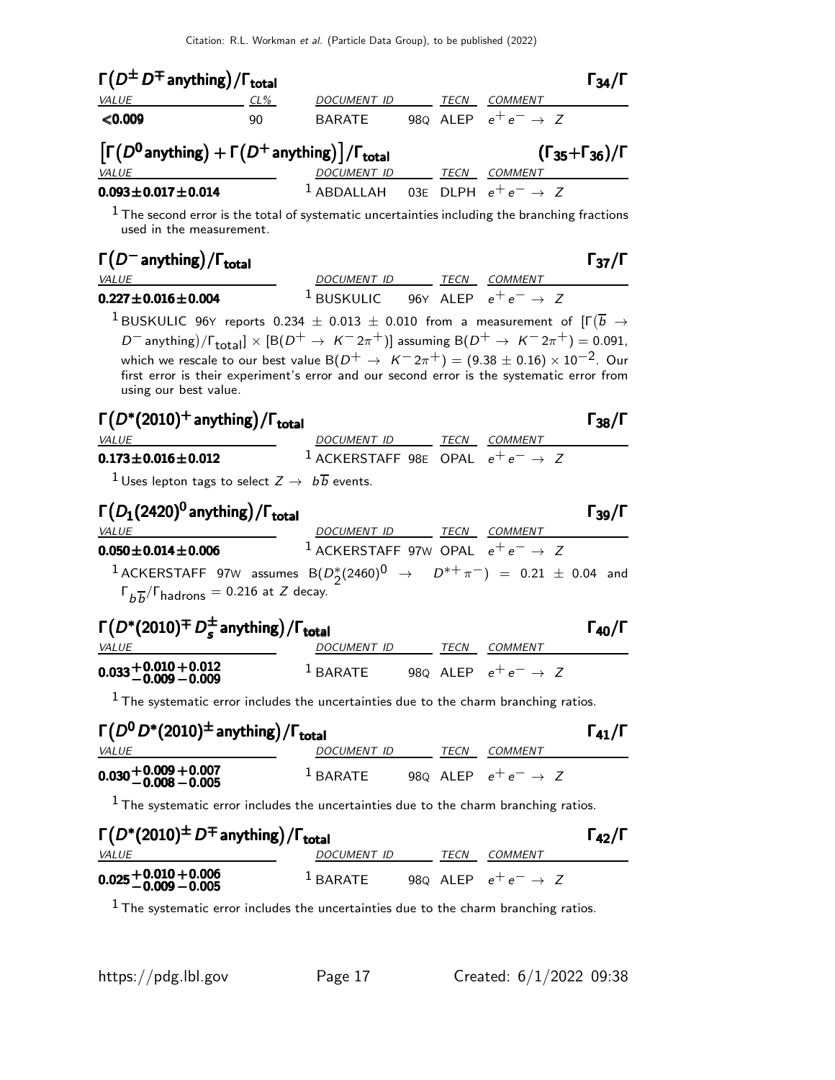| $\Gamma(D^{\pm} D^{\mp}$ anything) / $\Gamma_{\text{total}}$                                                                                                                     |                          |                                                                                                                                                                                                                                                                                                                                                                           |  |                                 | $\Gamma_{34}/\Gamma$                 |
|----------------------------------------------------------------------------------------------------------------------------------------------------------------------------------|--------------------------|---------------------------------------------------------------------------------------------------------------------------------------------------------------------------------------------------------------------------------------------------------------------------------------------------------------------------------------------------------------------------|--|---------------------------------|--------------------------------------|
| VALUE                                                                                                                                                                            | $CL\%$                   | DOCUMENT ID TECN COMMENT                                                                                                                                                                                                                                                                                                                                                  |  |                                 |                                      |
| < 0.009                                                                                                                                                                          | 90                       | BARATE 980 ALEP $e^+e^- \rightarrow Z$                                                                                                                                                                                                                                                                                                                                    |  |                                 |                                      |
| $\left[\Gamma(D^0\!$ anything) $+\Gamma(D^+\!$ anything) $\right]/\Gamma_{\text{total}}$<br><b>VALUE</b>                                                                         |                          | DOCUMENT ID TECN COMMENT                                                                                                                                                                                                                                                                                                                                                  |  |                                 | $(\Gamma_{35} + \Gamma_{36})/\Gamma$ |
| $0.093 \pm 0.017 \pm 0.014$                                                                                                                                                      |                          | <sup>1</sup> ABDALLAH 03E DLPH $e^+e^- \rightarrow Z$                                                                                                                                                                                                                                                                                                                     |  |                                 |                                      |
| $^1$ The second error is the total of systematic uncertainties including the branching fractions<br>used in the measurement.                                                     |                          |                                                                                                                                                                                                                                                                                                                                                                           |  |                                 |                                      |
| $\Gamma(D^-$ anything) / $\Gamma_{\text{total}}$<br><b>VALUE</b>                                                                                                                 |                          | DOCUMENT ID TECN COMMENT                                                                                                                                                                                                                                                                                                                                                  |  |                                 | $\Gamma_{37}/\Gamma$                 |
| $0.227 \pm 0.016 \pm 0.004$                                                                                                                                                      |                          | <sup>1</sup> BUSKULIC 96Y ALEP $e^+e^- \rightarrow Z$                                                                                                                                                                                                                                                                                                                     |  |                                 |                                      |
| $^1$ BUSKULIC 96Y reports 0.234 $\pm$ 0.013 $\pm$ 0.010 from a measurement of [F $(\overline{b}$ $\rightarrow$<br>using our best value.                                          |                          | D <sup>-</sup> anything)/ $\Gamma_{\text{total}}$ × [B(D <sup>+</sup> $\rightarrow K^- 2\pi^+$ )] assuming B(D <sup>+</sup> $\rightarrow K^- 2\pi^+$ ) = 0.091,<br>which we rescale to our best value $B(D^+ \rightarrow K^- 2\pi^+) = (9.38 \pm 0.16) \times 10^{-2}$ . Our<br>first error is their experiment's error and our second error is the systematic error from |  |                                 |                                      |
| $\Gamma(D^*(2010)^+$ anything)/ $\Gamma_{total}$<br>VALUE                                                                                                                        |                          | DOCUMENT ID TECN COMMENT                                                                                                                                                                                                                                                                                                                                                  |  |                                 | $\Gamma_{38}/\Gamma$                 |
| $0.173 \pm 0.016 \pm 0.012$                                                                                                                                                      | $\overline{\phantom{a}}$ | <sup>1</sup> ACKERSTAFF 98E OPAL $e^+e^- \rightarrow Z$                                                                                                                                                                                                                                                                                                                   |  |                                 |                                      |
| $^{-1}$ Uses lepton tags to select $Z\rightarrow\ b\overline{b}$ events.                                                                                                         |                          |                                                                                                                                                                                                                                                                                                                                                                           |  |                                 |                                      |
| $\Gamma(D_1(2420)^0)$ anything) / $\Gamma_{\rm total}$<br><i>VALUE</i>                                                                                                           |                          | DOCUMENT ID TECN COMMENT                                                                                                                                                                                                                                                                                                                                                  |  |                                 | $\Gamma_{39}/\Gamma$                 |
| $0.050 \pm 0.014 \pm 0.006$                                                                                                                                                      |                          | <sup>1</sup> ACKERSTAFF 97W OPAL $e^+e^- \rightarrow Z$                                                                                                                                                                                                                                                                                                                   |  |                                 |                                      |
| $^1$ ACKERSTAFF 97W assumes B $(D_2^*(2460)^{\mathrm{O}} \rightarrow D^{*+}\pi^-)$ = 0.21 $\pm$ 0.04 and<br>$\Gamma_{b\overline{b}}/\Gamma_{\text{hadrons}} = 0.216$ at Z decay. |                          |                                                                                                                                                                                                                                                                                                                                                                           |  |                                 |                                      |
| $\Gamma(D^*(2010)^{\text{+}} D_s^{\text{+}}$ anything) / $\Gamma_{\text{total}}$<br><i>VALUE</i>                                                                                 |                          | DOCUMENT ID TECN COMMENT                                                                                                                                                                                                                                                                                                                                                  |  |                                 | $\Gamma_{40}/\Gamma$                 |
| $0.033 + 0.010 + 0.012$<br>-0.009 -0.009                                                                                                                                         |                          | $1$ BARATE                                                                                                                                                                                                                                                                                                                                                                |  | 980 ALEP $e^+e^- \rightarrow Z$ |                                      |
| $1$ The systematic error includes the uncertainties due to the charm branching ratios.                                                                                           |                          |                                                                                                                                                                                                                                                                                                                                                                           |  |                                 |                                      |
| $\Gamma(D^0 D^*(2010)^{\pm})$ anything) / $\Gamma_{\text{total}}$<br><i>VALUE</i>                                                                                                |                          | DOCUMENT ID TECN COMMENT                                                                                                                                                                                                                                                                                                                                                  |  |                                 | $\Gamma_{41}/\Gamma$                 |
| $0.030 + 0.009 + 0.007$<br>-0.008 -0.005                                                                                                                                         |                          | <sup>1</sup> BARATE 98Q ALEP $e^+e^- \rightarrow Z$                                                                                                                                                                                                                                                                                                                       |  |                                 |                                      |
| $1$ The systematic error includes the uncertainties due to the charm branching ratios.                                                                                           |                          |                                                                                                                                                                                                                                                                                                                                                                           |  |                                 |                                      |
| $\Gamma(D^*(2010)^{\pm} D^{\mp}$ anything) / $\Gamma_{total}$<br><b>VALUE</b>                                                                                                    |                          | DOCUMENT ID TECN COMMENT                                                                                                                                                                                                                                                                                                                                                  |  |                                 | $\Gamma_{42}/\Gamma$                 |
| $0.025 + 0.010 + 0.006$<br>$-0.009 - 0.005$                                                                                                                                      |                          | $^1$ BARATE 980 ALEP $e^+e^- \rightarrow Z$                                                                                                                                                                                                                                                                                                                               |  |                                 |                                      |

 $^1$  The systematic error includes the uncertainties due to the charm branching ratios.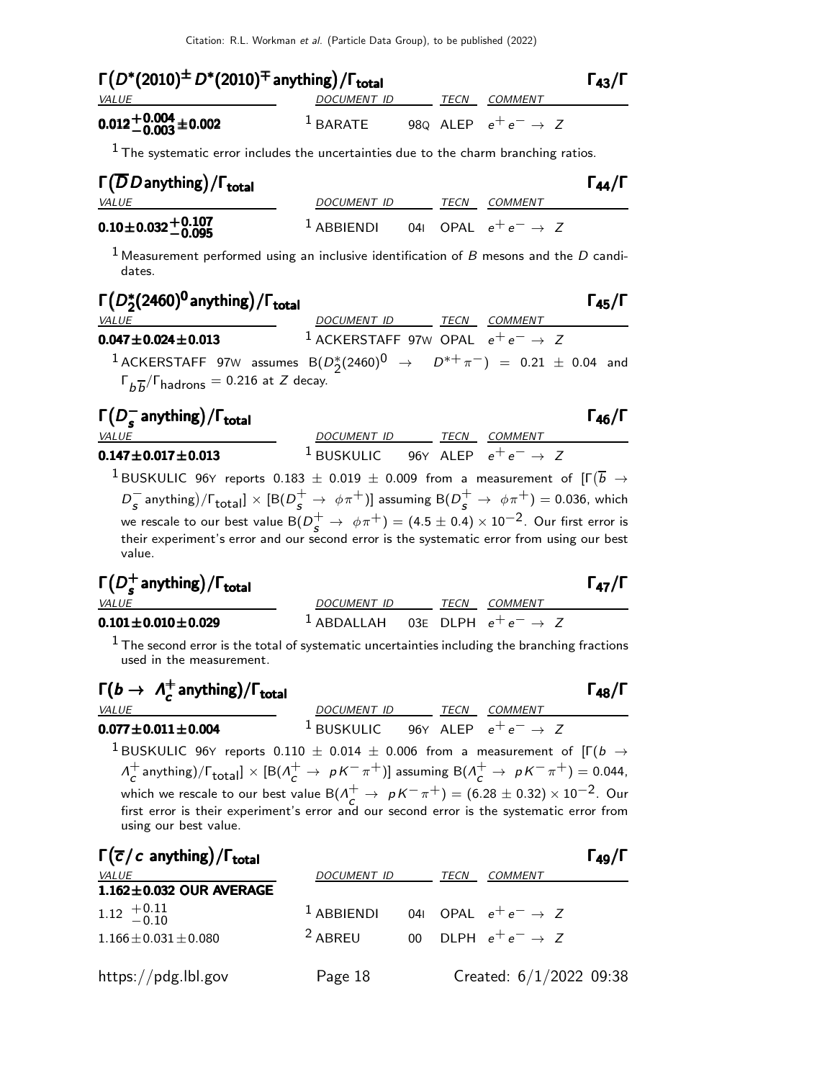| $\Gamma(D^*(2010)^{\pm} D^*(2010)^{\mp}$ anything) / $\Gamma_{\text{total}}$ |                      |  |      |                                 | $\Gamma_{43}/\Gamma$ |
|------------------------------------------------------------------------------|----------------------|--|------|---------------------------------|----------------------|
| <i>VALUE</i>                                                                 | <i>DOCUMENT ID</i>   |  | TECN | <i>COMMENT</i>                  |                      |
| $0.012 + 0.004 + 0.002$                                                      | $\frac{1}{2}$ BARATE |  |      | 980 ALEP $e^+e^- \rightarrow Z$ |                      |

 $<sup>1</sup>$  The systematic error includes the uncertainties due to the charm branching ratios.</sup>

| $\Gamma(\overline{D}D$ anything)/ $\Gamma_{\text{total}}$   |                                                       |      |                | $\Gamma_{44}/\Gamma$ |
|-------------------------------------------------------------|-------------------------------------------------------|------|----------------|----------------------|
| <i>VALUE</i>                                                | DOCUMENT ID                                           | TECN | <i>COMMENT</i> |                      |
| $0.10\pm0.032\begin{array}{l} +0.107 \\ -0.095 \end{array}$ | <sup>1</sup> ABBIENDI 041 OPAL $e^+e^- \rightarrow Z$ |      |                |                      |

<sup>1</sup> Measurement performed using an inclusive identification of  $B$  mesons and the  $D$  candidates.

# Γ D ∗ 2 (2460)<sup>0</sup> anything Γ /Γtotal Γ45/Γ D∗2 (2460)<sup>0</sup> anything Γ /ΓtotalΓ45/Γ (2460)<sup>0</sup> anythingΓ /Γtotal Γ45/Γ (2460)<sup>0</sup> anything/ΓtotalΓ45/Γ

| <i>VALUE</i>                                                                            | DOCUMENT ID TECN COMMENT                                |  |
|-----------------------------------------------------------------------------------------|---------------------------------------------------------|--|
| $0.047 \pm 0.024 \pm 0.013$                                                             | <sup>1</sup> ACKERSTAFF 97W OPAL $e^+e^- \rightarrow Z$ |  |
| 1 ACKERSTAFF 97W assumes $B(D_2^*(2460)^0 \rightarrow D^{*+}\pi^-) = 0.21 \pm 0.04$ and |                                                         |  |
| $\Gamma_{b\overline{b}}/\Gamma_{\text{hadrons}} = 0.216$ at Z decay.                    |                                                         |  |

| $\Gamma(D_s^-$ anything)/ $\Gamma_{\text{total}}$ |                                                       |      |                | $\Gamma_{46}/\Gamma$ |
|---------------------------------------------------|-------------------------------------------------------|------|----------------|----------------------|
| <i>VALUE</i>                                      | <i>DOCUMENT ID</i>                                    | TECN | <i>COMMENT</i> |                      |
| $0.147 \pm 0.017 \pm 0.013$                       | <sup>1</sup> BUSKULIC 96Y ALEP $e^+e^- \rightarrow Z$ |      |                |                      |

 $^{\text{1}}$ BUSKULIC 96Y reports  $0.183\,\pm\,0.019\,\pm\,0.009$  from a measurement of  $[\Gamma(\overline{b}\,\rightarrow\,$  $D^-_{\cal S}$  anything)/ $\Gamma_{\rm total}$ ]  $\times$  [B( $D^+_{\cal S}$   $\rightarrow$   $\phi\pi^+)$ ] assuming B( $D^+_{\cal S}$   $\rightarrow$   $\phi\pi^+)$  = 0.036, which we rescale to our best value  $\mathsf{B}(D_{\cal S}^+\to\ \phi\pi^+)= (4.5\pm0.4)\times 10^{-2}$ . Our first error is their experiment's error and our second error is the systematic error from using our best value.

### $Γ(D_5^+)$  $\Gamma(D_s^+$  anything)/ $\Gamma_{\text{total}}$

| <b>VALUE</b>                    | DOCUMENT ID                                           | <i>TECN COMMENT</i> |
|---------------------------------|-------------------------------------------------------|---------------------|
| $0.101\!\pm\!0.010\!\pm\!0.029$ | <sup>1</sup> ABDALLAH 03E DLPH $e^+e^- \rightarrow Z$ |                     |

 $<sup>1</sup>$  The second error is the total of systematic uncertainties including the branching fractions</sup> used in the measurement.

$$
\Gamma(b \to \Lambda_c^+ \text{anything})/\Gamma_{\text{total}}
$$

VALUE **DOCUMENT ID TECN COMMENT** 0.077 $\pm$ 0.011 $\pm$ 0.004 <sup>1</sup> BUSKULIC 96Y ALEP  $e^+e^- \to Z$ 

<sup>1</sup> BUSKULIC 96<sup>Y</sup> reports 0.<sup>110</sup> <sup>±</sup> <sup>0</sup>.<sup>014</sup> <sup>±</sup> <sup>0</sup>.006 from a measurement of [Γ(<sup>b</sup> <sup>→</sup>  $\Lambda^+$  $c^+$ anything)/ $\Gamma_{\rm total}$ ]  $\times$  [B( $\Lambda_c^+ \to~pK^-\pi^+)$ ] assuming B( $\Lambda_c^+ \to~pK^-\pi^+) =$  0.044, which we rescale to our best value B( $\Lambda_C^+ \to pK^-\pi^+)=(6.28\pm 0.32)\times 10^{-2}$ . Our<br>first error is their experiment's error and our second error is the systematic error from using our best value.

| $\Gamma(\overline{c}/c$ anything)/ $\Gamma_{total}$ |              |      |                                 | $\Gamma_{49}/\Gamma$ |
|-----------------------------------------------------|--------------|------|---------------------------------|----------------------|
| <i>VALUE</i>                                        | DOCUMENT ID  | TECN | <b>COMMENT</b>                  |                      |
| $1.162 \pm 0.032$ OUR AVERAGE                       |              |      |                                 |                      |
| $1.12 \begin{array}{c} +0.11 \\ -0.10 \end{array}$  | $1$ ABBIENDI |      | 041 OPAI $e^+e^- \rightarrow Z$ |                      |
| $1.166 \pm 0.031 \pm 0.080$                         | $2$ ABREU    |      | 00 DLPH $e^+e^- \rightarrow Z$  |                      |
| https://pdg.lbl.gov                                 | Page 18      |      | Created: $6/1/2022$ 09:38       |                      |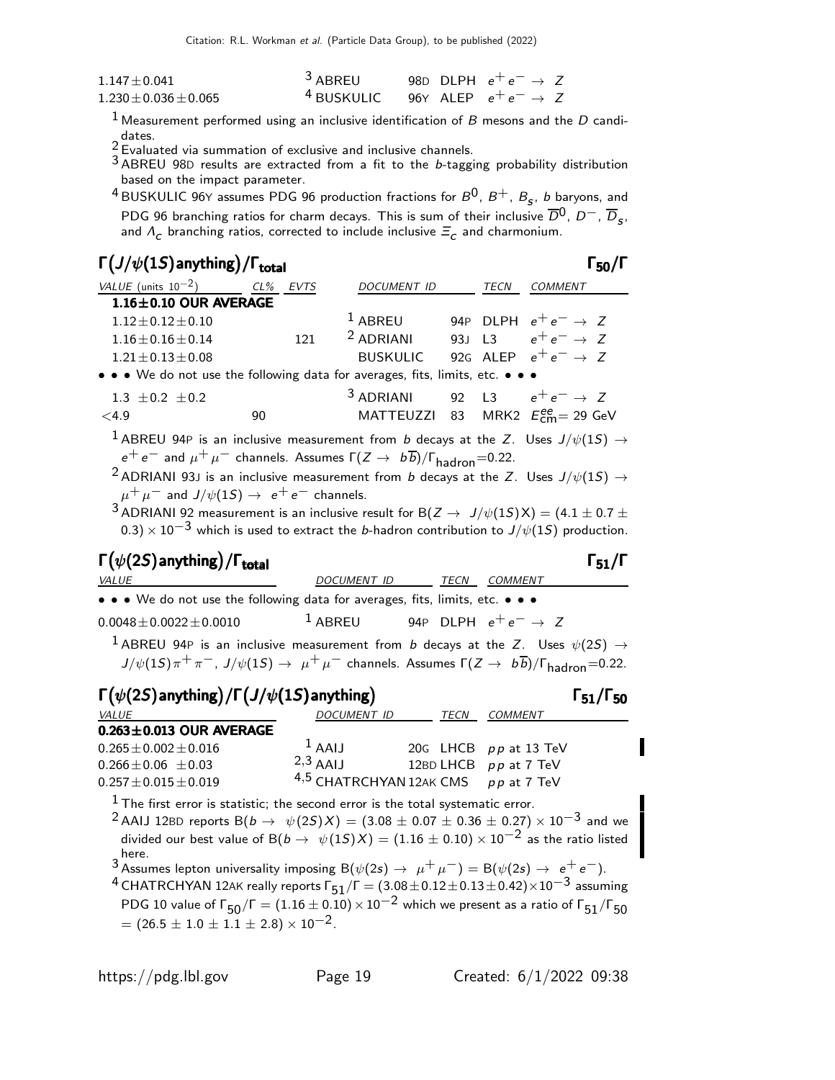| $1.147 + 0.041$         | <sup>3</sup> ABREU                                    |  | 98D DLPH $e^+e^- \rightarrow Z$ |  |
|-------------------------|-------------------------------------------------------|--|---------------------------------|--|
| $1.230 + 0.036 + 0.065$ | <sup>4</sup> BUSKULIC 96Y ALEP $e^+e^- \rightarrow Z$ |  |                                 |  |

<sup>1</sup> Measurement performed using an inclusive identification of  $B$  mesons and the  $D$  candidates.

2 Gates.<br>Evaluated via summation of exclusive and inclusive channels.

 $3$  ABREU 98D results are extracted from a fit to the b-tagging probability distribution based on the impact parameter.

 $^4$ BUSKULIC 96Y assumes PDG 96 production fractions for  $B^0$ ,  $B^+$ ,  $B_{\sf s}$ ,  $b$  baryons, and PDG 96 branching ratios for charm decays. This is sum of their inclusive  $\overline{D}^0$ ,  $D^-$ ,  $\overline{D}_s$ , and  $\Lambda_c$  branching ratios, corrected to include inclusive  $\Xi_c$  and charmonium.

 $\Gamma_{-2}/\Gamma$ 

| $\Gamma(J/\psi(1S)$ anything) / $\Gamma_{total}$                              |          |                      |      |                                          |
|-------------------------------------------------------------------------------|----------|----------------------|------|------------------------------------------|
| VALUE (units $10^{-2}$ )                                                      | CL% EVTS | DOCUMENT ID          | TECN | COMMENT                                  |
| $1.16 \pm 0.10$ OUR AVERAGE                                                   |          |                      |      |                                          |
| $1.12 \pm 0.12 \pm 0.10$                                                      |          | $1$ ABREU            |      | 94P DLPH $e^+e^- \rightarrow Z$          |
| $1.16 \pm 0.16 \pm 0.14$                                                      | 121      | $2$ ADRIANI          |      | 93J L3 $e^+e^- \rightarrow Z$            |
| $1.21 \pm 0.13 \pm 0.08$                                                      |          | <b>BUSKULIC</b>      |      | 92G ALEP $e^+e^- \rightarrow Z$          |
| • • • We do not use the following data for averages, fits, limits, etc. • • • |          |                      |      |                                          |
| $1.3 \pm 0.2 \pm 0.2$                                                         |          | <sup>3</sup> ADRIANI |      | 92 L3 $e^+e^- \rightarrow Z$             |
| < 4.9                                                                         | 90       |                      |      | MATTEUZZI 83 MRK2 $E_{cm}^{ee}$ = 29 GeV |
|                                                                               |          |                      |      |                                          |

 $^1$  ABREU 94P is an inclusive measurement from  $b$  decays at the Z. Uses  $J/\psi(1S) \rightarrow$  $e^+ e^-$  and  $\mu^+ \mu^-$  channels. Assumes  $\Gamma(Z \to b\overline{b})/\Gamma_{\text{hadron}} = 0.22$ .

<sup>2</sup> ADRIANI 93J is an inclusive measurement from b decays at the Z. Uses  $J/\psi(1S) \rightarrow$  $\mu^+ \mu^-$  and  $J/\psi(1S) \rightarrow e^+ e^-$  channels.

 $^3$  ADRIANI 92 measurement is an inclusive result for B( $Z \rightarrow J/\psi(1S)X) = (4.1 \pm 0.7 \pm 0.7)$  $(0.3)\times 10^{-3}$  which is used to extract the *b*-hadron contribution to  $J/\psi(1S)$  production.

### $\Gamma(\psi(2S)$  anything)  $/$  Γ<sub>total</sub> 51 **S**<sub>51</sub>/Γ VALUE **DOCUMENT ID** TECN COMMENT

| $\bullet \bullet \bullet$ We do not use the following data for averages, fits, limits, etc. $\bullet \bullet \bullet$ |                                                    |       |
|-----------------------------------------------------------------------------------------------------------------------|----------------------------------------------------|-------|
| $0.0048 \pm 0.0022 \pm 0.0010$                                                                                        | <sup>1</sup> ABREU 94P DLPH $e^+e^- \rightarrow Z$ |       |
| $\frac{1}{2}$                                                                                                         |                                                    | (6.0) |

 $^{-1}$  ABREU 94P is an inclusive measurement from  $b$  decays at the Z. Uses  $\psi(2S)$   $\rightarrow$  $J/\psi(1S)\pi^+\pi^-, J/\psi(1S) \to \mu^+\mu^-$  channels. Assumes  $\Gamma(Z \to b\overline{b})/\Gamma_{\text{hadron}}=0.22$ .

| $\Gamma(\psi(2S)$ anything) / $\Gamma(J/\psi(1S)$ anything)                                                                                                                                                                                                                                                                                   |                                     |             |                       | $\Gamma_{51}/\Gamma_{50}$ |
|-----------------------------------------------------------------------------------------------------------------------------------------------------------------------------------------------------------------------------------------------------------------------------------------------------------------------------------------------|-------------------------------------|-------------|-----------------------|---------------------------|
| VALUE                                                                                                                                                                                                                                                                                                                                         | <b>DOCUMENT ID</b>                  | <b>TECN</b> | <b>COMMENT</b>        |                           |
| $0.263 \pm 0.013$ OUR AVERAGE                                                                                                                                                                                                                                                                                                                 |                                     |             |                       |                           |
| $0.265 \pm 0.002 \pm 0.016$                                                                                                                                                                                                                                                                                                                   | $1$ AAIJ                            |             | 20G LHCB pp at 13 TeV |                           |
| $0.266 \pm 0.06 \pm 0.03$                                                                                                                                                                                                                                                                                                                     | $2,3$ AAIJ                          |             | 12BD LHCB pp at 7 TeV |                           |
| $0.257 \pm 0.015 \pm 0.019$                                                                                                                                                                                                                                                                                                                   | 4,5 CHATRCHYAN 12AK CMS pp at 7 TeV |             |                       |                           |
| $1$ The first error is statistic; the second error is the total systematic error.<br><sup>2</sup> AAIJ 12BD reports B( $b \to \psi(25)X$ ) = (3.08 $\pm$ 0.07 $\pm$ 0.36 $\pm$ 0.27) $\times$ 10 <sup>-3</sup> and we<br>divided our best value of B( $b \to \psi(1S)X$ ) = (1.16 $\pm$ 0.10) × 10 <sup>-2</sup> as the ratio listed<br>here. |                                     |             |                       |                           |
| 3 Assumes lepton universality imposing $B(\psi(2s) \to \mu^+ \mu^-) = B(\psi(2s) \to e^+ e^-)$ .                                                                                                                                                                                                                                              |                                     |             |                       |                           |

 $^4$  CHATRCHYAN 12AK really reports  $\Gamma_{51}/\Gamma = (3.08\pm0.12\pm0.13\pm0.42)\times10^{-3}$  assuming PDG 10 value of  $\Gamma_{50}/\Gamma = (1.16 \pm 0.10) \times 10^{-2}$  which we present as a ratio of  $\Gamma_{51}/\Gamma_{50}$  $= (26.5 \pm 1.0 \pm 1.1 \pm 2.8) \times 10^{-2}$ .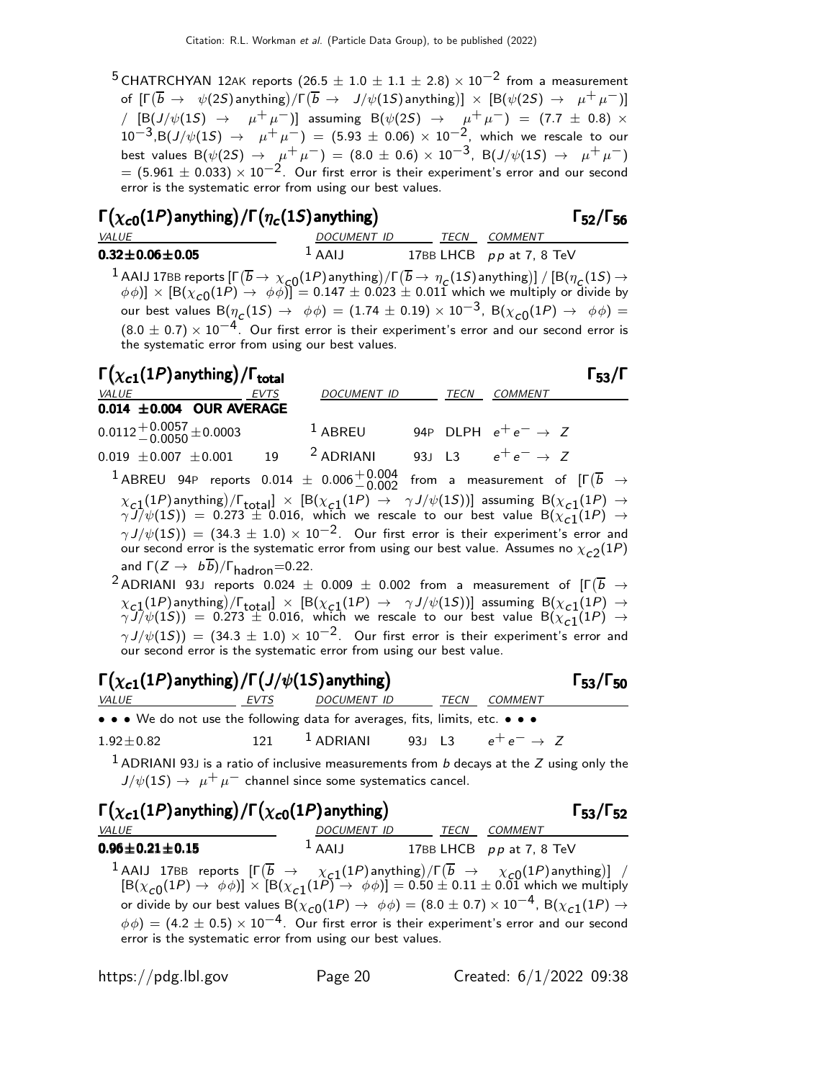<sup>5</sup> CHATRCHYAN 12AK reports (26.5  $\pm$  1.0  $\pm$  1.1  $\pm$  2.8)  $\times$  10<sup>-2</sup> from a measurement of  $[\Gamma(\overline{b} \rightarrow \psi(2S)$  anything) $)/\Gamma(\overline{b} \rightarrow J/\psi(1S)$  anything)]  $\times$   $[\mathrm{B}(\psi(2S) \rightarrow \mu^+\mu^-)]$ /  $[B(J/\psi(1S) \rightarrow \mu^+\mu^-)]$  assuming B( $\psi(2S) \rightarrow \mu^+\mu^-)$  = (7.7 ± 0.8) ×  $10^{-3}$ ,B $(J/\psi(1S)$   $\rightarrow$   $\mu^+ \mu^-)$  =  $(5.93 \pm 0.06) \times 10^{-2}$ , which we rescale to our best values  ${\rm B}(\psi(2S) \, \to \, \frac{\mu^+ \, \mu^-)}{2} = (8.0 \, \pm \, 0.6) \times 10^{-3}, \,\,{\rm B}(J/\psi(1S) \, \to \, \frac{\mu^+ \, \mu^-)}{2}$  $= (5.961 \pm 0.033) \times 10^{-2}$ . Our first error is their experiment's error and our second error is the systematic error from using our best values.

## Γ $(\chi_{\bm{c} \bm{0}}(1P)$ anything)/Γ $(\eta_{\bm{c}}(1S)$ anything) Γ52/Γ56

| $\mathcal{L}$                |             |                            | . . |
|------------------------------|-------------|----------------------------|-----|
| <b>VALUE</b>                 | DOCUMENT ID | TECN COMMENT               |     |
| $0.32\!\pm\!0.06\!\pm\!0.05$ | $1$ AAIJ    | 17BB LHCB $pp$ at 7, 8 TeV |     |
|                              |             |                            |     |

1 AAIJ 17BB reports  $[\Gamma(\overline{b} \to \chi_{c0}(1P))$  anything)  $/[\Gamma(\overline{b} \to \eta_c(1S))$  anything)  $] / [B(\eta_c(1S) \to \chi_{c0}(1P))]$  $(\phi \phi)$ ]  $\times$   $[\mathsf{B}(\chi_{\mathsf{C0}}(1P) \to \phi \phi)] = 0.147 \pm 0.023 \pm 0.011$  which we multiply or divide by our best values  $\mathsf{B}(\eta_{\mathsf{C}}(1S) \rightarrow~\phi\phi) = (1.74 \pm 0.19) \times 10^{-3}$ ,  $\mathsf{B}(\chi_{\mathsf{C} 0}(1P) \rightarrow~\phi\phi) =$  $(8.0 \pm 0.7) \times 10^{-4}$ . Our first error is their experiment's error and our second error is the systematic error from using our best values.

| $\Gamma(\chi_{c1}(1P)$ anything) / $\Gamma_{total}$               |             |                                                                                                                                                                                                                                                                            |             |                               | 53/ |
|-------------------------------------------------------------------|-------------|----------------------------------------------------------------------------------------------------------------------------------------------------------------------------------------------------------------------------------------------------------------------------|-------------|-------------------------------|-----|
| VALUE                                                             | <b>EVTS</b> | <b>DOCUMENT ID</b>                                                                                                                                                                                                                                                         | <b>TECN</b> | <b>COMMENT</b>                |     |
| 0.014 $\pm$ 0.004 OUR AVERAGE                                     |             |                                                                                                                                                                                                                                                                            |             |                               |     |
| $0.0112 + 0.0057 + 0.0003$                                        |             | <sup>1</sup> ABREU 94P DLPH $e^+e^- \rightarrow Z$                                                                                                                                                                                                                         |             |                               |     |
| $0.019 \pm 0.007 \pm 0.001$ 19                                    |             | $2$ ADRIANI                                                                                                                                                                                                                                                                |             | 93J L3 $e^+e^- \rightarrow Z$ |     |
|                                                                   |             | 1 ABREU 94P reports 0.014 $\pm$ 0.006 $^{+0.004}_{-0.002}$ from a measurement of $[\Gamma(\overline{b} \rightarrow$                                                                                                                                                        |             |                               |     |
|                                                                   |             | $\chi_{c1}(1P)$ anything)/ $\Gamma_{total}$ $\times$ $[ B(\chi_{c1}(1P) \rightarrow \gamma J/\psi(1S))]$ assuming $B(\chi_{c1}(1P) \rightarrow \gamma J/\psi(1S)) = 0.273 \pm 0.016$ , which we rescale to our best value $B(\chi_{c1}(1P) \rightarrow \gamma J/\psi(1S))$ |             |                               |     |
|                                                                   |             | $\gamma J/\psi(15)$ = (34.3 ± 1.0) × 10 <sup>-2</sup> . Our first error is their experiment's error and                                                                                                                                                                    |             |                               |     |
|                                                                   |             | our second error is the systematic error from using our best value. Assumes no $\chi_{c2}(1P)$                                                                                                                                                                             |             |                               |     |
| and $\Gamma(Z \to b\overline{b})/\Gamma_{\text{hadron}} = 0.22$ . |             |                                                                                                                                                                                                                                                                            |             |                               |     |
|                                                                   |             |                                                                                                                                                                                                                                                                            |             |                               |     |

 $^2$ ADRIANI 93J reports  $0.024 \pm 0.009 \pm 0.002$  from a measurement of  $[\Gamma(\overline{b} \rightarrow$  $\chi_{c,1}(1P)$  anything)  $/$   $\Gamma_{\text{total}} \propto$   $\left[ B(\chi_{c,1}(1P) \rightarrow \gamma J/\psi(1S)) \right]$  assuming  $B(\chi_{c,1}(1P) \rightarrow \psi(1S))$  $\gamma\,j/\psi(1S))\ =\ 0.273\ \pm\ 0.016,\,$  which we rescale to our best value  $\mathsf{B}(\chi_{\,\mathsf{c}\,1}(1P)\ \rightarrow\ \mathsf{c}\,1)$  $\gamma J/\psi(1S)$ ) = (34.3  $\pm$  1.0) × 10<sup>-2</sup>. Our first error is their experiment's error and our second error is the systematic error from using our best value.

| $\Gamma(\chi_{c1}(1P)$ anything) / $\Gamma(J/\psi(1S)$ anything)                                                                                                                                                                                                                                                                                                                                                        |             |                                                               |  |                | $\Gamma_{53}/\Gamma_{50}$ |
|-------------------------------------------------------------------------------------------------------------------------------------------------------------------------------------------------------------------------------------------------------------------------------------------------------------------------------------------------------------------------------------------------------------------------|-------------|---------------------------------------------------------------|--|----------------|---------------------------|
| VALUE                                                                                                                                                                                                                                                                                                                                                                                                                   | <b>EVTS</b> | DOCUMENT ID TECN                                              |  | <b>COMMENT</b> |                           |
| • • • We do not use the following data for averages, fits, limits, etc. • • •                                                                                                                                                                                                                                                                                                                                           |             |                                                               |  |                |                           |
| $1.92 \pm 0.82$                                                                                                                                                                                                                                                                                                                                                                                                         |             | 121 $^1$ ADRIANI 93J L3 $e^+e^- \rightarrow Z$                |  |                |                           |
| $1$ ADRIANI 93J is a ratio of inclusive measurements from b decays at the Z using only the<br>$J/\psi(15) \rightarrow \mu^+ \mu^-$ channel since some systematics cancel.                                                                                                                                                                                                                                               |             |                                                               |  |                |                           |
| $\Gamma(\chi_{c1}(1P)$ anything) / $\Gamma(\chi_{c0}(1P)$ anything)                                                                                                                                                                                                                                                                                                                                                     |             |                                                               |  |                | $\Gamma_{53}/\Gamma_{52}$ |
| VALUE<br>$0.96 \pm 0.21 \pm 0.15$                                                                                                                                                                                                                                                                                                                                                                                       |             | DOCUMENT ID TECN COMMENT<br>$1$ AAIJ 17BB LHCB pp at 7, 8 TeV |  |                |                           |
| 1 AAIJ 17BB reports $\left[\Gamma(\overline{b} \to \chi_{c1}(1P)$ anything)/ $\Gamma(\overline{b} \to \chi_{c0}(1P)$ anything)] /<br>$\left[\text{B}(\chi_{c0}(1P) \to \phi \phi)\right] \times \left[\text{B}(\chi_{c1}(1P) \to \phi \phi)\right] = 0.50 \pm 0.11 \pm 0.01$ which we multiply<br>or divide by our best values B $(\chi_{c0}(1P) \to \phi\phi) = (8.0 \pm 0.7) \times 10^{-4}$ , B $(\chi_{c1}(1P) \to$ |             |                                                               |  |                |                           |

 $\phi\phi) = (4.2\pm0.5)\times10^{-4}$ . Our first error is their experiment's error and our second error is the systematic error from using our best values.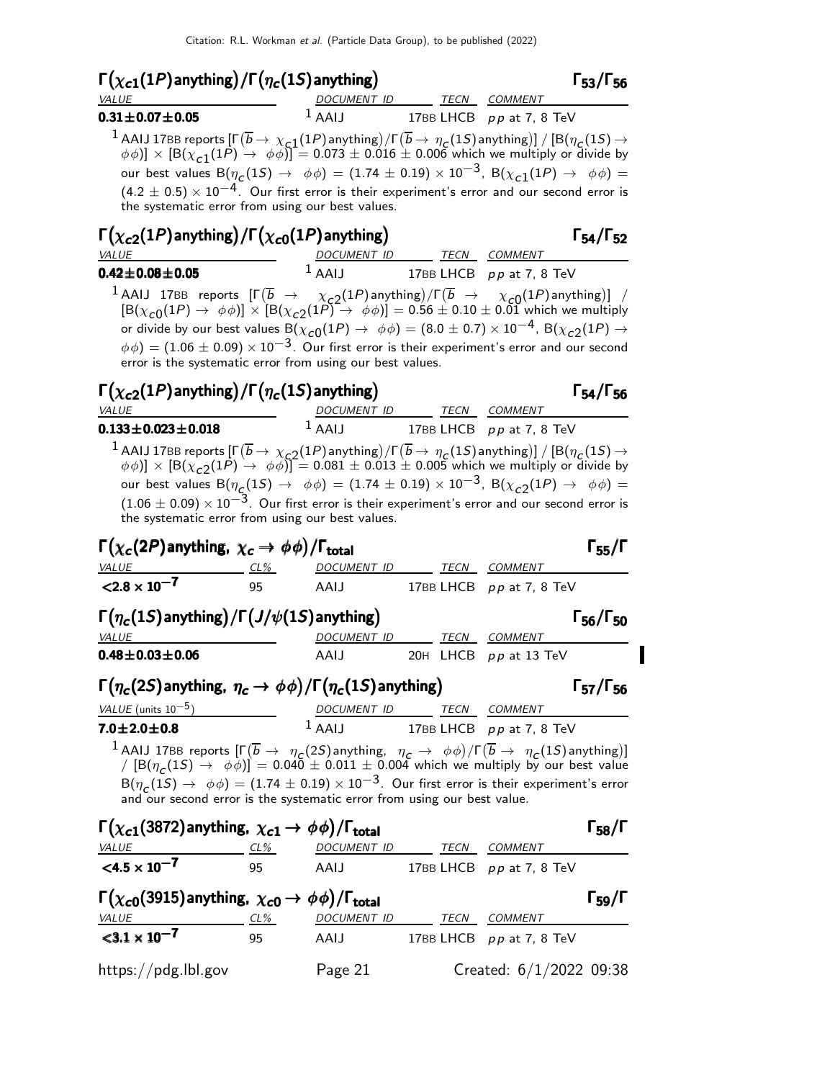| $\Gamma(\chi_{c1}(1P)$ anything) / $\Gamma(\eta_c(1S)$ anything)                                                                                                                        |                    |             | $\Gamma_{53}/\Gamma_{56}$  |  |
|-----------------------------------------------------------------------------------------------------------------------------------------------------------------------------------------|--------------------|-------------|----------------------------|--|
| <b>VALUE</b>                                                                                                                                                                            | <i>DOCUMENT ID</i> | <b>TECN</b> | COMMENT                    |  |
| $0.31 \pm 0.07 \pm 0.05$                                                                                                                                                                | $\perp$ AAIJ       |             | 17BB LHCB $pp$ at 7, 8 TeV |  |
| <sup>1</sup> AAIJ 17BB reports $[\Gamma(\overline{b} \to \chi_{c1}(1P))$ anything) $/[\Gamma(\overline{b} \to \eta_{c}(1S))$ anything)] $/[\mathsf{B}(\eta_{c}(1S) \to \chi_{c1}(1P))]$ |                    |             |                            |  |

 $(\phi \phi)] \times [\mathsf{B}(\chi_{\verb|c1|}(1P) \rightarrow \phi \phi)] = 0.073 \pm 0.016 \pm 0.006$  which we multiply or divide by our best values  $\mathsf{B}(\eta_{\mathsf{C}}(1S) \rightarrow~\phi\phi) = (1.74 \pm 0.19) \times 10^{-3}$ ,  $\mathsf{B}(\chi_{\mathsf{C}1}(1P) \rightarrow~\phi\phi) =$  $(4.2 \pm 0.5) \times 10^{-4}$ . Our first error is their experiment's error and our second error is the systematic error from using our best values.

| $\Gamma(\chi_{c2}(1P)$ anything) / $\Gamma(\chi_{c0}(1P)$ anything)                                                                      |             |             | $\Gamma_{54}/\Gamma_{52}$  |
|------------------------------------------------------------------------------------------------------------------------------------------|-------------|-------------|----------------------------|
| <i>VALUE</i>                                                                                                                             | DOCUMENT ID | <b>TECN</b> | COMMENT                    |
| $0.42 \pm 0.08 \pm 0.05$                                                                                                                 | $^1$ AAIJ   |             | 17BB LHCB $pp$ at 7, 8 TeV |
| $1$ AALL 17PP reports $[\Gamma(\overline{h} \rightarrow \infty, (1P)$ anything) $\Gamma(\overline{h} \rightarrow \infty, (1P)$ anything) |             |             |                            |

1 AAIJ 17BB reports  $[\Gamma(\overline{b} \rightarrow \chi_{c2}(1P))$  anything)  $[\Gamma(\overline{b} \rightarrow \chi_{c0}(1P))]$  /  $[\mathsf{B}(\chi_{c0}(1P) \to \phi\phi)] \times [\mathsf{B}(\chi_{c2}(1P) \to \phi\phi)] = 0.56 \pm 0.10 \pm 0.01$  which we multiply or divide by our best values  ${\rm B}(\chi_{\bf C0}(1P)\to~\phi\phi)=(8.0\pm 0.7)\times 10^{-4}$ ,  ${\rm B}(\chi_{\bf C2}(1P)\to$  $\phi \phi$ ) = (1.06  $\pm$  0.09) × 10<sup>-3</sup>. Our first error is their experiment's error and our second error is the systematic error from using our best values.

| $\Gamma(\chi_{c2}(1P)$ anything) / $\Gamma(\eta_c(1S)$ anything) | $\Gamma_{54}/\Gamma_{56}$ |
|------------------------------------------------------------------|---------------------------|
|------------------------------------------------------------------|---------------------------|

| VALUE                                                                                                                                        | DOCUMENT ID      | TECN | COMMENT                    |
|----------------------------------------------------------------------------------------------------------------------------------------------|------------------|------|----------------------------|
| $0.133\!\pm\!0.023\!\pm\!0.018$                                                                                                              | LAA <sup>1</sup> |      | 17BB LHCB $pp$ at 7, 8 TeV |
| 1 AAIJ 17BB reports $[\Gamma(\overline{b} \to \chi_{\text{G2}}(1P))$ anything) $/[\Gamma(\overline{b} \to \eta_C(1S))]$ $/[B(\eta_C(1S) \to$ |                  |      |                            |

 $(\phi \phi) \rightarrow [\mathsf{B}(\chi_{\texttt{C2}}(1P) \rightarrow \phi \phi)] = 0.081 \pm 0.013 \pm 0.005$  which we multiply or divide by our best values  $\mathsf{B}(\eta_{\mathsf{C}}(1S) \to \phi\phi) = (1.74 \pm 0.19) \times 10^{-3}, \ \mathsf{B}(\chi_{\mathsf{C}2}(1P) \to \phi\phi) =$  $(1.06 \pm 0.09) \times 10^{-3}$ . Our first error is their experiment's error and our second error is the systematic error from using our best values.

| $\Gamma(\chi_c(2P)$ anything, $\chi_c \to \phi \phi$ )/ $\Gamma_{\text{total}}$                                                                                                                                                                                                                                                                                                                                                                   |          |                          |  |  |                                             | $\Gamma_{55}/\Gamma$      |  |
|---------------------------------------------------------------------------------------------------------------------------------------------------------------------------------------------------------------------------------------------------------------------------------------------------------------------------------------------------------------------------------------------------------------------------------------------------|----------|--------------------------|--|--|---------------------------------------------|---------------------------|--|
| VALUE                                                                                                                                                                                                                                                                                                                                                                                                                                             | $CL\%$   | DOCUMENT ID TECN COMMENT |  |  |                                             |                           |  |
| $< 2.8 \times 10^{-7}$                                                                                                                                                                                                                                                                                                                                                                                                                            | $95 - 7$ | AAIJ                     |  |  | 17BB LHCB pp at 7, 8 TeV                    |                           |  |
| $\Gamma(\eta_c(1S)$ anything) / $\Gamma(J/\psi(1S)$ anything)                                                                                                                                                                                                                                                                                                                                                                                     |          |                          |  |  |                                             | $\Gamma_{56}/\Gamma_{50}$ |  |
| <b>VALUE</b>                                                                                                                                                                                                                                                                                                                                                                                                                                      |          | DOCUMENT ID              |  |  | TECN COMMENT                                |                           |  |
| $0.48 \pm 0.03 \pm 0.06$                                                                                                                                                                                                                                                                                                                                                                                                                          |          | <b>AAIJ</b>              |  |  | 20H LHCB pp at 13 TeV                       |                           |  |
| $\Gamma(\eta_c(2S)$ anything, $\eta_c \to \phi\phi$ ) / $\Gamma(\eta_c(1S)$ anything)<br>$\Gamma_{57}/\Gamma_{56}$                                                                                                                                                                                                                                                                                                                                |          |                          |  |  |                                             |                           |  |
| VALUE (units $10^{-5}$ )                                                                                                                                                                                                                                                                                                                                                                                                                          |          | DOCUMENT ID TECN COMMENT |  |  |                                             |                           |  |
| $7.0 \pm 2.0 \pm 0.8$                                                                                                                                                                                                                                                                                                                                                                                                                             |          |                          |  |  | $1\overline{AAIJ}$ 17BB LHCB pp at 7, 8 TeV |                           |  |
| <sup>1</sup> AAIJ 17BB reports $[\Gamma(\overline{b} \to \eta_c(2S))$ anything, $\eta_c \to \phi\phi)/\Gamma(\overline{b} \to \eta_c(1S)$ anything)]<br>/ [B $(\eta_c(1S) \to \phi\phi)$ ] = 0.040 ± 0.011 ± 0.004 which we multiply by our best value<br>$B(\eta_c(1S) \to \phi \phi) = (1.74 \pm 0.19) \times 10^{-3}$ . Our first error is their experiment's error<br>and our second error is the systematic error from using our best value. |          |                          |  |  |                                             |                           |  |
| $\Gamma(\chi_{c1}(3872)$ anything, $\chi_{c1} \rightarrow \phi \phi$ )/ $\Gamma_{\text{total}}$                                                                                                                                                                                                                                                                                                                                                   |          |                          |  |  |                                             | $\Gamma_{58}/\Gamma$      |  |
| VALUE                                                                                                                                                                                                                                                                                                                                                                                                                                             | $CL\%$   | DOCUMENT ID TECN COMMENT |  |  |                                             |                           |  |
| $<$ 4.5 $\times$ 10 <sup>-7</sup>                                                                                                                                                                                                                                                                                                                                                                                                                 | 95       |                          |  |  | AAIJ 17BB LHCB pp at 7, 8 TeV               |                           |  |
| $\Gamma(\chi_{c0}(3915))$ anything, $\chi_{c0} \rightarrow \phi \phi$ )/ $\Gamma_{\text{total}}$                                                                                                                                                                                                                                                                                                                                                  |          |                          |  |  |                                             | $\Gamma_{59}/\Gamma$      |  |
| <b>VALUE</b>                                                                                                                                                                                                                                                                                                                                                                                                                                      | $CL\%$   | DOCUMENT ID TECN         |  |  | <b>COMMENT</b>                              |                           |  |
| $<$ 3.1 $\times$ 10 <sup>-7</sup>                                                                                                                                                                                                                                                                                                                                                                                                                 | 95       | AAIJ                     |  |  | 17BB LHCB pp at 7, 8 TeV                    |                           |  |

https://pdg.lbl.gov Page 21 Created: 6/1/2022 09:38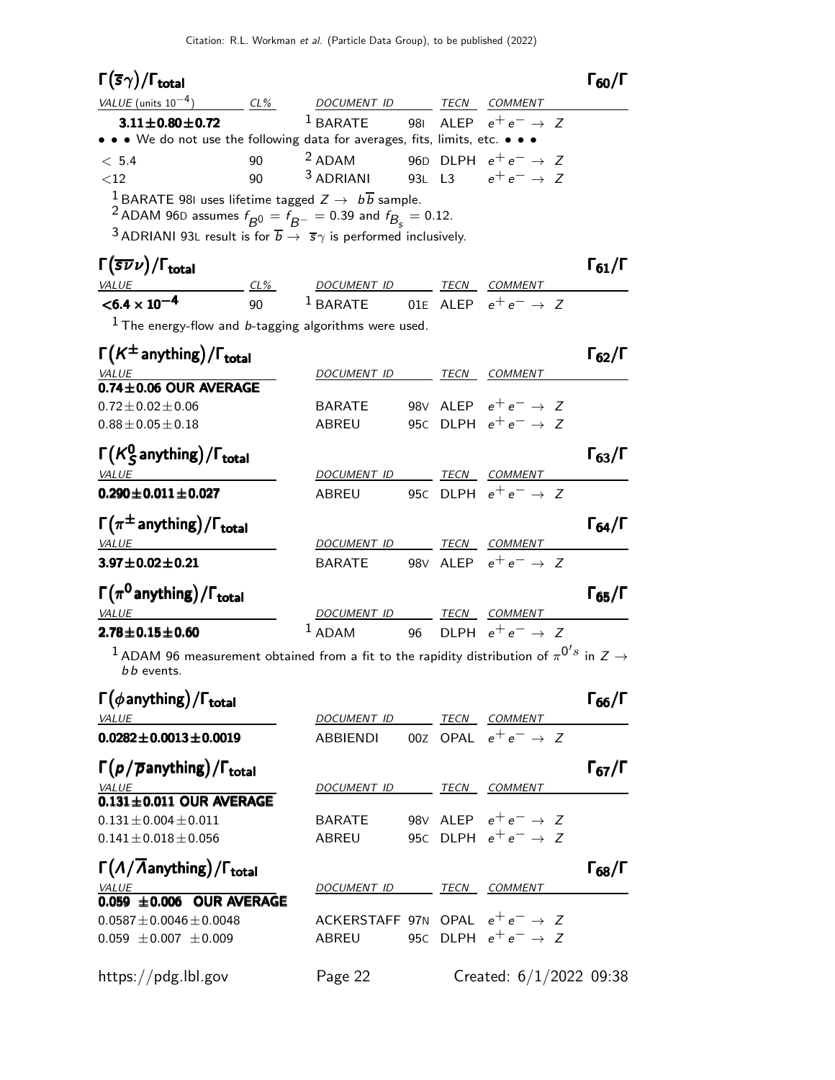### Γ $(\overline{s}\gamma)$ /Γ<sub>total</sub> Γ<sub>60</sub>/Γ total and the contract of the contract of the contract of the contract of the contract of the contract of the c

| VALUE (units $10^{-4}$ )                                                                                                                                                                                                                                                                                          | $CL\%$ | DOCUMENT ID                                         |  | TECN | <i>COMMENT</i>                  |  |  |
|-------------------------------------------------------------------------------------------------------------------------------------------------------------------------------------------------------------------------------------------------------------------------------------------------------------------|--------|-----------------------------------------------------|--|------|---------------------------------|--|--|
| $3.11 \pm 0.80 \pm 0.72$                                                                                                                                                                                                                                                                                          |        | <sup>1</sup> BARATE 981 ALEP $e^+e^- \rightarrow Z$ |  |      |                                 |  |  |
| • • • We do not use the following data for averages, fits, limits, etc. • • •                                                                                                                                                                                                                                     |        |                                                     |  |      |                                 |  |  |
| < 5.4                                                                                                                                                                                                                                                                                                             | 90     | $2$ ADAM                                            |  |      | 96D DLPH $e^+e^- \rightarrow Z$ |  |  |
| ${<}12$                                                                                                                                                                                                                                                                                                           | 90     | $3$ ADRIANI 93L L3 $e^+e^- \rightarrow Z$           |  |      |                                 |  |  |
| <sup>1</sup> BARATE 981 uses lifetime tagged $Z \rightarrow b\overline{b}$ sample.<br>$2.5$ and $2.5$ and $2.5$ and $2.5$ and $2.5$ and $2.5$ and $2.5$ and $2.5$ and $2.5$ and $2.5$ and $2.5$ and $2.5$ and $2.5$ and $2.5$ and $2.5$ and $2.5$ and $2.5$ and $2.5$ and $2.5$ and $2.5$ and $2.5$ and $2.5$ and |        |                                                     |  |      |                                 |  |  |

 $^2$  ADAM 96D assumes  $f_{\cancel{B}^0} = \tilde{f}_{\cancel{B}^-} = 0.39$  and  $f_{\cancel{B}_S} = 0.12$ .

3 ADRIANI 93L result is for  $\overline{b} \rightarrow \overline{s} \gamma$  is performed inclusively.

## Γ(5 $\overline{\nu} \nu$ )/Γ<sub>total</sub> Γ<sub>61</sub>/Γ

| ×<br>۰. |  |
|---------|--|
|---------|--|

| $\vert$ (SVV)/I total             |        |                                                     |      |                | 161/1 |
|-----------------------------------|--------|-----------------------------------------------------|------|----------------|-------|
| <i>VALUE</i>                      | $CL\%$ | DOCUMENT ID                                         | TECN | <i>COMMENT</i> |       |
| $<$ 6.4 $\times$ 10 <sup>-4</sup> | 90     | <sup>1</sup> BARATE 01E ALEP $e^+e^- \rightarrow Z$ |      |                |       |

 $1$  The energy-flow and b-tagging algorithms were used.

| $\Gamma(K^{\pm}$ anything)/ $\Gamma_{total}$                                                                              |                  |      |                                 | 62/1                 |
|---------------------------------------------------------------------------------------------------------------------------|------------------|------|---------------------------------|----------------------|
| <b>VALUE</b>                                                                                                              | DOCUMENT ID      | TECN | <b>COMMENT</b>                  |                      |
| $0.74 \pm 0.06$ OUR AVERAGE                                                                                               |                  |      |                                 |                      |
| $0.72 \pm 0.02 \pm 0.06$                                                                                                  | BARATE           |      | 98V ALEP $e^+e^- \rightarrow Z$ |                      |
| $0.88 \pm 0.05 \pm 0.18$                                                                                                  | <b>ABREU</b>     |      | 95C DLPH $e^+e^- \rightarrow Z$ |                      |
| $\Gamma(K_S^0)$ anything) / $\Gamma_{total}$                                                                              |                  |      |                                 | $\Gamma_{63}/\Gamma$ |
| <b>VALUE</b>                                                                                                              | DOCUMENT ID TECN |      | COMMENT                         |                      |
| $0.290 \pm 0.011 \pm 0.027$                                                                                               | ABREU            |      | 95C DLPH $e^+e^- \rightarrow Z$ |                      |
| $\Gamma(\pi^{\pm}$ anything)/ $\Gamma_{\text{total}}$                                                                     |                  |      |                                 | $\Gamma_{64}/\Gamma$ |
| <b>VALUE</b>                                                                                                              | DOCUMENT ID      | TECN | COMMENT                         |                      |
| $3.97 \pm 0.02 \pm 0.21$                                                                                                  | BARATE           |      | 98V ALEP $e^+e^- \rightarrow Z$ |                      |
| $\Gamma(\pi^0$ anything) / $\Gamma_{\text{total}}$                                                                        |                  |      |                                 | $\Gamma_{65}/\Gamma$ |
| <b>VALUE</b>                                                                                                              | DOCUMENT ID TECN |      | <b>COMMENT</b>                  |                      |
| $2.78 \pm 0.15 \pm 0.60$                                                                                                  | $1$ ADAM         |      | 96 DLPH $e^+e^- \rightarrow Z$  |                      |
| $^1$ ADAM 96 measurement obtained from a fit to the rapidity distribution of $\pi^{0's}$ in $Z\rightarrow$<br>b b events. |                  |      |                                 |                      |

| $\Gamma(\phi$ anything) / $\Gamma_{total}$                      |                                            |      |                                 | $\Gamma_{66}/\Gamma$ |
|-----------------------------------------------------------------|--------------------------------------------|------|---------------------------------|----------------------|
| <b>VALUE</b>                                                    | DOCUMENT ID                                | TECN | <b>COMMENT</b>                  |                      |
| $0.0282 \pm 0.0013 \pm 0.0019$                                  | ABBIENDI                                   |      | 00Z OPAL $e^+e^- \rightarrow Z$ |                      |
| $\Gamma(p/\overline{p}$ anything)/ $\Gamma_{\text{total}}$      |                                            |      |                                 | $\Gamma_{67}/\Gamma$ |
| <b>VALUE</b>                                                    | DOCUMENT ID                                | TECN | <b>COMMENT</b>                  |                      |
| $0.131 \pm 0.011$ OUR AVERAGE                                   |                                            |      |                                 |                      |
| $0.131 \pm 0.004 \pm 0.011$                                     | <b>BARATE</b>                              |      | 98V ALEP $e^+e^- \rightarrow Z$ |                      |
| $0.141 \pm 0.018 \pm 0.056$                                     | ABREU                                      |      | 95c DLPH $e^+e^- \rightarrow Z$ |                      |
| $\Gamma(\Lambda/\overline{\Lambda}$ anything)/ $\Gamma_{total}$ |                                            |      |                                 | $\Gamma_{68}/\Gamma$ |
| <b>VALUE</b>                                                    | DOCUMENT ID                                | TECN | <b>COMMENT</b>                  |                      |
| $0.059 \pm 0.006$ OUR AVERAGE                                   |                                            |      |                                 |                      |
| $0.0587 \pm 0.0046 \pm 0.0048$                                  | ACKERSTAFF 97N OPAL $e^+e^- \rightarrow Z$ |      |                                 |                      |
| $0.059 \pm 0.007 \pm 0.009$                                     | ABREU                                      |      | 95C DLPH $e^+e^- \rightarrow Z$ |                      |
| https://pdg.lbl.gov                                             | Page 22                                    |      | Created: 6/1/2022 09:38         |                      |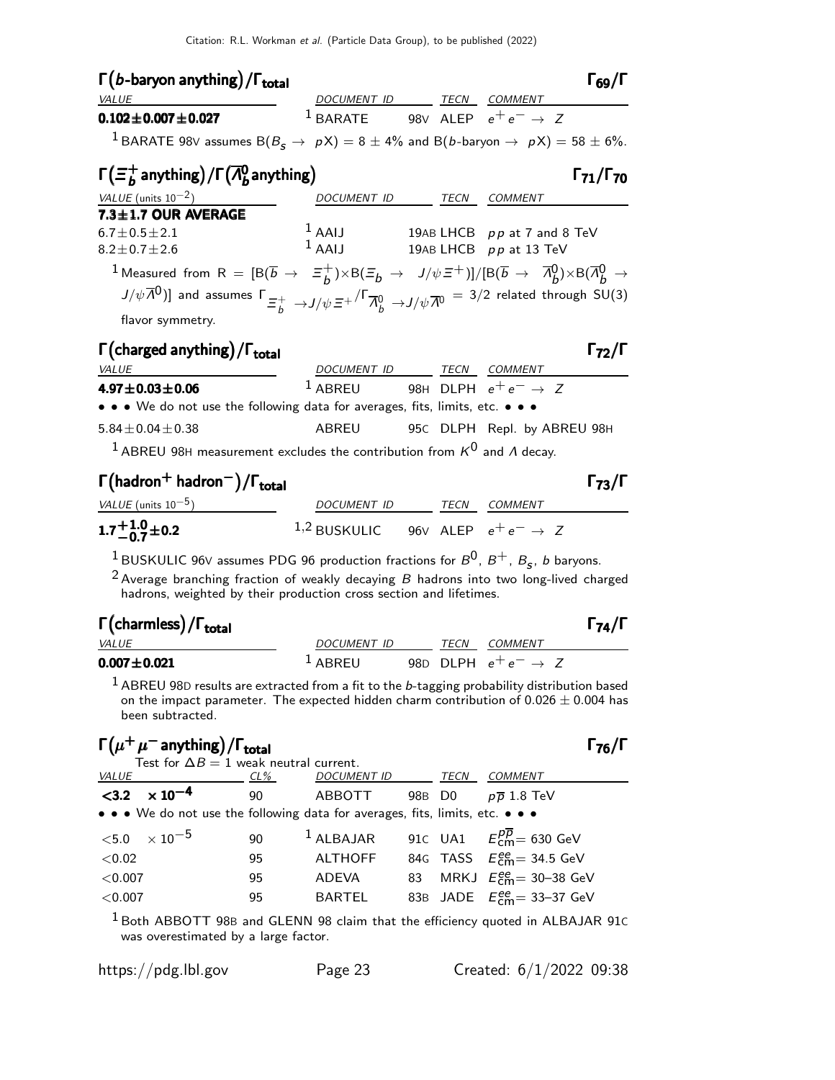| $\Gamma(b$ -baryon anything) / $\Gamma_{total}$<br><b>VALUE</b>                                                                                                                                                                                                                                                                                                                                                         | DOCUMENT ID                                         |  | TECN | $1_{69}$ /I<br><b>COMMENT</b> |  |  |
|-------------------------------------------------------------------------------------------------------------------------------------------------------------------------------------------------------------------------------------------------------------------------------------------------------------------------------------------------------------------------------------------------------------------------|-----------------------------------------------------|--|------|-------------------------------|--|--|
| $0.102 \pm 0.007 \pm 0.027$                                                                                                                                                                                                                                                                                                                                                                                             | <sup>1</sup> BARATE 98V ALEP $e^+e^- \rightarrow Z$ |  |      |                               |  |  |
| <sup>1</sup> BARATE 98V assumes B( $B_s \rightarrow pX$ ) = 8 $\pm$ 4% and B(b-baryon $\rightarrow pX$ ) = 58 $\pm$ 6%.                                                                                                                                                                                                                                                                                                 |                                                     |  |      |                               |  |  |
| $\Gamma(\Xi_b^+$ anything) / $\Gamma(\overline{\Lambda}_b^0$ anything)<br>$\Gamma_{71}/\Gamma_{70}$                                                                                                                                                                                                                                                                                                                     |                                                     |  |      |                               |  |  |
| VALUE (units $10^{-2}$ )                                                                                                                                                                                                                                                                                                                                                                                                | <b>DOCUMENT ID</b>                                  |  | TECN | <b>COMMENT</b>                |  |  |
| $7.3 \pm 1.7$ OUR AVERAGE                                                                                                                                                                                                                                                                                                                                                                                               |                                                     |  |      |                               |  |  |
| $6.7 + 0.5 + 2.1$                                                                                                                                                                                                                                                                                                                                                                                                       | $1$ AAIJ                                            |  |      | 19AB LHCB pp at 7 and 8 TeV   |  |  |
| $8.2 + 0.7 + 2.6$                                                                                                                                                                                                                                                                                                                                                                                                       | $1$ AALI                                            |  |      | 19AB LHCB pp at 13 TeV        |  |  |
| 1 Measured from R = $[ B(\overline{b} \rightarrow \overline{z}_h^+) \times B(\overline{z}_h \rightarrow J/\psi \overline{z}^+ ) ] / [ B(\overline{b} \rightarrow \overline{\Lambda}_h^0) \times B(\overline{\Lambda}_h^0 \rightarrow$<br>$J/\psi \overline{\Lambda}^0$ ] and assumes $\Gamma_{\mu \mu} \rightarrow J/\psi \bar{z}^+/\Gamma_{\mu}^0 \rightarrow J/\psi \overline{\Lambda}^0 = 3/2$ related through SU(3) |                                                     |  |      |                               |  |  |
| flavor symmetry.                                                                                                                                                                                                                                                                                                                                                                                                        |                                                     |  |      |                               |  |  |

## Γ (charged anything) / Γ<sub>total</sub> Γ<sub>72</sub>/Γ

| <i>VALUE</i>                                                                                 | DOCUMENT ID                                        |  |  | TECN COMMENT                |  |  |  |
|----------------------------------------------------------------------------------------------|----------------------------------------------------|--|--|-----------------------------|--|--|--|
| $4.97 \pm 0.03 \pm 0.06$                                                                     | <sup>1</sup> ABREU 98H DLPH $e^+e^- \rightarrow Z$ |  |  |                             |  |  |  |
| • • • We do not use the following data for averages, fits, limits, etc. • • •                |                                                    |  |  |                             |  |  |  |
| $5.84 \pm 0.04 \pm 0.38$                                                                     | ABREU                                              |  |  | 95C DLPH Repl. by ABREU 98H |  |  |  |
| <sup>1</sup> ABREU 98H measurement excludes the contribution from $K^0$ and $\Lambda$ decay. |                                                    |  |  |                             |  |  |  |

## Γ hadron<sup>+</sup> hadron<sup>−</sup> /Γtotal Γ73/Γ + − Γ total <sup>73</sup> hadron<sup>+</sup> hadron<sup>−</sup> /ΓtotalΓ73/Γ + −

| I (nadron nadron) / I total     |                                                         |  |              | 173/1 |
|---------------------------------|---------------------------------------------------------|--|--------------|-------|
| <i>VALUE</i> (units $10^{-5}$ ) | DOCUMENT ID                                             |  | TECN COMMENT |       |
| $1.7^{+1.0}_{-0.7}$ ± 0.2       | <sup>1,2</sup> BUSKULIC 96V ALEP $e^+e^- \rightarrow Z$ |  |              |       |

 $\frac{1}{2}$ BUSKULIC 96V assumes PDG 96 production fractions for  $B^0$ ,  $B^+$ ,  $B_{\sf s}$ ,  $b$  baryons.

 $^2$  Average branching fraction of weakly decaying  $B$  hadrons into two long-lived charged hadrons, weighted by their production cross section and lifetimes.

### Γ (charmless) / Γ<sub>total</sub> Γ<sub>74</sub>/Γ /Γ<sub>total</sub> Γ<sub>74</sub>/Γ

| <i>VALUE</i>      | <i>DOCUMENT ID</i> | TECN | <i>COMMENT</i>                  |
|-------------------|--------------------|------|---------------------------------|
| $0.007 \pm 0.021$ | $1$ ABREU          |      | 98D DLPH $e^+e^- \rightarrow Z$ |

 $<sup>1</sup>$  ABREU 98D results are extracted from a fit to the b-tagging probability distribution based</sup> on the impact parameter. The expected hidden charm contribution of  $0.026 \pm 0.004$  has been subtracted.

## $\Gamma(\mu^+ \mu^-)$  anything) /  $\Gamma_{\text{total}}$

|                                   | Test for $\Delta B = 1$ weak neutral current. |     |                                                                               |        |                                                                 |
|-----------------------------------|-----------------------------------------------|-----|-------------------------------------------------------------------------------|--------|-----------------------------------------------------------------|
| <i>VALUE</i>                      |                                               | CL% | DOCUMENT ID                                                                   | TECN   | <b>COMMENT</b>                                                  |
| $<$ 3.2 $\times$ 10 <sup>-4</sup> |                                               | 90  | ABBOTT                                                                        | 98B D0 | $p\,\overline{\!p}$ 1.8 TeV                                     |
|                                   |                                               |     | • • • We do not use the following data for averages, fits, limits, etc. • • • |        |                                                                 |
|                                   |                                               |     |                                                                               |        |                                                                 |
| $<$ 5.0 $\times$ 10 $^{-5}$       |                                               | 90  |                                                                               |        | <sup>1</sup> ALBAJAR 91C UA1 $E_{cm}^{p\overline{p}} = 630$ GeV |
| < 0.02                            |                                               | 95  | ALTHOFF                                                                       |        | 84G TASS $E_{\text{cm}}^{ee}$ = 34.5 GeV                        |
| < 0.007                           |                                               | 95  | ADEVA                                                                         |        | 83 MRKJ $E_{\text{cm}}^{ee} = 30 - 38 \text{ GeV}$              |
| < 0.007                           |                                               | 95  | <b>BARTEL</b>                                                                 |        | 83B JADE $E_{\text{cm}}^{ee}$ = 33-37 GeV                       |

 $1$  Both ABBOTT 98B and GLENN 98 claim that the efficiency quoted in ALBAJAR 91C was overestimated by a large factor.

|  |  | https://pdg.lbl.gov |
|--|--|---------------------|
|--|--|---------------------|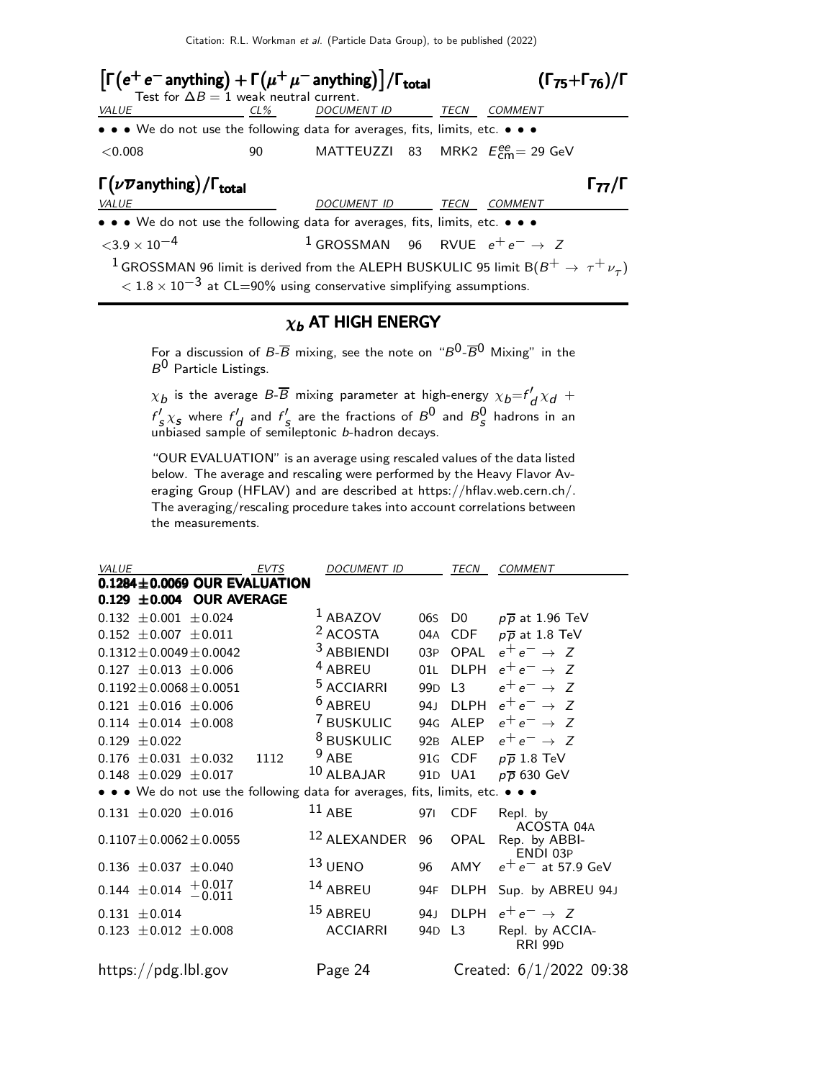Citation: R.L. Workman et al. (Particle Data Group), to be published (2022)

| $\left[\Gamma(e^+e^- \text{anything}) + \Gamma(\mu^+\mu^- \text{anything})\right] / \Gamma_{\text{total}}$<br>Test for $\Delta B = 1$ weak neutral current.                                     |        |                                                      |      |                                          | $(\Gamma_{75} + \Gamma_{76})/\Gamma$ |
|-------------------------------------------------------------------------------------------------------------------------------------------------------------------------------------------------|--------|------------------------------------------------------|------|------------------------------------------|--------------------------------------|
| VALUE                                                                                                                                                                                           | $CL\%$ | <i>DOCUMENT ID</i>                                   | TECN | <b>COMMENT</b>                           |                                      |
| • • • We do not use the following data for averages, fits, limits, etc. • • •                                                                                                                   |        |                                                      |      |                                          |                                      |
| < 0.008                                                                                                                                                                                         | 90     |                                                      |      | MATTEUZZI 83 MRK2 $E_{cm}^{ee}$ = 29 GeV |                                      |
| $\Gamma(\nu \overline{\nu}$ anything) / $\Gamma_{\rm total}$                                                                                                                                    |        |                                                      |      |                                          | l <sub>77</sub> /l                   |
| <b>VALUE</b>                                                                                                                                                                                    |        | DOCUMENT ID TECN                                     |      | <b>COMMENT</b>                           |                                      |
| • • • We do not use the following data for averages, fits, limits, etc. • • •                                                                                                                   |        |                                                      |      |                                          |                                      |
| $<$ 3.9 $\times$ 10 <sup>-4</sup>                                                                                                                                                               |        | <sup>1</sup> GROSSMAN 96 RVUE $e^+e^- \rightarrow Z$ |      |                                          |                                      |
| <sup>1</sup> GROSSMAN 96 limit is derived from the ALEPH BUSKULIC 95 limit B( $B^+ \rightarrow \tau^+ \nu_\tau$ )<br>$1.8 \times 10^{-3}$ at CL=90% using conservative simplifying assumptions. |        |                                                      |      |                                          |                                      |

### $\chi_b$  AT HIGH ENERGY

For a discussion of B- $\overline{B}$  mixing, see the note on " $B^0$ - $\overline{B}{}^0$  Mixing" in the  $B^0$  Particle Listings.

 $\chi_b$  is the average B-B mixing parameter at high-energy  $\chi_b = f_d' \chi_d +$  $f'_{S} \chi_{S}$  where  $f'_{d}$  and  $f'_{S}$  are the fractions of  $B^{0}$  and  $B^{0}_{S}$  hadrons in an unbiased sample of semileptonic b-hadron decays.

"OUR EVALUATION" is an average using rescaled values of the data listed below. The average and rescaling were performed by the Heavy Flavor Averaging Group (HFLAV) and are described at https://hflav.web.cern.ch/. The averaging/rescaling procedure takes into account correlations between the measurements.

| VALUE                                                                         | <b>EVTS</b> | <b>DOCUMENT ID</b>      |                 | TECN           | COMMENT                           |
|-------------------------------------------------------------------------------|-------------|-------------------------|-----------------|----------------|-----------------------------------|
| $0.1284 \pm 0.0069$ OUR EVALUATION                                            |             |                         |                 |                |                                   |
| $0.129 \pm 0.004$ OUR AVERAGE                                                 |             |                         |                 |                |                                   |
| $0.132 \pm 0.001 \pm 0.024$                                                   |             | $1$ ABAZOV              | 06s             | D <sub>0</sub> | $p\overline{p}$ at 1.96 TeV       |
| $0.152 \pm 0.007 \pm 0.011$                                                   |             | <sup>2</sup> ACOSTA     | 04A             | CDF            | $p\overline{p}$ at 1.8 TeV        |
| $0.1312 \pm 0.0049 \pm 0.0042$                                                |             | <sup>3</sup> ABBIENDI   | 03P             | OPAL           | $e^+e^- \rightarrow Z$            |
| $0.127 \pm 0.013 \pm 0.006$                                                   |             | <sup>4</sup> ABREU      | 01L             | <b>DLPH</b>    | $e^+e^- \rightarrow Z$            |
| $0.1192 \pm 0.0068 \pm 0.0051$                                                |             | <sup>5</sup> ACCIARRI   | 99 <sub>D</sub> | $\overline{1}$ | $e^+e^- \rightarrow Z$            |
| $0.121 \pm 0.016 \pm 0.006$                                                   |             | <sup>6</sup> ABREU      | 94.J            | <b>DLPH</b>    | $e^+e^- \rightarrow Z$            |
| $0.114 \pm 0.014 \pm 0.008$                                                   |             | <sup>7</sup> BUSKULIC   | 94G             | ALEP           | $e^+e^- \rightarrow Z$            |
| $0.129 \pm 0.022$                                                             |             | <sup>8</sup> BUSKULIC   | 92 <sub>B</sub> | ALEP           | $e^+e^- \rightarrow Z$            |
| $\pm 0.031 \pm 0.032$<br>0.176                                                | 1112        | $9$ ABE                 |                 | 91G CDF        | $p\overline{p}$ 1.8 TeV           |
| $0.148 \pm 0.029 \pm 0.017$                                                   |             | 10 ALBAJAR              | 91 <sub>D</sub> | UA1            | $p\overline{p}$ 630 GeV           |
| • • • We do not use the following data for averages, fits, limits, etc. • • • |             |                         |                 |                |                                   |
| $0.131 \pm 0.020 \pm 0.016$                                                   |             | $11$ ABE                | 971             | <b>CDF</b>     | Repl. by<br>ACOSTA 04A            |
| $0.1107 \pm 0.0062 \pm 0.0055$                                                |             | <sup>12</sup> ALEXANDER | 96              | OPAL           | Rep. by ABBI-<br>ENDI 03P         |
| $0.136 \pm 0.037 \pm 0.040$                                                   |             | $^{13}$ UENO            | 96              | AMY            | $e^+e^-$ at 57.9 GeV              |
| $+0.017$<br>$-0.011$<br>$0.144 \pm 0.014$                                     |             | 14 ABREU                | 94F             | DLPH           | Sup. by ABREU 94J                 |
| $0.131 \pm 0.014$                                                             |             | 15 ABREU                | 94 <sub>1</sub> | DI PH          | $e^+e^- \rightarrow Z$            |
| $0.123 \pm 0.012 \pm 0.008$                                                   |             | <b>ACCIARRI</b>         | 94 <sub>D</sub> | L <sub>3</sub> | Repl. by ACCIA-<br><b>RRI 99D</b> |
| https://pdg.lbl.gov                                                           |             | Page 24                 |                 |                | Created: 6/1/2022 09:38           |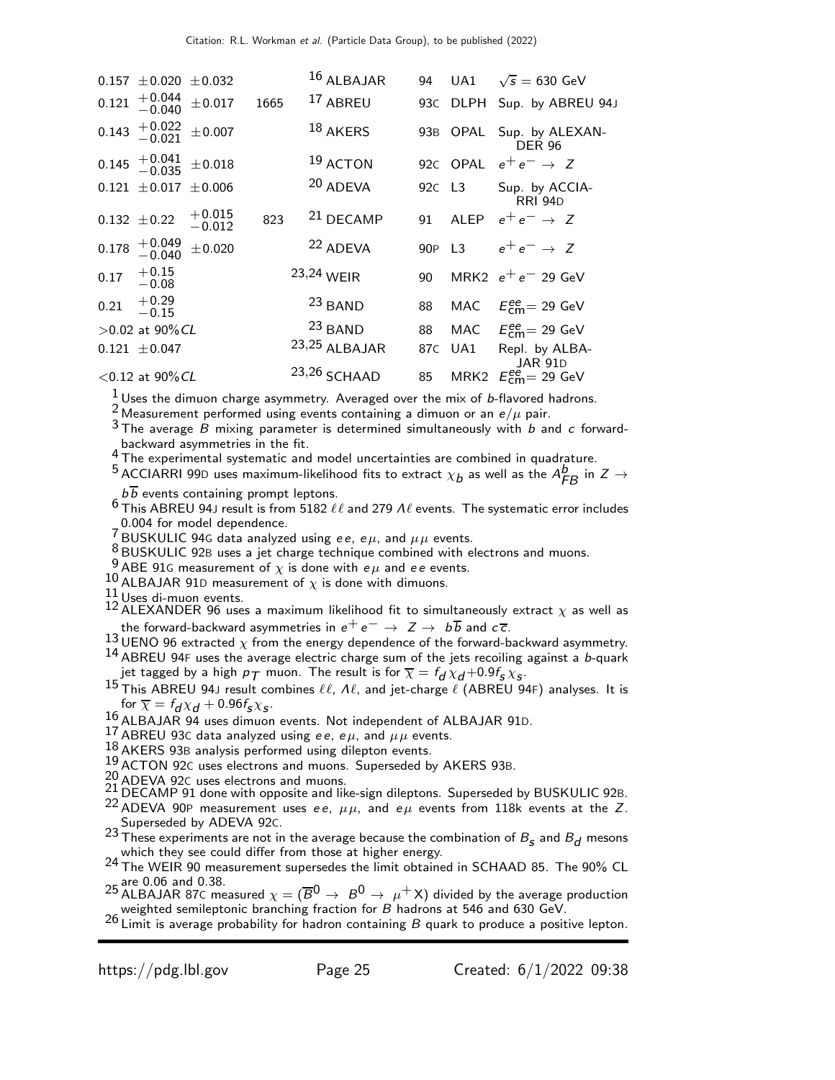|       | $0.157 \pm 0.020 \pm 0.032$                                     |                      |      | 16 ALBAJAR           |        |     | 94 UA1 $\sqrt{s} = 630 \text{ GeV}$       |
|-------|-----------------------------------------------------------------|----------------------|------|----------------------|--------|-----|-------------------------------------------|
|       |                                                                 |                      |      |                      |        |     |                                           |
|       | $0.121 \begin{array}{c} +0.044 \\ -0.040 \end{array}$           | $\pm 0.017$          | 1665 | <sup>17</sup> ABREU  |        |     | 93C DLPH Sup. by ABREU 94J                |
|       | $0.143 + 0.022 + 0.007$                                         |                      |      | $18$ AKERS           |        |     | 93B OPAL Sup. by ALEXAN-<br><b>DER 96</b> |
|       | $0.145 \begin{array}{c} +0.041 \\ -0.035 \end{array} \pm 0.018$ |                      |      | 19 ACTON             |        |     | 920 OPAL $e^+e^- \rightarrow Z$           |
|       | $0.121 \pm 0.017 \pm 0.006$                                     |                      |      | 20 ADEVA             | 92C L3 |     | Sup. by ACCIA-<br><b>RRI 94D</b>          |
|       | $0.132 \pm 0.22$                                                | $+0.015$<br>$-0.012$ | 823  | <sup>21</sup> DECAMP |        |     | 91 ALEP $e^+e^- \rightarrow Z$            |
| 0.178 | $^{+0.049}_{-0.040}$                                            | $\pm 0.020$          |      | <sup>22</sup> ADEVA  | 90P L3 |     | $e^+e^- \rightarrow Z$                    |
| 0.17  | $+0.15$<br>$-0.08$                                              |                      |      | 23,24 WEIR           | 90     |     | MRK2 $e^+e^-$ 29 GeV                      |
| 0.21  | $+0.29$<br>$-0.15$                                              |                      |      | 23 BAND              | 88     |     | MAC $E_{\text{cm}}^{ee} = 29 \text{ GeV}$ |
|       | $>0.02$ at 90% CL                                               |                      |      | <sup>23</sup> BAND   | 88     |     | MAC $E_{\text{cm}}^{ee} = 29 \text{ GeV}$ |
|       | $0.121 \pm 0.047$                                               |                      |      | 23,25 ALBAJAR        | 87C    | UA1 | Repl. by ALBA-<br><b>JAR 91D</b>          |
|       | $<$ 0.12 at 90% CL                                              |                      |      | 23,26 SCHAAD         | 85     |     | MRK2 $E_{\text{cm}}^{ee}$ = 29 GeV        |
|       |                                                                 |                      |      |                      |        |     |                                           |

 $\frac{1}{2}$ Uses the dimuon charge asymmetry. Averaged over the mix of b-flavored hadrons.

<sup>2</sup> Measurement performed using events containing a dimuon or an  $e/\mu$  pair.

 $3$  The average B mixing parameter is determined simultaneously with b and c forwardbackward asymmetries in the fit.

<sup>4</sup> The experimental systematic and model uncertainties are combined in quadrature.

<sup>5</sup> ACCIARRI 99D uses maximum-likelihood fits to extract  $\chi_b$  as well as the  $A_{FB}^b$  in  $Z \rightarrow$  $b\overline{b}$  events containing prompt leptons.

 $^6$  This ABREU 94J result is from 5182  $\ell\ell$  and 279  $\Lambda\ell$  events. The systematic error includes 0.004 for model dependence.

7 BUSKULIC 94G data analyzed using ee, e $\mu$ , and  $\mu\mu$  events.

 $8$  BUSKULIC 92B uses a jet charge technique combined with electrons and muons.

<sup>9</sup> ABE 91G measurement of  $\chi$  is done with  $e\mu$  and ee events.

10 ALBAJAR 91D measurement of  $\chi$  is done with dimuons.<br>11 Uses di-muon events.

- 12 Uses di-muon events.<br>12 ALEXANDER 96 uses a maximum likelihood fit to simultaneously extract  $\chi$  as well as the forward-backward asymmetries in  $e^+e^- \rightarrow Z \rightarrow b\overline{b}$  and  $c\overline{c}$ .
- 13 UENO 96 extracted  $\chi$  from the energy dependence of the forward-backward asymmetry.  $14$  ABREU 94F uses the average electric charge sum of the jets recoiling against a b-quark
- jet tagged by a high  $\rho_{\mathcal{T}}$  muon. The result is for  $\overline{\chi} = f_{\bm{d}} \chi_{\bm{d}} + 0.9 f_{\bm{S}} \chi_{\bm{S}}.$
- 15 This ABREU 94J result combines  $\ell\ell$ ,  $\Lambda\ell$ , and jet-charge  $\ell$  (ABREU 94F) analyses. It is for  $\overline{\chi} = f_d \chi_d + 0.96 f_s \chi_s$ .
- 16 ALBAJAR 94 uses dimuon events. Not independent of ALBAJAR 91D.

17 ABREU 93C data analyzed using ee, e $\mu$ , and  $\mu\mu$  events.

18 AKERS 93B analysis performed using dilepton events.

 $19$  ACTON 92C uses electrons and muons. Superseded by AKERS 93B.<br>29 ADEVA 92C uses electrons and muons.

21 ADEVA 92C uses electrons and muons.<br>21 DECAMP 91 done with opposite and like-sign dileptons. Superseded by BUSKULIC 92B.

<sup>22</sup> ADEVA 90P measurement uses ee,  $\mu\mu$ , and e $\mu$  events from 118k events at the Z. Superseded by ADEVA 92C.

- <sup>23</sup> These experiments are not in the average because the combination of  $B_s$  and  $B_d$  mesons which they see could differ from those at higher energy.
- 24 The WEIR 90 measurement supersedes the limit obtained in SCHAAD 85. The 90% CL or are 0.06 and 0.38.
- 25 are 0.06 and 0.38.<br>25 ALBAJAR 87C measured  $\chi = (\overline{B}^0 \to B^0 \to \mu^+ \times)$  divided by the average production<br><sub>os</sub> weighted semileptonic branching fraction for *B* hadrons at 546 and 630 GeV.
- 26 Limit is average probability for hadron containing B quark to produce a positive lepton.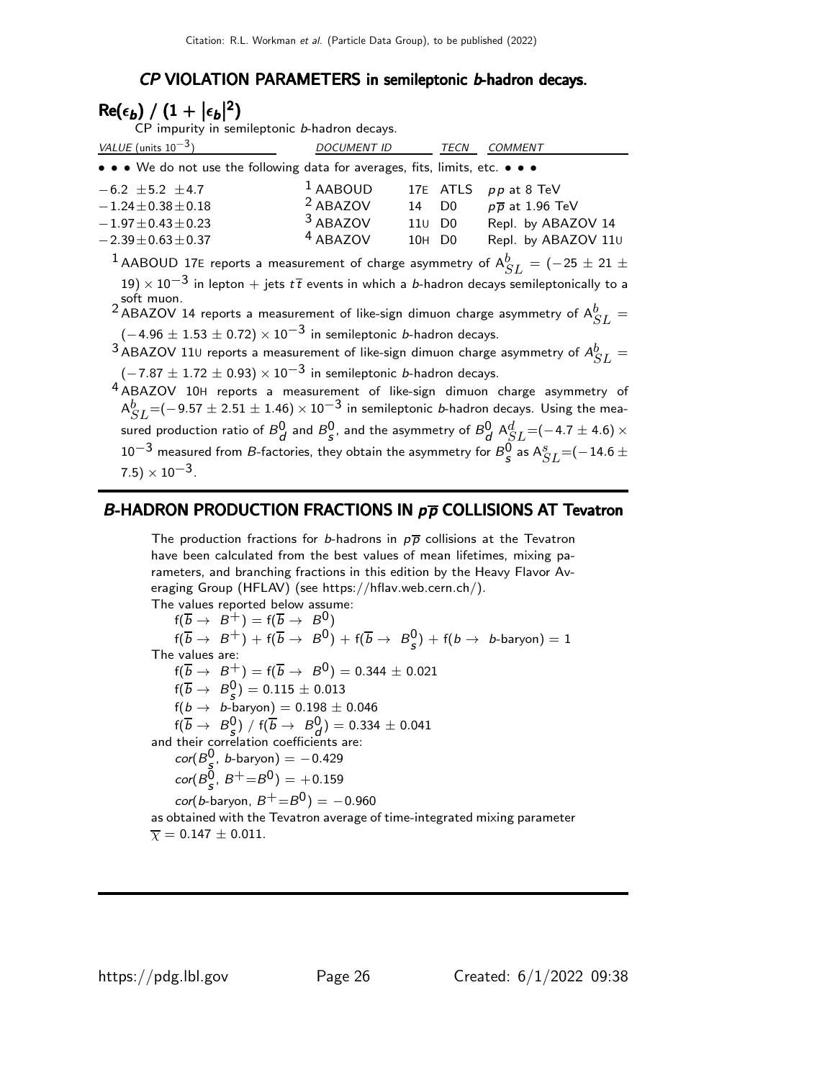### CP VIOLATION PARAMETERS in semileptonic b-hadron decays.

# $\mathsf{Re}(\epsilon_b) / (1+|\epsilon_b|^2)$

CP impurity in semileptonic b-hadron decays.

| VALUE (units $10^{-3}$ )                                                      | <b>DOCUMENT ID</b>  |                    | <b>TECN</b> | <b>COMMENT</b>              |
|-------------------------------------------------------------------------------|---------------------|--------------------|-------------|-----------------------------|
| • • • We do not use the following data for averages, fits, limits, etc. • • • |                     |                    |             |                             |
| $-6.2 \pm 5.2 \pm 4.7$                                                        | $1$ AABOUD          |                    |             | 17E ATLS $pp$ at 8 TeV      |
| $-1.24 \pm 0.38 \pm 0.18$                                                     | $2$ ABAZOV          | 14 D <sub>0</sub>  |             | $p\overline{p}$ at 1.96 TeV |
| $-1.97 \pm 0.43 \pm 0.23$                                                     | 3 ABAZOV            | 110 D <sub>0</sub> |             | Repl. by ABAZOV 14          |
| $-2.39 \pm 0.63 \pm 0.37$                                                     | <sup>4</sup> ABAZOV | 10H D <sub>0</sub> |             | Repl. by ABAZOV 11U         |
| $\frac{1}{2}$                                                                 |                     |                    |             |                             |

 $^1$  AABOUD 17E reports a measurement of charge asymmetry of  $\mathsf{A}^b_{SL} = (-25 \pm 21 \pm 1)$ 

 $19$ )  $\times$   $10^{-3}$  in lepton  $+$  jets  $t\bar{t}$  events in which a b-hadron decays semileptonically to a

soft muon.<br><sup>2</sup> ABAZOV 14 reports a measurement of like-sign dimuon charge asymmetry of  $A_{SL}^b =$  $(-4.96 \pm 1.53 \pm 0.72) \times 10^{-3}$  in semileptonic *b*-hadron decays.

 $^3$ ABAZOV 11 $\scriptstyle\rm U$  reports a measurement of like-sign dimuon charge asymmetry of  $A^b_{SL} =$  $(-7.87 \pm 1.72 \pm 0.93) \times 10^{-3}$  in semileptonic *b*-hadron decays.

4 ABAZOV 10<sup>H</sup> reports a measurement of like-sign dimuon charge asymmetry of  ${\sf A}_{SL}^b$ =(−9.57  $\pm$  2.51  $\pm$  1.46)  $\times$  10 $^{-3}$  in semileptonic *b*-hadron decays. Using the measured production ratio of  $B_d^0$  and  $B_s^0$ , and the asymmetry of  $B_d^0$   ${\rm A}_{SL}^d$  =(−4.7  $\pm$  4.6)  $\times$  $10^{-3}$  measured from *B*-factories, they obtain the asymmetry for  $B_{\mathcal{S}}^0$  as  $\mathcal{A}_{SL}^s$  =(−14.6  $\pm$  $(7.5) \times 10^{-3}$ .

### B-HADRON PRODUCTION FRACTIONS IN  $p\overline{p}$  COLLISIONS AT Tevatron

The production fractions for b-hadrons in  $p\overline{p}$  collisions at the Tevatron have been calculated from the best values of mean lifetimes, mixing parameters, and branching fractions in this edition by the Heavy Flavor Averaging Group (HFLAV) (see https://hflav.web.cern.ch/).

The values reported below assume:  $f(\overline{b} \rightarrow B^+) = f(\overline{b} \rightarrow B^0)$  $f(\overline{b} \rightarrow B^+) + f(\overline{b} \rightarrow B^0) + f(\overline{b} \rightarrow B^0_{\overline{s}})$  $\binom{0}{s}$  + f(b  $\rightarrow$  b-baryon) = 1 The values are: f( $\overline{b} \to B^+$ ) = f( $\overline{b} \to B^0$ ) = 0.344 ± 0.021  $f(\overline{b} \to B^0_s) = 0.115 \pm 0.013$  $f(b \rightarrow b$ -baryon $) = 0.198 \pm 0.046$  $f(\overline{b} \to B^0_s) / f(\overline{b} \to B^0_d) = 0.334 \pm 0.041$ and their correlation coefficients are:  $cor(B<sub>e</sub><sup>0</sup>)$  $\frac{0}{5}$ , *b*-baryon) =  $-0.429$  $\textit{cor}(B_{\cal S}^{0},\,B^{+}\!\!=\!\!B^{0}) = +0.159$  $cor(b\text{-}baryon, B^{+}=B^{0}) = -0.960$ as obtained with the Tevatron average of time-integrated mixing parameter  $\bar{\chi} = 0.147 \pm 0.011.$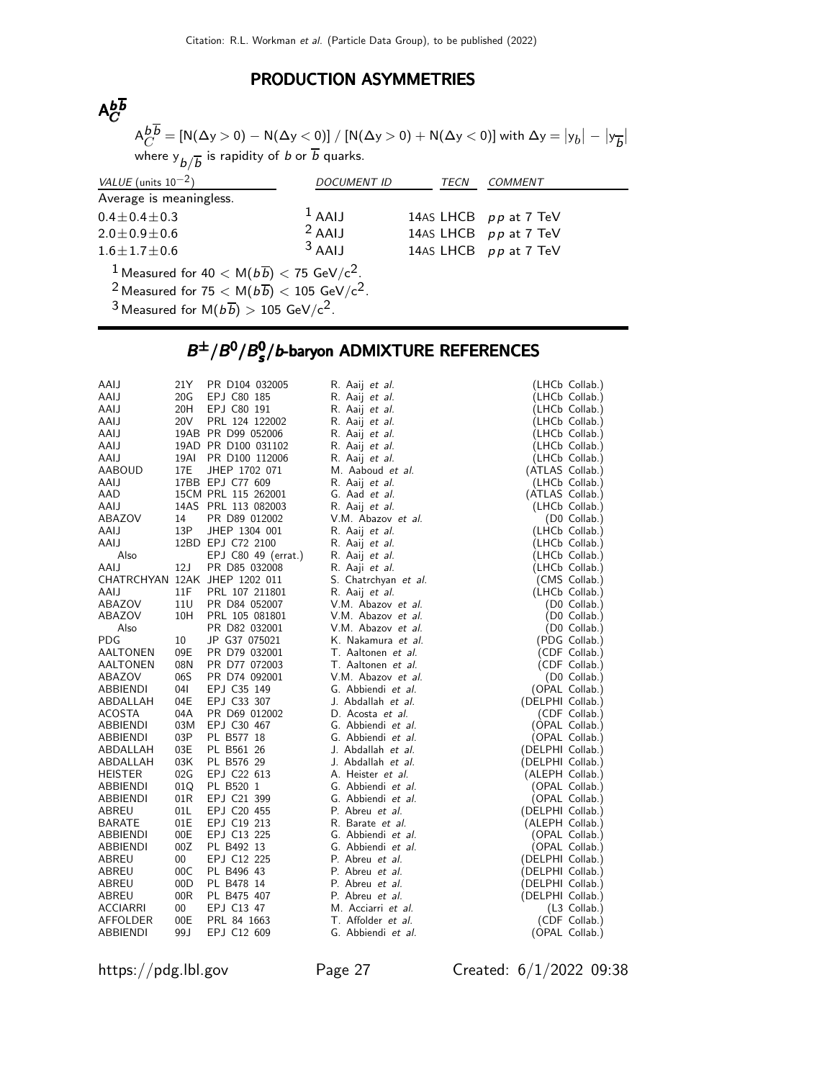## PRODUCTION ASYMMETRIES

### Abb<br>Ac C

 $\mathsf{A}^{b \, b}_{C} = \left[ \mathsf{N}(\Delta \mathsf{y}>0) - \mathsf{N}(\Delta \mathsf{y}<0) \right] / \left[ \mathsf{N}(\Delta \mathsf{y}>0) + \mathsf{N}(\Delta \mathsf{y}<0) \right]$  with  $\Delta \mathsf{y} = \left| \mathsf{y}_{b} \right| - \left| \mathsf{y}_{\overline{b}} \right|$ where  ${\rm y}_{\vec{b}/\overline{b}}$  is rapidity of  $b$  or  $b$  quarks.

| VALUE (units $10^{-2}$ )                                                          | <i>DOCUMENT ID</i>                                                       | TECN | COMMENT               |  |  |  |
|-----------------------------------------------------------------------------------|--------------------------------------------------------------------------|------|-----------------------|--|--|--|
| Average is meaningless.                                                           |                                                                          |      |                       |  |  |  |
| $0.4 \pm 0.4 \pm 0.3$                                                             | $1$ AALI                                                                 |      | 14AS LHCB pp at 7 TeV |  |  |  |
| $2.0 \pm 0.9 \pm 0.6$                                                             | $2$ AAIJ                                                                 |      | 14AS LHCB pp at 7 TeV |  |  |  |
| $1.6 \pm 1.7 \pm 0.6$                                                             | $3$ AAIJ                                                                 |      | 14AS LHCB pp at 7 TeV |  |  |  |
| <sup>1</sup> Measured for 40 $<$ M( $b\overline{b}$ ) $<$ 75 GeV/c <sup>2</sup> . |                                                                          |      |                       |  |  |  |
| <sup>2</sup> Measured for $75 < M(b\overline{b}) < 105$ GeV/c <sup>2</sup> .      |                                                                          |      |                       |  |  |  |
|                                                                                   | <sup>3</sup> Measured for M $(b\overline{b})$ > 105 GeV/c <sup>2</sup> . |      |                       |  |  |  |

### $B^{\pm}/B^0/B_s^0$  $B^{\pm}/B^0/B_s^0/b$ -baryon ADMIXTURE REFERENCES  $B^\pm/B^0/B^0_s/b$ -baryon ADMIXTURE REFERENCES

| AAIJ            | 21 Y            | PR D104 032005                 | R. Aaij <i>et al.</i> |                  | (LHCb Collab.) |
|-----------------|-----------------|--------------------------------|-----------------------|------------------|----------------|
| AAIJ            | 20G             | EPJ C80 185                    | R. Aaij et al.        |                  | (LHCb Collab.) |
| AAIJ            | 20H             | EPJ C80 191                    | R. Aaij et al.        |                  | (LHCb Collab.) |
| AAIJ            | 20V             | PRL 124 122002                 | R. Aaij et al.        |                  | (LHCb Collab.) |
| AAIJ            |                 | 19AB PR D99 052006             | R. Aaij et al.        |                  | (LHCb Collab.) |
| AAIJ            |                 | 19AD PR D100 031102            | R. Aaij <i>et al.</i> |                  | (LHCb Collab.) |
| AAIJ            | 19AI            | PR D100 112006                 | R. Aaij <i>et al.</i> |                  | (LHCb Collab.) |
| AABOUD          | 17E             | JHEP 1702 071                  | M. Aaboud et al.      | (ATLAS Collab.)  |                |
| AAIJ            |                 | 17BB EPJ C77 609               | R. Aaij et al.        |                  | (LHCb Collab.) |
| AAD             |                 | 15CM PRL 115 262001            | G. Aad et al.         | (ATLAS Collab.)  |                |
| AAIJ            |                 | 14AS PRL 113 082003            | R. Aaij <i>et al.</i> |                  | (LHCb Collab.) |
| ABAZOV          | 14              | PR D89 012002                  | V.M. Abazov et al.    |                  | (D0 Collab.)   |
| AAIJ            | 13P             | JHEP 1304 001                  | R. Aaij <i>et al.</i> |                  | (LHCb Collab.) |
| AAIJ            |                 | 12BD EPJ C72 2100              | R. Aaij <i>et al.</i> |                  | (LHCb Collab.) |
| Also            |                 | EPJ C80 49 (errat.)            | R. Aaij <i>et al.</i> |                  | (LHCb Collab.) |
| AAIJ            | 12J             | PR D85 032008                  | R. Aaji <i>et al.</i> |                  | (LHCb Collab.) |
|                 |                 | CHATRCHYAN 12AK JHEP 1202 011  | S. Chatrchyan et al.  |                  | (CMS Collab.)  |
| AAIJ            | 11F             | PRL 107 211801                 | R. Aaij et al.        |                  | (LHCb Collab.) |
| ABAZOV          | 11 <sub>U</sub> | PR D84 052007                  | V.M. Abazov et al.    |                  | (D0 Collab.)   |
| ABAZOV          | 10H             | PRL 105 081801                 | V.M. Abazov et al.    |                  | (D0 Collab.)   |
| Also            |                 | PR D82 032001                  | V.M. Abazov et al.    |                  | (D0 Collab.)   |
|                 |                 | JP G37 075021                  | K. Nakamura et al.    |                  |                |
| PDG             | 10              |                                | T. Aaltonen et al.    |                  | (PDG Collab.)  |
| AALTONEN        | 09E<br>08N      | PR D79 032001<br>PR D77 072003 | T. Aaltonen et al.    |                  | (CDF Collab.)  |
| AALTONEN        | 06S             |                                |                       |                  | (CDF Collab.)  |
| ABAZOV          |                 | PR D74 092001                  | V.M. Abazov et al.    |                  | (D0 Collab.)   |
| ABBIENDI        | 04I             | EPJ C35 149                    | G. Abbiendi et al.    |                  | (OPAL Collab.) |
| ABDALLAH        | 04E             | EPJ C33 307                    | J. Abdallah et al.    | (DELPHI Collab.) |                |
| <b>ACOSTA</b>   | 04A             | PR D69 012002                  | D. Acosta et al.      |                  | (CDF Collab.)  |
| ABBIENDI        | 03M             | EPJ C30 467                    | G. Abbiendi et al.    |                  | (OPAL Collab.) |
| ABBIENDI        | 03P             | PL B577 18                     | G. Abbiendi et al.    |                  | (OPAL Collab.) |
| ABDALLAH        | 03E             | PL B561 26                     | J. Abdallah et al.    | (DELPHI Collab.) |                |
| ABDALLAH        | 03K             | PL B576 29                     | J. Abdallah et al.    | (DELPHI Collab.) |                |
| <b>HEISTER</b>  | 02G             | EPJ C22 613                    | A. Heister et al.     | (ALEPH Collab.)  |                |
| ABBIENDI        | 01Q             | PL B520 1                      | G. Abbiendi et al.    |                  | (OPAL Collab.) |
| <b>ABBIENDI</b> | 01R             | EPJ C21 399                    | G. Abbiendi et al.    |                  | (OPAL Collab.) |
| ABREU           | 01L             | EPJ C20 455                    | P. Abreu et al.       | (DELPHI Collab.) |                |
| <b>BARATE</b>   | 01E             | EPJ C19 213                    | R. Barate et al.      | (ALEPH Collab.)  |                |
| ABBIENDI        | 00E             | EPJ C13 225                    | G. Abbiendi et al.    |                  | (OPAL Collab.) |
| ABBIENDI        | 00Z             | PL B492 13                     | G. Abbiendi et al.    |                  | (OPAL Collab.) |
| ABREU           | 00              | EPJ C12 225                    | P. Abreu et al.       | (DELPHI Collab.) |                |
| ABREU           | 00C             | PL B496 43                     | P. Abreu et al.       | (DELPHI Collab.) |                |
| ABREU           | 00D             | PL B478 14                     | P. Abreu et al.       | (DELPHI Collab.) |                |
| ABREU           | 00R             | PL B475 407                    | P. Abreu et al.       | (DELPHI Collab.) |                |
| ACCIARRI        | 00              | EPJ C13 47                     | M. Acciarri et al.    |                  | (L3 Collab.)   |
| AFFOLDER        | 00E             | PRL 84 1663                    | T. Affolder et al.    |                  | (CDF Collab.)  |
| <b>ABBIENDI</b> | 99 J            | EPJ C12 609                    | G. Abbiendi et al.    |                  | (OPAL Collab.) |

https://pdg.lbl.gov Page 27 Created: 6/1/2022 09:38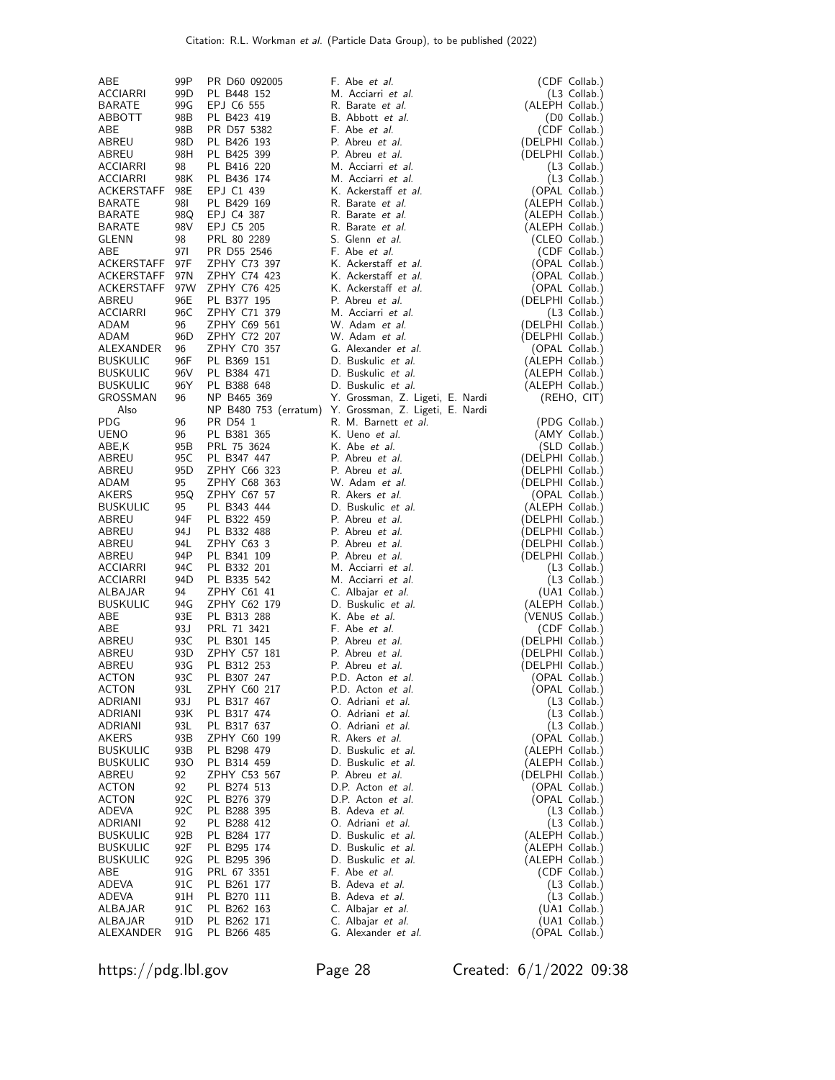| ABE                  | 99P       | PR D60 092005              | F. Abe <i>et al.</i>                          | (CDF Collab.)                     |
|----------------------|-----------|----------------------------|-----------------------------------------------|-----------------------------------|
| ACCIARRI             | 99D       | PL B448 152                | M. Acciarri et al.                            | (L3 Collab.)                      |
| BARATE               | 99G       | EPJ C6 555                 | R. Barate et al.                              | (ALEPH Collab.)                   |
| ABBOTT               | 98B       | PL B423 419                | B. Abbott et al.                              | (D0 Collab.)                      |
| ABE                  | 98B       | PR D57 5382                | F. Abe <i>et al.</i>                          | (CDF Collab.)                     |
| ABREU                | 98D       | PL B426 193                | P. Abreu et al.                               | (DELPHI Collab.)                  |
| ABREU                | 98H       | PL B425 399                | P. Abreu et al.                               | (DELPHI Collab.)                  |
| ACCIARRI             | 98        | PL B416 220                | M. Acciarri et al.                            | $(L3$ Collab.)                    |
| ACCIARRI             | 98K       | PL B436 174                | M. Acciarri <i>et al.</i>                     | (L3 Collab.)                      |
| ACKERSTAFF           | 98E       | EPJ C1 439                 | K. Ackerstaff et al.                          | (OPAL Collab.)                    |
| BARATE               | 981       | PL B429 169                | R. Barate et al.                              | (ALEPH Collab.)                   |
| <b>BARATE</b>        | 98Q       | EPJ C4 387                 | R. Barate et al.                              | (ALEPH Collab.)                   |
| BARATE               | 98V       | EPJ C5 205                 | R. Barate et al.                              | (ALEPH Collab.)                   |
| GLENN                | 98        | PRL 80 2289                | S. Glenn et al.                               | (CLEO Collab.)                    |
| ABE                  | 97I       | PR D55 2546                | F. Abe et al.                                 | (CDF Collab.)                     |
| ACKERSTAFF           | 97F       | ZPHY C73 397               | K. Ackerstaff et al.                          | (OPAL Collab.)                    |
| ACKERSTAFF           | 97N       | ZPHY C74 423               | K. Ackerstaff et al.                          | (OPAL Collab.)                    |
| <b>ACKERSTAFF</b>    | 97W       | ZPHY C76 425               | K. Ackerstaff et al.                          | (OPAL Collab.)                    |
| ABREU                | 96E       | PL B377 195                | P. Abreu et al.                               | (DELPHI Collab.)                  |
| ACCIARRI             | 96C       | ZPHY C71 379               | M. Acciarri et al.                            | $(L3$ Collab.)                    |
| ADAM                 | 96        | ZPHY C69 561               | W. Adam et al.<br>W. Adam et al.              | (DELPHI Collab.)                  |
| ADAM                 | 96D       | ZPHY C72 207               |                                               | (DELPHI Collab.)                  |
| ALEXANDER            | 96        | ZPHY C70 357               | G. Alexander et al.                           | (OPAL Collab.)                    |
| <b>BUSKULIC</b>      | 96F       | PL B369 151                | D. Buskulic et al.                            | (ALEPH Collab.)                   |
| <b>BUSKULIC</b>      | 96V       | PL B384 471                | D. Buskulic et al.<br>D. Buskulic et al.      | (ALEPH Collab.)                   |
| <b>BUSKULIC</b>      | 96Y       | PL B388 648                |                                               | (ALEPH Collab.)                   |
| GROSSMAN             | 96        | NP B465 369                | Y. Grossman, Z. Ligeti, E. Nardi              | (REHO, CIT)                       |
| Also<br>PDG          | 96        | NP B480 753 (erratum)      | Y. Grossman, Z. Ligeti, E. Nardi              |                                   |
|                      |           | PR D54 1<br>PL B381 365    | R. M. Barnett <i>et al.</i><br>K. Ueno et al. | (PDG Collab.)                     |
| <b>UENO</b><br>ABE,K | 96<br>95B | PRL 75 3624                | K. Abe et al.                                 | (AMY Collab.)                     |
| ABREU                | 95C       | PL B347 447                | P. Abreu et al.                               | (SLD Collab.)<br>(DELPHI Collab.) |
| ABREU                | 95D       | ZPHY C66 323               | P. Abreu et al.                               | (DELPHI Collab.)                  |
| ADAM                 | 95        | ZPHY C68 363               | W. Adam et al.                                | (DELPHI Collab.)                  |
| AKERS                | 95Q       | ZPHY C67 57                | R. Akers et al.                               | (OPAL Collab.)                    |
| <b>BUSKULIC</b>      | 95        | PL B343 444                | D. Buskulic et al.                            | (ALEPH Collab.)                   |
| ABREU                | 94F       | PL B322 459                | P. Abreu et al.                               | (DELPHI Collab.)                  |
| ABREU                | 94 J      | PL B332 488                | P. Abreu <i>et al.</i>                        | (DELPHI Collab.)                  |
| ABREU                | 94L       | ZPHY C63 3                 | P. Abreu et al.                               | (DELPHI Collab.)                  |
| ABREU                | 94P       | PL B341 109                | P. Abreu et al.                               | (DELPHI Collab.)                  |
| ACCIARRI             | 94C       | PL B332 201                | M. Acciarri et al.                            | (L3 Collab.)                      |
| ACCIARRI             | 94D       | PL B335 542                | M. Acciarri et al.                            | (L3 Collab.)                      |
| ALBAJAR              | 94        | ZPHY C61 41                | C. Albajar et al.                             | (UA1 Collab.)                     |
| <b>BUSKULIC</b>      | 94G       | ZPHY C62 179               | D. Buskulic et al.                            | (ALEPH Collab.)                   |
| ABE                  | 93E       | PL B313 288                | K. Abe et al.                                 | (VENUS Collab.)                   |
| ABE                  | 93 J      | PRL 71 3421                | F. Abe et al.                                 | (CDF Collab.)                     |
| ABREU                | 93C       | PL B301 145                | P. Abreu et al.                               | (DELPHI Collab.)                  |
| ABREU                | 93D       | ZPHY C57 181               | P. Abreu et al.                               | (DELPHI Collab.)                  |
| ABREU                | 93G       | PL B312 253                | P. Abreu et al.                               | (DELPHI Collab.)                  |
| <b>ACTON</b>         | 93C       | PL B307 247                | P.D. Acton et al.                             | (OPAL Collab.)                    |
| ACTON                | 93L       | ZPHY C60 217               | P.D. Acton et al.                             | (OPAL Collab.)                    |
| ADRIANI              | 93J       | PL B317 467                | O. Adriani et al.                             | $(L3$ Collab.)                    |
| ADRIANI              | 93K       | PL B317 474                | O. Adriani et al.                             | $(L3$ Collab.)                    |
| ADRIANI              | 93L       | PL B317 637                | O. Adriani et al.                             | (L3 Collab.)                      |
| AKERS                | 93B       | ZPHY C60 199               | R. Akers et al.                               | (OPAL Collab.)                    |
| <b>BUSKULIC</b>      | 93B       | PL B298 479                | D. Buskulic et al.                            | (ALEPH Collab.)                   |
| <b>BUSKULIC</b>      | 930       | PL B314 459                | D. Buskulic et al.                            | (ALEPH Collab.)                   |
| ABREU                | 92        | ZPHY C53 567               | P. Abreu et al.                               | (DELPHI Collab.)                  |
| ACTON                | 92        | PL B274 513                | D.P. Acton et al.                             | (OPAL Collab.)                    |
| <b>ACTON</b>         | 92C       | PL B276 379                | D.P. Acton et al.                             | (OPAL Collab.)                    |
| ADEVA<br>ADRIANI     | 92C       | PL B288 395                | B. Adeva et al.<br>O. Adriani et al.          | $(L3$ Collab.)                    |
| <b>BUSKULIC</b>      | 92<br>92B | PL B288 412<br>PL B284 177 | D. Buskulic et al.                            | (L3 Collab.)<br>(ALEPH Collab.)   |
| <b>BUSKULIC</b>      | 92F       | PL B295 174                | D. Buskulic et al.                            | (ALEPH Collab.)                   |
| <b>BUSKULIC</b>      | 92G       | PL B295 396                | D. Buskulic et al.                            | (ALEPH Collab.)                   |
| ABE                  | 91G       | PRL 67 3351                | F. Abe et al.                                 | (CDF Collab.)                     |
| ADEVA                | 91C       | PL B261 177                | B. Adeva et al.                               | (L3 Collab.)                      |
| ADEVA                | 91H       | PL B270 111                | B. Adeva <i>et al.</i>                        | (L3 Collab.)                      |
| ALBAJAR              | 91C       | PL B262 163                | C. Albajar et al.                             | (UA1 Collab.)                     |
| ALBAJAR              | 91D       | PL B262 171                | C. Albajar et al.                             | (UA1 Collab.)                     |
| ALEXANDER            | 91G       | PL B266 485                | G. Alexander et al.                           | (OPAL Collab.)                    |

https://pdg.lbl.gov Page 28 Created: 6/1/2022 09:38